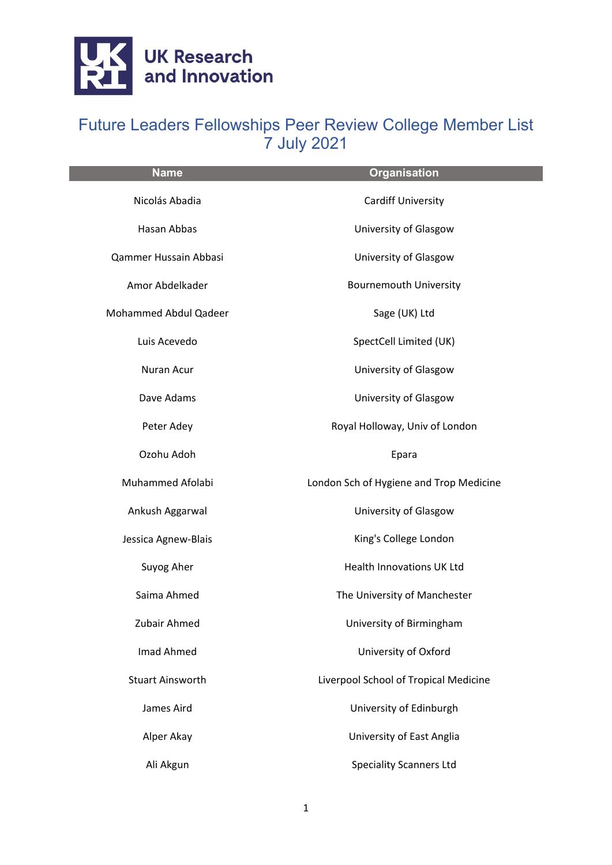

| <b>Name</b>             | <b>Organisation</b>                     |
|-------------------------|-----------------------------------------|
| Nicolás Abadia          | <b>Cardiff University</b>               |
| Hasan Abbas             | University of Glasgow                   |
| Qammer Hussain Abbasi   | University of Glasgow                   |
| Amor Abdelkader         | <b>Bournemouth University</b>           |
| Mohammed Abdul Qadeer   | Sage (UK) Ltd                           |
| Luis Acevedo            | SpectCell Limited (UK)                  |
| Nuran Acur              | University of Glasgow                   |
| Dave Adams              | University of Glasgow                   |
| Peter Adey              | Royal Holloway, Univ of London          |
| Ozohu Adoh              | Epara                                   |
| Muhammed Afolabi        | London Sch of Hygiene and Trop Medicine |
| Ankush Aggarwal         | University of Glasgow                   |
| Jessica Agnew-Blais     | King's College London                   |
| Suyog Aher              | <b>Health Innovations UK Ltd</b>        |
| Saima Ahmed             | The University of Manchester            |
| Zubair Ahmed            | University of Birmingham                |
| Imad Ahmed              | University of Oxford                    |
| <b>Stuart Ainsworth</b> | Liverpool School of Tropical Medicine   |
| James Aird              | University of Edinburgh                 |
| Alper Akay              | University of East Anglia               |
| Ali Akgun               | <b>Speciality Scanners Ltd</b>          |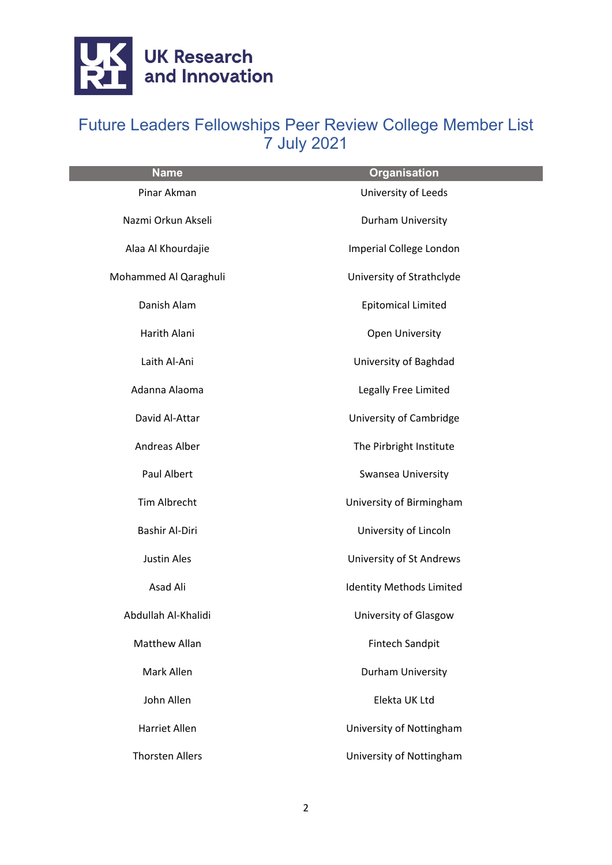

| <b>Name</b>            | <b>Organisation</b>             |
|------------------------|---------------------------------|
| Pinar Akman            | University of Leeds             |
| Nazmi Orkun Akseli     | Durham University               |
| Alaa Al Khourdajie     | Imperial College London         |
| Mohammed Al Qaraghuli  | University of Strathclyde       |
| Danish Alam            | <b>Epitomical Limited</b>       |
| Harith Alani           | Open University                 |
| Laith Al-Ani           | University of Baghdad           |
| Adanna Alaoma          | Legally Free Limited            |
| David Al-Attar         | University of Cambridge         |
| Andreas Alber          | The Pirbright Institute         |
| Paul Albert            | Swansea University              |
| Tim Albrecht           | University of Birmingham        |
| Bashir Al-Diri         | University of Lincoln           |
| <b>Justin Ales</b>     | University of St Andrews        |
| Asad Ali               | <b>Identity Methods Limited</b> |
| Abdullah Al-Khalidi    | University of Glasgow           |
| Matthew Allan          | <b>Fintech Sandpit</b>          |
| Mark Allen             | Durham University               |
| John Allen             | Elekta UK Ltd                   |
| <b>Harriet Allen</b>   | University of Nottingham        |
| <b>Thorsten Allers</b> | University of Nottingham        |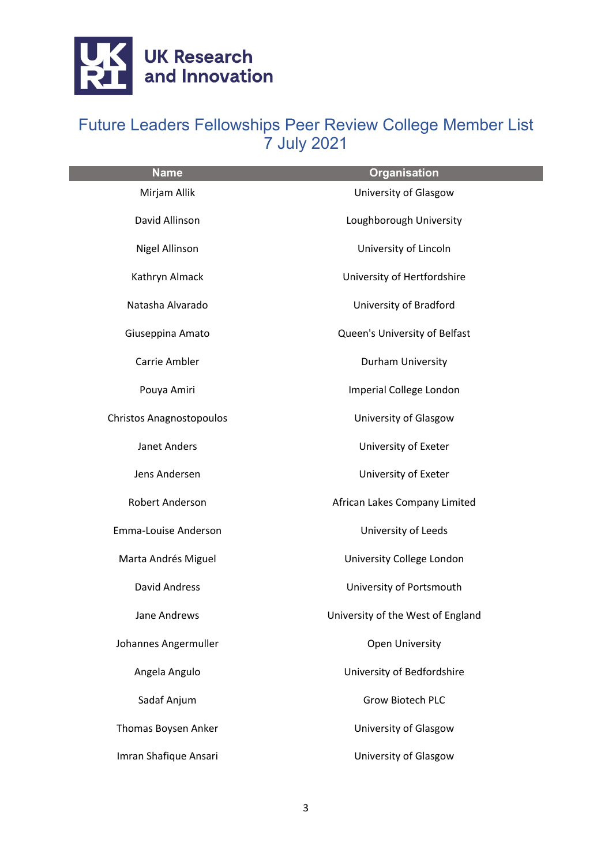

| <b>Name</b>                     | <b>Organisation</b>               |
|---------------------------------|-----------------------------------|
| Mirjam Allik                    | University of Glasgow             |
| David Allinson                  | Loughborough University           |
| Nigel Allinson                  | University of Lincoln             |
| Kathryn Almack                  | University of Hertfordshire       |
| Natasha Alvarado                | University of Bradford            |
| Giuseppina Amato                | Queen's University of Belfast     |
| Carrie Ambler                   | Durham University                 |
| Pouya Amiri                     | Imperial College London           |
| <b>Christos Anagnostopoulos</b> | University of Glasgow             |
| Janet Anders                    | University of Exeter              |
| Jens Andersen                   | University of Exeter              |
| Robert Anderson                 | African Lakes Company Limited     |
| Emma-Louise Anderson            | University of Leeds               |
| Marta Andrés Miguel             | University College London         |
| <b>David Andress</b>            | University of Portsmouth          |
| Jane Andrews                    | University of the West of England |
| Johannes Angermuller            | <b>Open University</b>            |
| Angela Angulo                   | University of Bedfordshire        |
| Sadaf Anjum                     | <b>Grow Biotech PLC</b>           |
| Thomas Boysen Anker             | University of Glasgow             |
| Imran Shafique Ansari           | University of Glasgow             |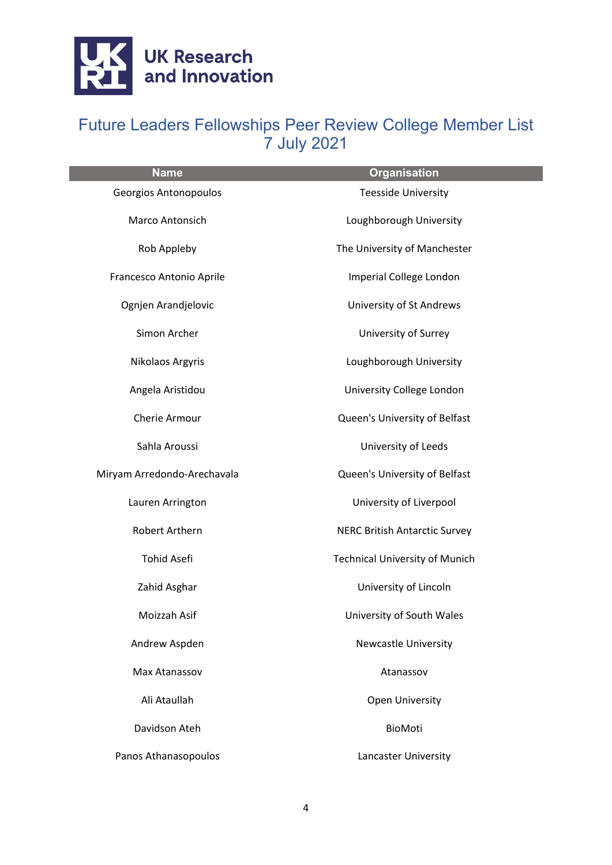

| <b>Name</b>                 | <b>Organisation</b>                   |
|-----------------------------|---------------------------------------|
| Georgios Antonopoulos       | <b>Teesside University</b>            |
| Marco Antonsich             | Loughborough University               |
| Rob Appleby                 | The University of Manchester          |
| Francesco Antonio Aprile    | Imperial College London               |
| Ognjen Arandjelovic         | University of St Andrews              |
| Simon Archer                | University of Surrey                  |
| Nikolaos Argyris            | Loughborough University               |
| Angela Aristidou            | University College London             |
| Cherie Armour               | Queen's University of Belfast         |
| Sahla Aroussi               | University of Leeds                   |
| Miryam Arredondo-Arechavala | Queen's University of Belfast         |
| Lauren Arrington            | University of Liverpool               |
| Robert Arthern              | <b>NERC British Antarctic Survey</b>  |
| <b>Tohid Asefi</b>          | <b>Technical University of Munich</b> |
| Zahid Asghar                | University of Lincoln                 |
| Moizzah Asif                | University of South Wales             |
| Andrew Aspden               | <b>Newcastle University</b>           |
| Max Atanassov               | Atanassov                             |
| Ali Ataullah                | <b>Open University</b>                |
| Davidson Ateh               | BioMoti                               |
| Panos Athanasopoulos        | Lancaster University                  |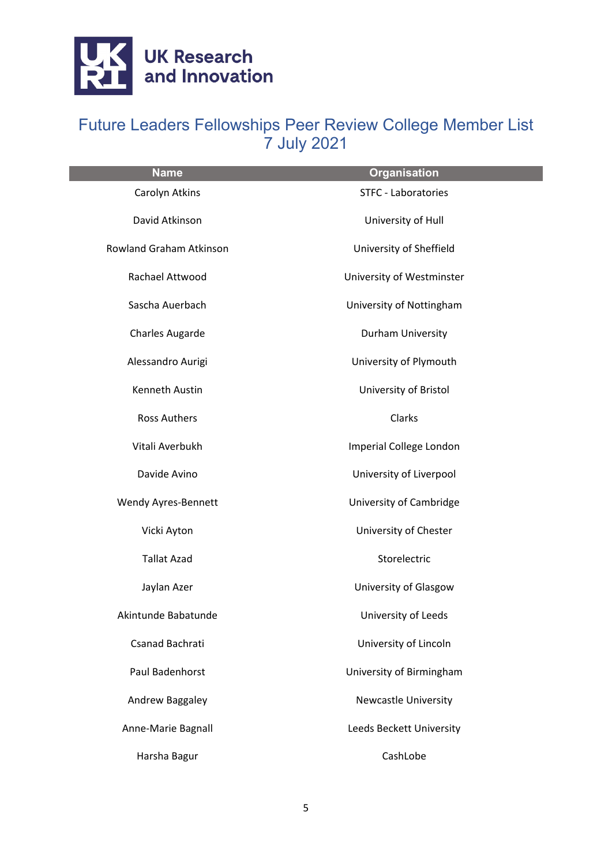

| <b>Name</b>             | <b>Organisation</b>         |
|-------------------------|-----------------------------|
| Carolyn Atkins          | <b>STFC - Laboratories</b>  |
| David Atkinson          | University of Hull          |
| Rowland Graham Atkinson | University of Sheffield     |
| Rachael Attwood         | University of Westminster   |
| Sascha Auerbach         | University of Nottingham    |
| <b>Charles Augarde</b>  | Durham University           |
| Alessandro Aurigi       | University of Plymouth      |
| Kenneth Austin          | University of Bristol       |
| <b>Ross Authers</b>     | Clarks                      |
| Vitali Averbukh         | Imperial College London     |
| Davide Avino            | University of Liverpool     |
| Wendy Ayres-Bennett     | University of Cambridge     |
| Vicki Ayton             | University of Chester       |
| <b>Tallat Azad</b>      | Storelectric                |
| Jaylan Azer             | University of Glasgow       |
| Akintunde Babatunde     | University of Leeds         |
| Csanad Bachrati         | University of Lincoln       |
| <b>Paul Badenhorst</b>  | University of Birmingham    |
| Andrew Baggaley         | <b>Newcastle University</b> |
| Anne-Marie Bagnall      | Leeds Beckett University    |
| Harsha Bagur            | CashLobe                    |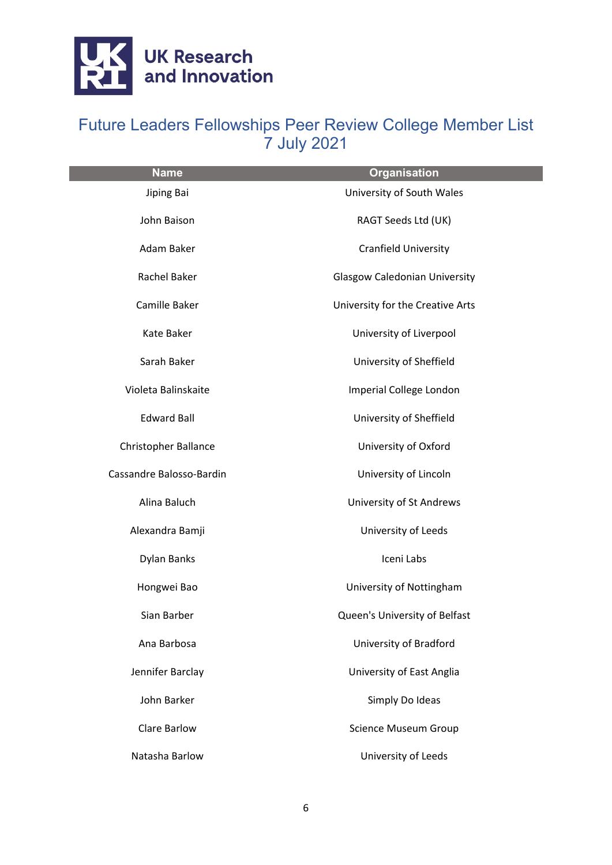

| <b>Name</b>                 | <b>Organisation</b>                  |
|-----------------------------|--------------------------------------|
| Jiping Bai                  | University of South Wales            |
| John Baison                 | RAGT Seeds Ltd (UK)                  |
| Adam Baker                  | Cranfield University                 |
| Rachel Baker                | <b>Glasgow Caledonian University</b> |
| Camille Baker               | University for the Creative Arts     |
| Kate Baker                  | University of Liverpool              |
| Sarah Baker                 | University of Sheffield              |
| Violeta Balinskaite         | Imperial College London              |
| <b>Edward Ball</b>          | University of Sheffield              |
| <b>Christopher Ballance</b> | University of Oxford                 |
| Cassandre Balosso-Bardin    | University of Lincoln                |
| Alina Baluch                | University of St Andrews             |
| Alexandra Bamji             | University of Leeds                  |
| Dylan Banks                 | Iceni Labs                           |
| Hongwei Bao                 | University of Nottingham             |
| Sian Barber                 | Queen's University of Belfast        |
| Ana Barbosa                 | University of Bradford               |
| Jennifer Barclay            | University of East Anglia            |
| John Barker                 | Simply Do Ideas                      |
| <b>Clare Barlow</b>         | Science Museum Group                 |
| Natasha Barlow              | University of Leeds                  |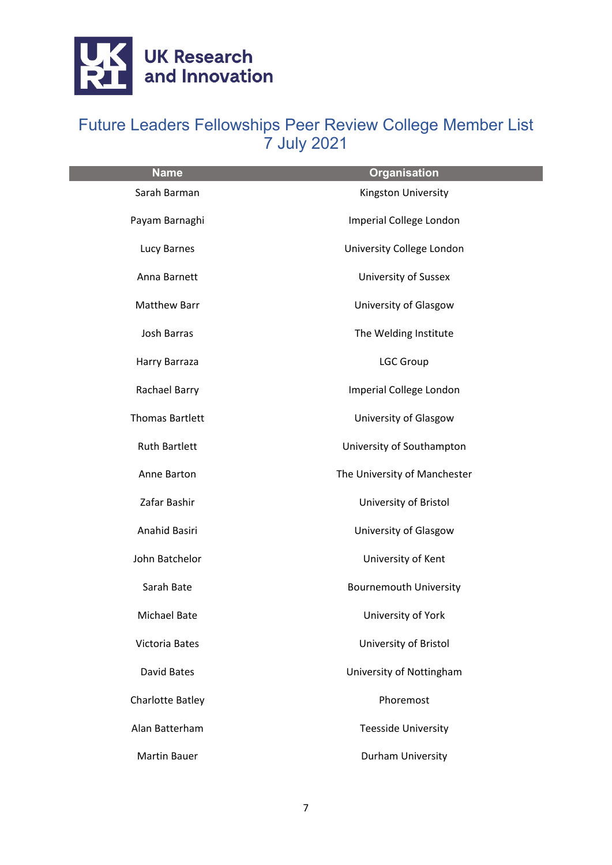

| <b>Name</b>             | <b>Organisation</b>           |
|-------------------------|-------------------------------|
| Sarah Barman            | Kingston University           |
| Payam Barnaghi          | Imperial College London       |
| Lucy Barnes             | University College London     |
| Anna Barnett            | <b>University of Sussex</b>   |
| Matthew Barr            | University of Glasgow         |
| <b>Josh Barras</b>      | The Welding Institute         |
| Harry Barraza           | <b>LGC Group</b>              |
| Rachael Barry           | Imperial College London       |
| <b>Thomas Bartlett</b>  | University of Glasgow         |
| <b>Ruth Bartlett</b>    | University of Southampton     |
| Anne Barton             | The University of Manchester  |
| Zafar Bashir            | University of Bristol         |
| Anahid Basiri           | University of Glasgow         |
| John Batchelor          | University of Kent            |
| Sarah Bate              | <b>Bournemouth University</b> |
| Michael Bate            | University of York            |
| Victoria Bates          | University of Bristol         |
| David Bates             | University of Nottingham      |
| <b>Charlotte Batley</b> | Phoremost                     |
| Alan Batterham          | <b>Teesside University</b>    |
| <b>Martin Bauer</b>     | Durham University             |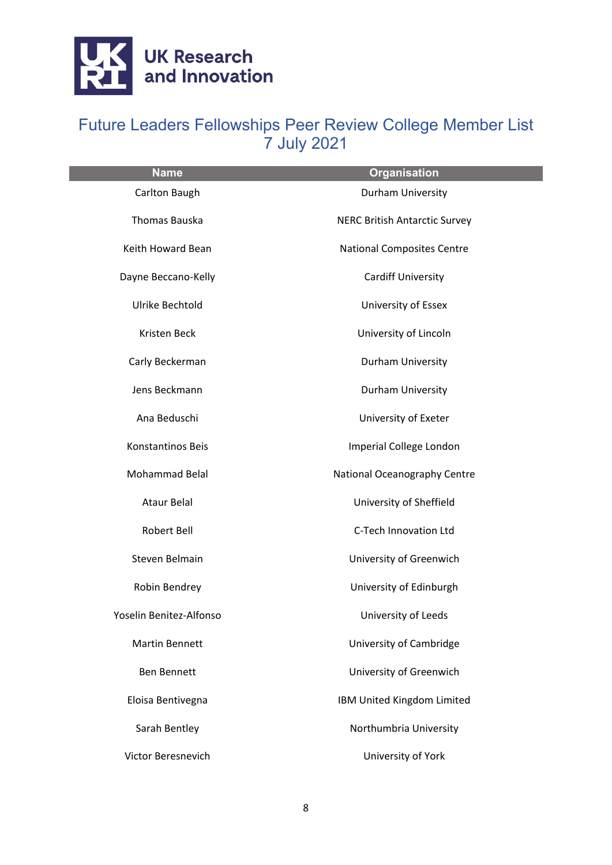

| <b>Name</b>             | <b>Organisation</b>                  |
|-------------------------|--------------------------------------|
| Carlton Baugh           | Durham University                    |
| Thomas Bauska           | <b>NERC British Antarctic Survey</b> |
| Keith Howard Bean       | <b>National Composites Centre</b>    |
| Dayne Beccano-Kelly     | <b>Cardiff University</b>            |
| Ulrike Bechtold         | University of Essex                  |
| Kristen Beck            | University of Lincoln                |
| Carly Beckerman         | Durham University                    |
| Jens Beckmann           | Durham University                    |
| Ana Beduschi            | University of Exeter                 |
| Konstantinos Beis       | Imperial College London              |
| Mohammad Belal          | National Oceanography Centre         |
| <b>Ataur Belal</b>      | University of Sheffield              |
| Robert Bell             | C-Tech Innovation Ltd                |
| Steven Belmain          | University of Greenwich              |
| Robin Bendrey           | University of Edinburgh              |
| Yoselin Benitez-Alfonso | University of Leeds                  |
| <b>Martin Bennett</b>   | University of Cambridge              |
| <b>Ben Bennett</b>      | University of Greenwich              |
| Eloisa Bentivegna       | IBM United Kingdom Limited           |
| Sarah Bentley           | Northumbria University               |
| Victor Beresnevich      | University of York                   |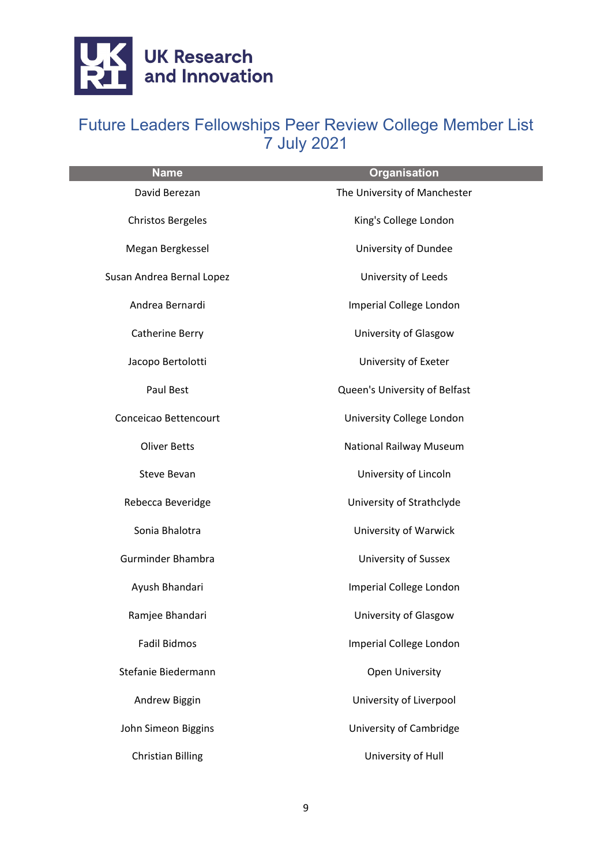

| <b>Name</b>               | <b>Organisation</b>            |
|---------------------------|--------------------------------|
| David Berezan             | The University of Manchester   |
| <b>Christos Bergeles</b>  | King's College London          |
| Megan Bergkessel          | University of Dundee           |
| Susan Andrea Bernal Lopez | University of Leeds            |
| Andrea Bernardi           | Imperial College London        |
| Catherine Berry           | University of Glasgow          |
| Jacopo Bertolotti         | University of Exeter           |
| Paul Best                 | Queen's University of Belfast  |
| Conceicao Bettencourt     | University College London      |
| <b>Oliver Betts</b>       | <b>National Railway Museum</b> |
| <b>Steve Bevan</b>        | University of Lincoln          |
| Rebecca Beveridge         | University of Strathclyde      |
| Sonia Bhalotra            | University of Warwick          |
| Gurminder Bhambra         | <b>University of Sussex</b>    |
| Ayush Bhandari            | Imperial College London        |
| Ramjee Bhandari           | University of Glasgow          |
| <b>Fadil Bidmos</b>       | Imperial College London        |
| Stefanie Biedermann       | <b>Open University</b>         |
| Andrew Biggin             | University of Liverpool        |
| John Simeon Biggins       | University of Cambridge        |
| <b>Christian Billing</b>  | University of Hull             |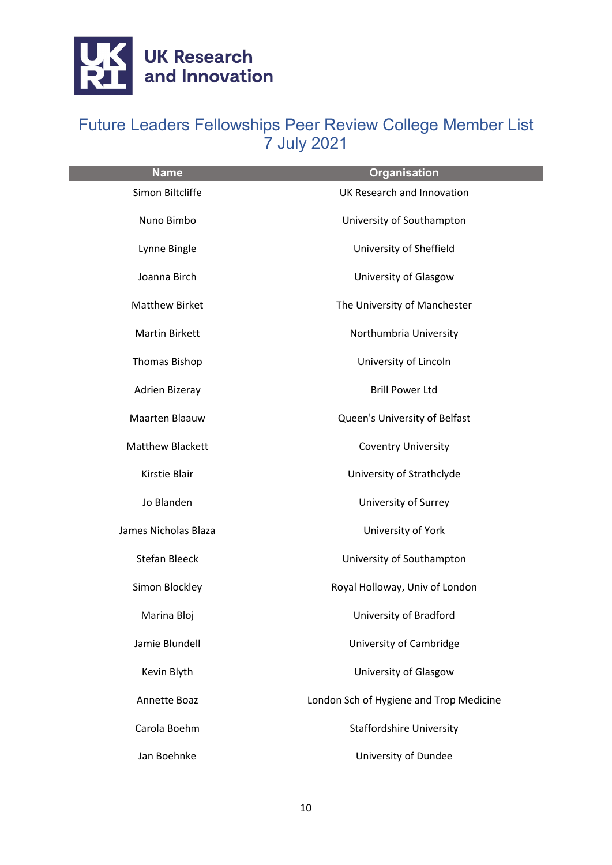

| <b>Name</b>             | <b>Organisation</b>                     |
|-------------------------|-----------------------------------------|
| Simon Biltcliffe        | UK Research and Innovation              |
| Nuno Bimbo              | University of Southampton               |
| Lynne Bingle            | University of Sheffield                 |
| Joanna Birch            | University of Glasgow                   |
| <b>Matthew Birket</b>   | The University of Manchester            |
| <b>Martin Birkett</b>   | Northumbria University                  |
| <b>Thomas Bishop</b>    | University of Lincoln                   |
| Adrien Bizeray          | <b>Brill Power Ltd</b>                  |
| Maarten Blaauw          | Queen's University of Belfast           |
| <b>Matthew Blackett</b> | <b>Coventry University</b>              |
| Kirstie Blair           | University of Strathclyde               |
| Jo Blanden              | University of Surrey                    |
| James Nicholas Blaza    | University of York                      |
| <b>Stefan Bleeck</b>    | University of Southampton               |
| Simon Blockley          | Royal Holloway, Univ of London          |
| Marina Bloj             | University of Bradford                  |
| Jamie Blundell          | University of Cambridge                 |
| Kevin Blyth             | University of Glasgow                   |
| Annette Boaz            | London Sch of Hygiene and Trop Medicine |
| Carola Boehm            | <b>Staffordshire University</b>         |
| Jan Boehnke             | University of Dundee                    |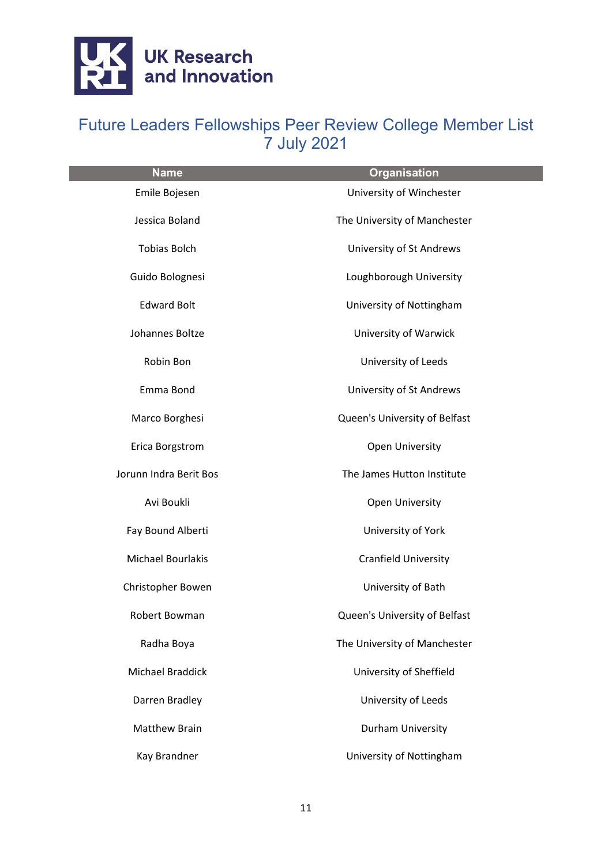

| <b>Name</b>            | <b>Organisation</b>           |
|------------------------|-------------------------------|
| Emile Bojesen          | University of Winchester      |
| Jessica Boland         | The University of Manchester  |
| <b>Tobias Bolch</b>    | University of St Andrews      |
| Guido Bolognesi        | Loughborough University       |
| <b>Edward Bolt</b>     | University of Nottingham      |
| Johannes Boltze        | University of Warwick         |
| Robin Bon              | University of Leeds           |
| Emma Bond              | University of St Andrews      |
| Marco Borghesi         | Queen's University of Belfast |
| Erica Borgstrom        | <b>Open University</b>        |
| Jorunn Indra Berit Bos | The James Hutton Institute    |
| Avi Boukli             | <b>Open University</b>        |
| Fay Bound Alberti      | University of York            |
| Michael Bourlakis      | <b>Cranfield University</b>   |
| Christopher Bowen      | University of Bath            |
| Robert Bowman          | Queen's University of Belfast |
| Radha Boya             | The University of Manchester  |
| Michael Braddick       | University of Sheffield       |
| Darren Bradley         | University of Leeds           |
| <b>Matthew Brain</b>   | Durham University             |
| Kay Brandner           | University of Nottingham      |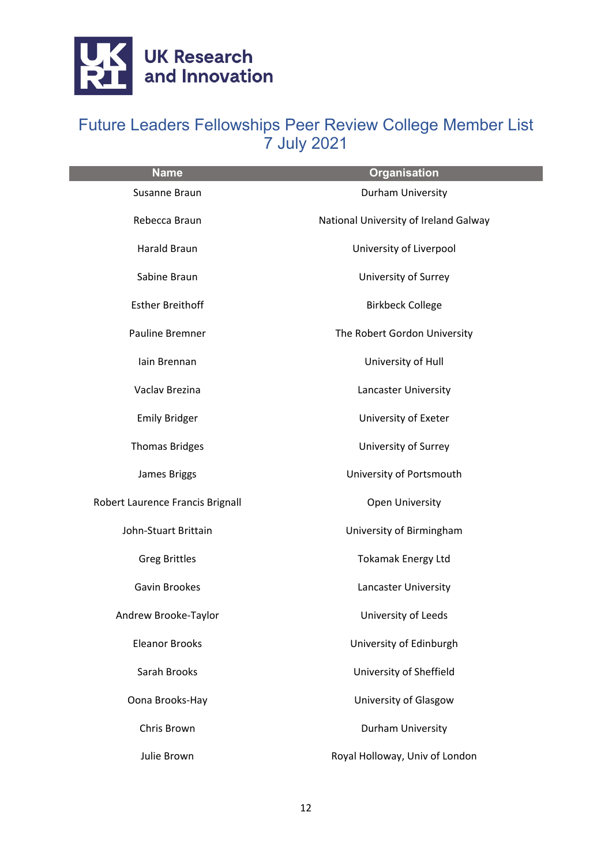

| <b>Name</b>                      | <b>Organisation</b>                   |
|----------------------------------|---------------------------------------|
| Susanne Braun                    | Durham University                     |
| Rebecca Braun                    | National University of Ireland Galway |
| <b>Harald Braun</b>              | University of Liverpool               |
| Sabine Braun                     | University of Surrey                  |
| <b>Esther Breithoff</b>          | <b>Birkbeck College</b>               |
| Pauline Bremner                  | The Robert Gordon University          |
| lain Brennan                     | University of Hull                    |
| Vaclav Brezina                   | Lancaster University                  |
| <b>Emily Bridger</b>             | University of Exeter                  |
| <b>Thomas Bridges</b>            | University of Surrey                  |
| James Briggs                     | University of Portsmouth              |
| Robert Laurence Francis Brignall | Open University                       |
| John-Stuart Brittain             | University of Birmingham              |
| <b>Greg Brittles</b>             | <b>Tokamak Energy Ltd</b>             |
| Gavin Brookes                    | Lancaster University                  |
| Andrew Brooke-Taylor             | University of Leeds                   |
| <b>Eleanor Brooks</b>            | University of Edinburgh               |
| Sarah Brooks                     | University of Sheffield               |
| Oona Brooks-Hay                  | University of Glasgow                 |
| Chris Brown                      | Durham University                     |
| Julie Brown                      | Royal Holloway, Univ of London        |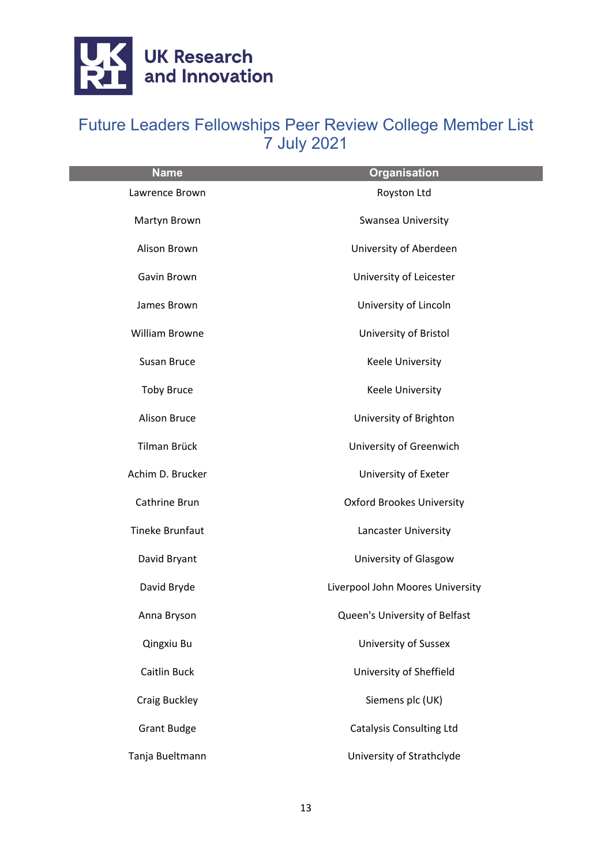

| <b>Name</b>            | <b>Organisation</b>              |
|------------------------|----------------------------------|
| Lawrence Brown         | Royston Ltd                      |
| Martyn Brown           | Swansea University               |
| Alison Brown           | University of Aberdeen           |
| Gavin Brown            | University of Leicester          |
| James Brown            | University of Lincoln            |
| William Browne         | University of Bristol            |
| Susan Bruce            | <b>Keele University</b>          |
| <b>Toby Bruce</b>      | <b>Keele University</b>          |
| <b>Alison Bruce</b>    | University of Brighton           |
| Tilman Brück           | University of Greenwich          |
| Achim D. Brucker       | University of Exeter             |
| Cathrine Brun          | <b>Oxford Brookes University</b> |
| <b>Tineke Brunfaut</b> | Lancaster University             |
| David Bryant           | University of Glasgow            |
| David Bryde            | Liverpool John Moores University |
| Anna Bryson            | Queen's University of Belfast    |
| Qingxiu Bu             | <b>University of Sussex</b>      |
| <b>Caitlin Buck</b>    | University of Sheffield          |
| <b>Craig Buckley</b>   | Siemens plc (UK)                 |
| <b>Grant Budge</b>     | <b>Catalysis Consulting Ltd</b>  |
| Tanja Bueltmann        | University of Strathclyde        |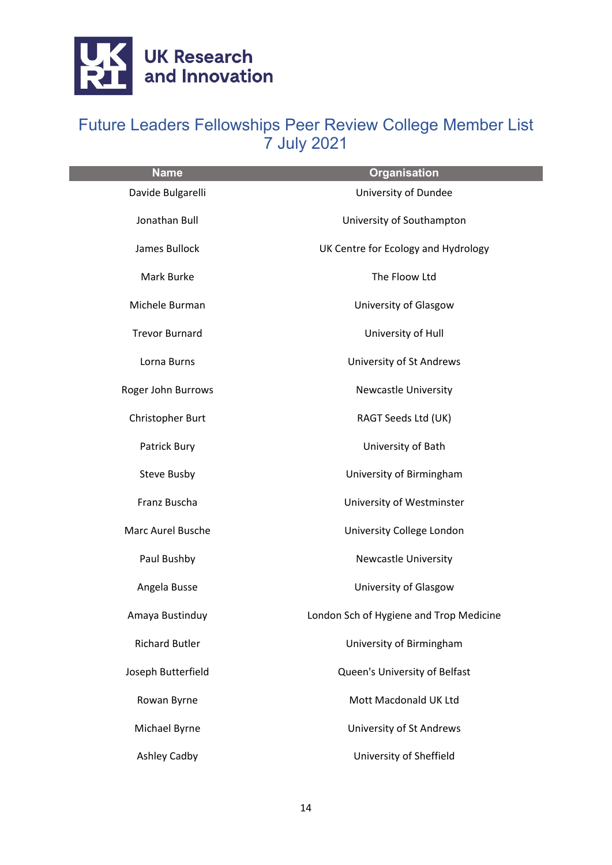

| <b>Name</b>           | <b>Organisation</b>                     |
|-----------------------|-----------------------------------------|
| Davide Bulgarelli     | University of Dundee                    |
| Jonathan Bull         | University of Southampton               |
| James Bullock         | UK Centre for Ecology and Hydrology     |
| Mark Burke            | The Floow Ltd                           |
| Michele Burman        | University of Glasgow                   |
| <b>Trevor Burnard</b> | University of Hull                      |
| Lorna Burns           | University of St Andrews                |
| Roger John Burrows    | <b>Newcastle University</b>             |
| Christopher Burt      | RAGT Seeds Ltd (UK)                     |
| Patrick Bury          | University of Bath                      |
| <b>Steve Busby</b>    | University of Birmingham                |
| Franz Buscha          | University of Westminster               |
| Marc Aurel Busche     | University College London               |
| Paul Bushby           | <b>Newcastle University</b>             |
| Angela Busse          | University of Glasgow                   |
| Amaya Bustinduy       | London Sch of Hygiene and Trop Medicine |
| <b>Richard Butler</b> | University of Birmingham                |
| Joseph Butterfield    | Queen's University of Belfast           |
| Rowan Byrne           | Mott Macdonald UK Ltd                   |
| Michael Byrne         | University of St Andrews                |
| Ashley Cadby          | University of Sheffield                 |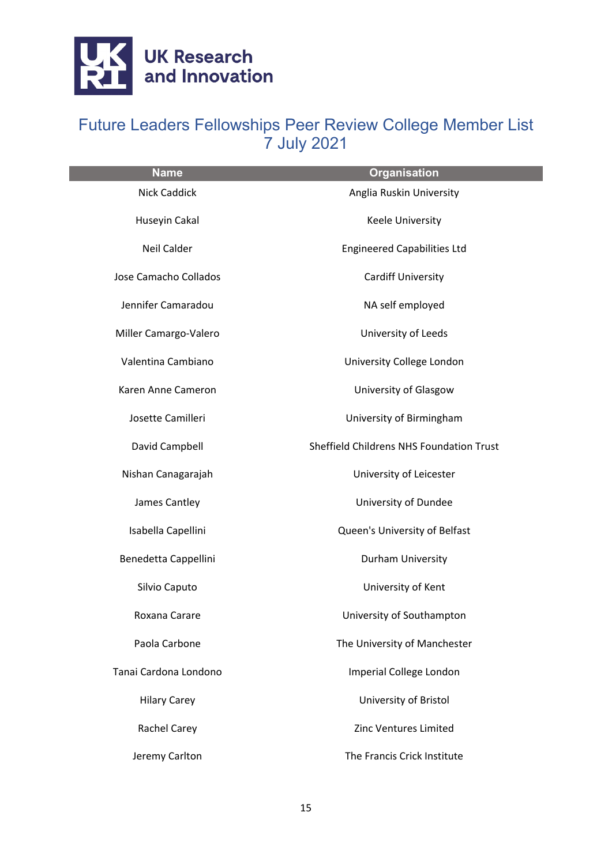

| <b>Name</b>           | <b>Organisation</b>                      |
|-----------------------|------------------------------------------|
| <b>Nick Caddick</b>   | Anglia Ruskin University                 |
| Huseyin Cakal         | Keele University                         |
| <b>Neil Calder</b>    | <b>Engineered Capabilities Ltd</b>       |
| Jose Camacho Collados | <b>Cardiff University</b>                |
| Jennifer Camaradou    | NA self employed                         |
| Miller Camargo-Valero | University of Leeds                      |
| Valentina Cambiano    | University College London                |
| Karen Anne Cameron    | University of Glasgow                    |
| Josette Camilleri     | University of Birmingham                 |
| David Campbell        | Sheffield Childrens NHS Foundation Trust |
| Nishan Canagarajah    | University of Leicester                  |
| James Cantley         | University of Dundee                     |
| Isabella Capellini    | Queen's University of Belfast            |
| Benedetta Cappellini  | Durham University                        |
| Silvio Caputo         | University of Kent                       |
| Roxana Carare         | University of Southampton                |
| Paola Carbone         | The University of Manchester             |
| Tanai Cardona Londono | Imperial College London                  |
| <b>Hilary Carey</b>   | University of Bristol                    |
| Rachel Carey          | Zinc Ventures Limited                    |
| Jeremy Carlton        | The Francis Crick Institute              |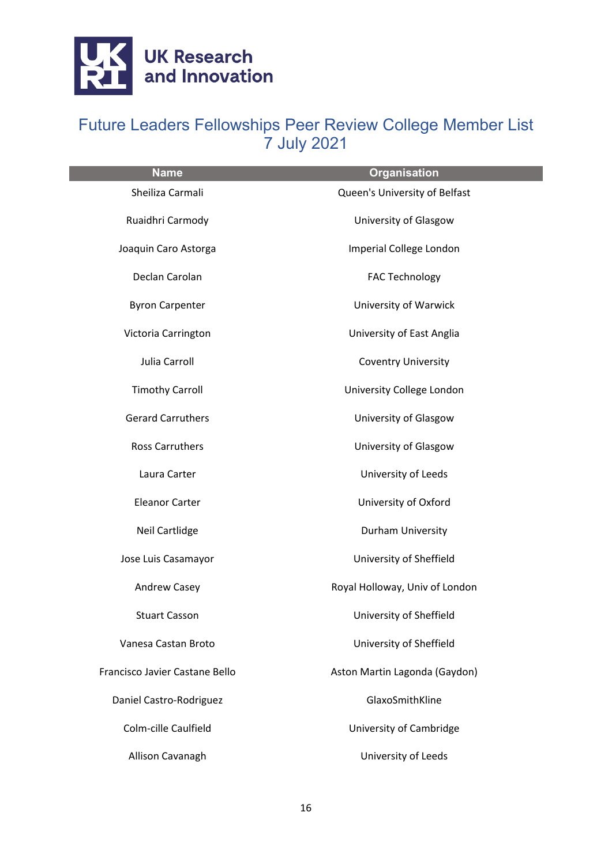

| <b>Name</b>                    | <b>Organisation</b>            |
|--------------------------------|--------------------------------|
| Sheiliza Carmali               | Queen's University of Belfast  |
| Ruaidhri Carmody               | University of Glasgow          |
| Joaquin Caro Astorga           | Imperial College London        |
| Declan Carolan                 | <b>FAC Technology</b>          |
| <b>Byron Carpenter</b>         | University of Warwick          |
| Victoria Carrington            | University of East Anglia      |
| Julia Carroll                  | <b>Coventry University</b>     |
| <b>Timothy Carroll</b>         | University College London      |
| <b>Gerard Carruthers</b>       | University of Glasgow          |
| <b>Ross Carruthers</b>         | University of Glasgow          |
| Laura Carter                   | University of Leeds            |
| <b>Eleanor Carter</b>          | University of Oxford           |
| Neil Cartlidge                 | Durham University              |
| Jose Luis Casamayor            | University of Sheffield        |
| Andrew Casey                   | Royal Holloway, Univ of London |
| <b>Stuart Casson</b>           | University of Sheffield        |
| Vanesa Castan Broto            | University of Sheffield        |
| Francisco Javier Castane Bello | Aston Martin Lagonda (Gaydon)  |
| Daniel Castro-Rodriguez        | GlaxoSmithKline                |
| Colm-cille Caulfield           | University of Cambridge        |
| Allison Cavanagh               | University of Leeds            |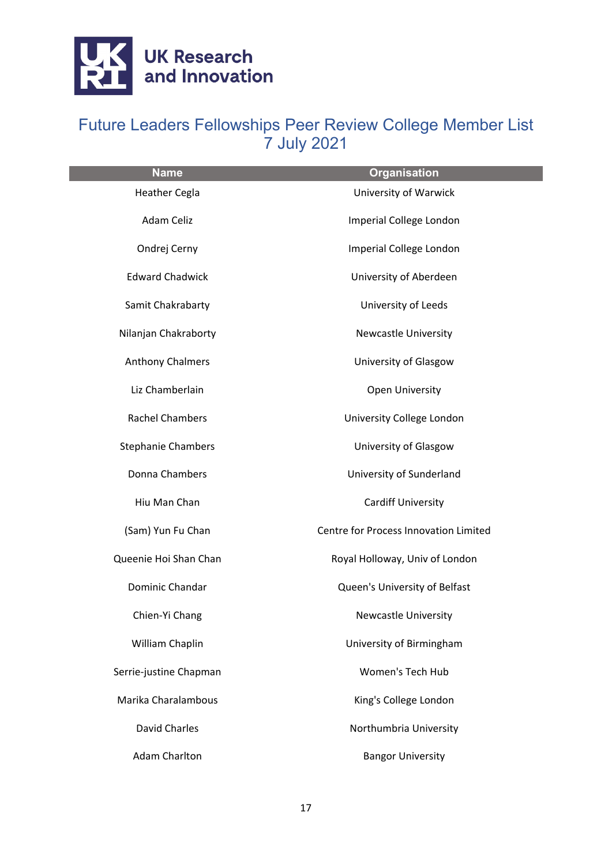

| <b>Name</b>               | <b>Organisation</b>                   |
|---------------------------|---------------------------------------|
| <b>Heather Cegla</b>      | University of Warwick                 |
| Adam Celiz                | Imperial College London               |
| Ondrej Cerny              | Imperial College London               |
| <b>Edward Chadwick</b>    | University of Aberdeen                |
| Samit Chakrabarty         | University of Leeds                   |
| Nilanjan Chakraborty      | <b>Newcastle University</b>           |
| <b>Anthony Chalmers</b>   | University of Glasgow                 |
| Liz Chamberlain           | <b>Open University</b>                |
| <b>Rachel Chambers</b>    | University College London             |
| <b>Stephanie Chambers</b> | University of Glasgow                 |
| Donna Chambers            | University of Sunderland              |
| Hiu Man Chan              | <b>Cardiff University</b>             |
| (Sam) Yun Fu Chan         | Centre for Process Innovation Limited |
| Queenie Hoi Shan Chan     | Royal Holloway, Univ of London        |
| Dominic Chandar           | Queen's University of Belfast         |
| Chien-Yi Chang            | <b>Newcastle University</b>           |
| William Chaplin           | University of Birmingham              |
| Serrie-justine Chapman    | <b>Women's Tech Hub</b>               |
| Marika Charalambous       | King's College London                 |
| David Charles             | Northumbria University                |
| Adam Charlton             | <b>Bangor University</b>              |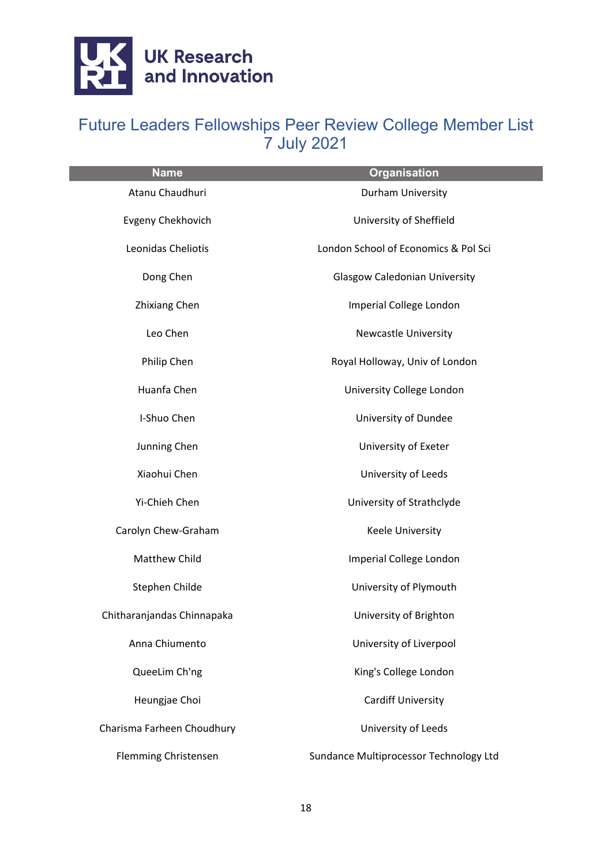

| <b>Name</b>                 | <b>Organisation</b>                    |
|-----------------------------|----------------------------------------|
| Atanu Chaudhuri             | Durham University                      |
| <b>Evgeny Chekhovich</b>    | University of Sheffield                |
| Leonidas Cheliotis          | London School of Economics & Pol Sci   |
| Dong Chen                   | <b>Glasgow Caledonian University</b>   |
| <b>Zhixiang Chen</b>        | Imperial College London                |
| Leo Chen                    | <b>Newcastle University</b>            |
| Philip Chen                 | Royal Holloway, Univ of London         |
| Huanfa Chen                 | University College London              |
| I-Shuo Chen                 | University of Dundee                   |
| Junning Chen                | University of Exeter                   |
| Xiaohui Chen                | University of Leeds                    |
| Yi-Chieh Chen               | University of Strathclyde              |
| Carolyn Chew-Graham         | Keele University                       |
| Matthew Child               | Imperial College London                |
| Stephen Childe              | University of Plymouth                 |
| Chitharanjandas Chinnapaka  | University of Brighton                 |
| Anna Chiumento              | University of Liverpool                |
| QueeLim Ch'ng               | King's College London                  |
| Heungjae Choi               | <b>Cardiff University</b>              |
| Charisma Farheen Choudhury  | University of Leeds                    |
| <b>Flemming Christensen</b> | Sundance Multiprocessor Technology Ltd |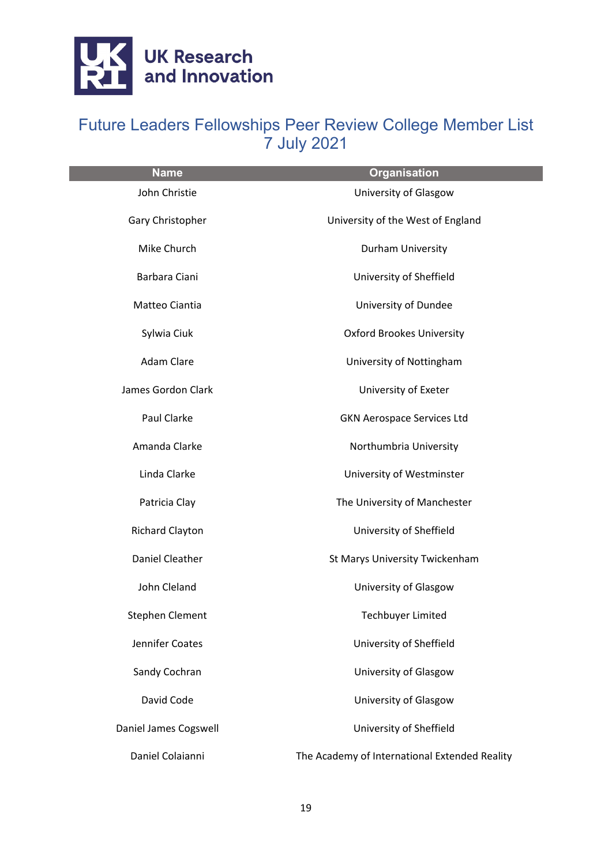

| <b>Name</b>            | <b>Organisation</b>                           |
|------------------------|-----------------------------------------------|
| John Christie          | University of Glasgow                         |
| Gary Christopher       | University of the West of England             |
| Mike Church            | Durham University                             |
| Barbara Ciani          | University of Sheffield                       |
| Matteo Ciantia         | University of Dundee                          |
| Sylwia Ciuk            | <b>Oxford Brookes University</b>              |
| Adam Clare             | University of Nottingham                      |
| James Gordon Clark     | University of Exeter                          |
| Paul Clarke            | <b>GKN Aerospace Services Ltd</b>             |
| Amanda Clarke          | Northumbria University                        |
| Linda Clarke           | University of Westminster                     |
| Patricia Clay          | The University of Manchester                  |
| <b>Richard Clayton</b> | University of Sheffield                       |
| <b>Daniel Cleather</b> | St Marys University Twickenham                |
| John Cleland           | University of Glasgow                         |
| <b>Stephen Clement</b> | <b>Techbuyer Limited</b>                      |
| Jennifer Coates        | University of Sheffield                       |
| Sandy Cochran          | University of Glasgow                         |
| David Code             | University of Glasgow                         |
| Daniel James Cogswell  | University of Sheffield                       |
| Daniel Colaianni       | The Academy of International Extended Reality |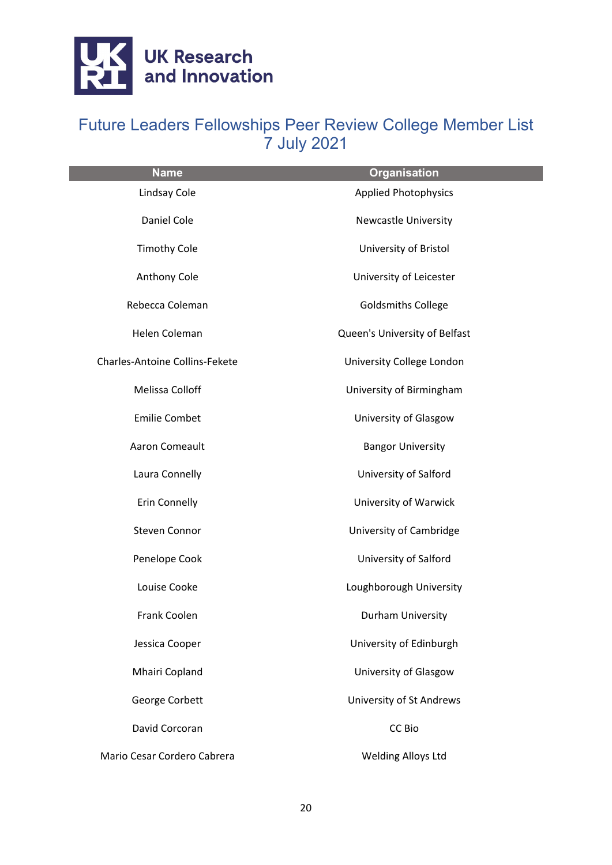

| <b>Name</b>                           | <b>Organisation</b>           |
|---------------------------------------|-------------------------------|
| Lindsay Cole                          | <b>Applied Photophysics</b>   |
| Daniel Cole                           | Newcastle University          |
| <b>Timothy Cole</b>                   | University of Bristol         |
| Anthony Cole                          | University of Leicester       |
| Rebecca Coleman                       | <b>Goldsmiths College</b>     |
| Helen Coleman                         | Queen's University of Belfast |
| <b>Charles-Antoine Collins-Fekete</b> | University College London     |
| Melissa Colloff                       | University of Birmingham      |
| <b>Emilie Combet</b>                  | University of Glasgow         |
| Aaron Comeault                        | <b>Bangor University</b>      |
| Laura Connelly                        | University of Salford         |
| <b>Erin Connelly</b>                  | University of Warwick         |
| <b>Steven Connor</b>                  | University of Cambridge       |
| Penelope Cook                         | University of Salford         |
| Louise Cooke                          | Loughborough University       |
| Frank Coolen                          | Durham University             |
| Jessica Cooper                        | University of Edinburgh       |
| Mhairi Copland                        | University of Glasgow         |
| George Corbett                        | University of St Andrews      |
| David Corcoran                        | CC Bio                        |
| Mario Cesar Cordero Cabrera           | <b>Welding Alloys Ltd</b>     |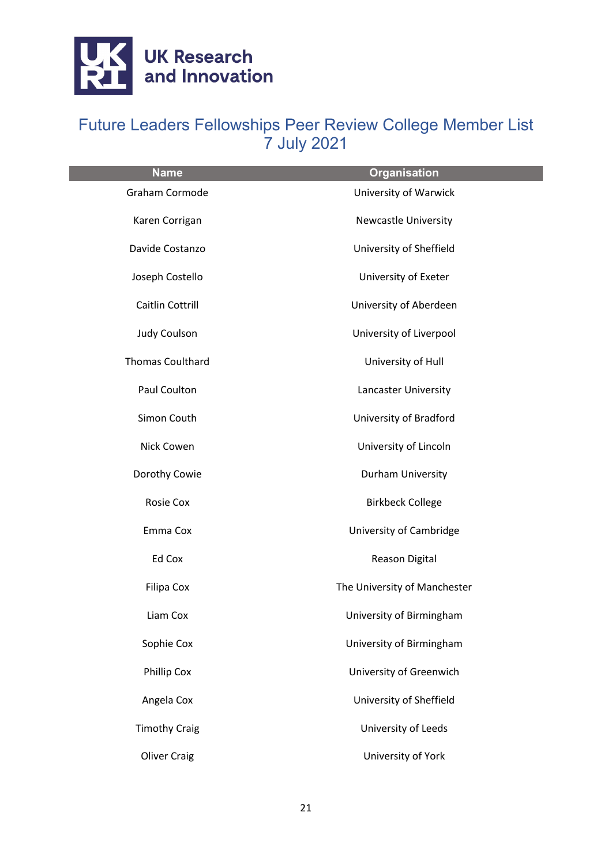

| <b>Name</b>             | <b>Organisation</b>          |
|-------------------------|------------------------------|
| Graham Cormode          | <b>University of Warwick</b> |
| Karen Corrigan          | <b>Newcastle University</b>  |
| Davide Costanzo         | University of Sheffield      |
| Joseph Costello         | University of Exeter         |
| Caitlin Cottrill        | University of Aberdeen       |
| <b>Judy Coulson</b>     | University of Liverpool      |
| <b>Thomas Coulthard</b> | University of Hull           |
| Paul Coulton            | Lancaster University         |
| Simon Couth             | University of Bradford       |
| Nick Cowen              | University of Lincoln        |
| Dorothy Cowie           | Durham University            |
| <b>Rosie Cox</b>        | <b>Birkbeck College</b>      |
| Emma Cox                | University of Cambridge      |
| Ed Cox                  | Reason Digital               |
| <b>Filipa Cox</b>       | The University of Manchester |
| Liam Cox                | University of Birmingham     |
| Sophie Cox              | University of Birmingham     |
| Phillip Cox             | University of Greenwich      |
| Angela Cox              | University of Sheffield      |
| <b>Timothy Craig</b>    | University of Leeds          |
| <b>Oliver Craig</b>     | University of York           |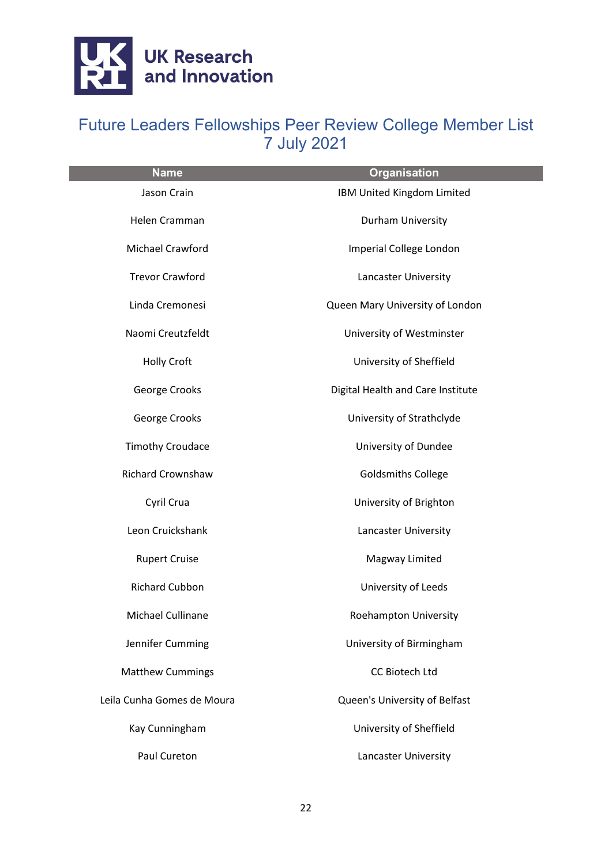

| <b>Name</b>                | <b>Organisation</b>               |
|----------------------------|-----------------------------------|
| Jason Crain                | IBM United Kingdom Limited        |
| Helen Cramman              | Durham University                 |
| <b>Michael Crawford</b>    | Imperial College London           |
| <b>Trevor Crawford</b>     | Lancaster University              |
| Linda Cremonesi            | Queen Mary University of London   |
| Naomi Creutzfeldt          | University of Westminster         |
| <b>Holly Croft</b>         | University of Sheffield           |
| George Crooks              | Digital Health and Care Institute |
| George Crooks              | University of Strathclyde         |
| <b>Timothy Croudace</b>    | University of Dundee              |
| <b>Richard Crownshaw</b>   | <b>Goldsmiths College</b>         |
| Cyril Crua                 | University of Brighton            |
| Leon Cruickshank           | Lancaster University              |
| <b>Rupert Cruise</b>       | Magway Limited                    |
| Richard Cubbon             | University of Leeds               |
| Michael Cullinane          | Roehampton University             |
| Jennifer Cumming           | University of Birmingham          |
| <b>Matthew Cummings</b>    | CC Biotech Ltd                    |
| Leila Cunha Gomes de Moura | Queen's University of Belfast     |
| Kay Cunningham             | University of Sheffield           |
| Paul Cureton               | Lancaster University              |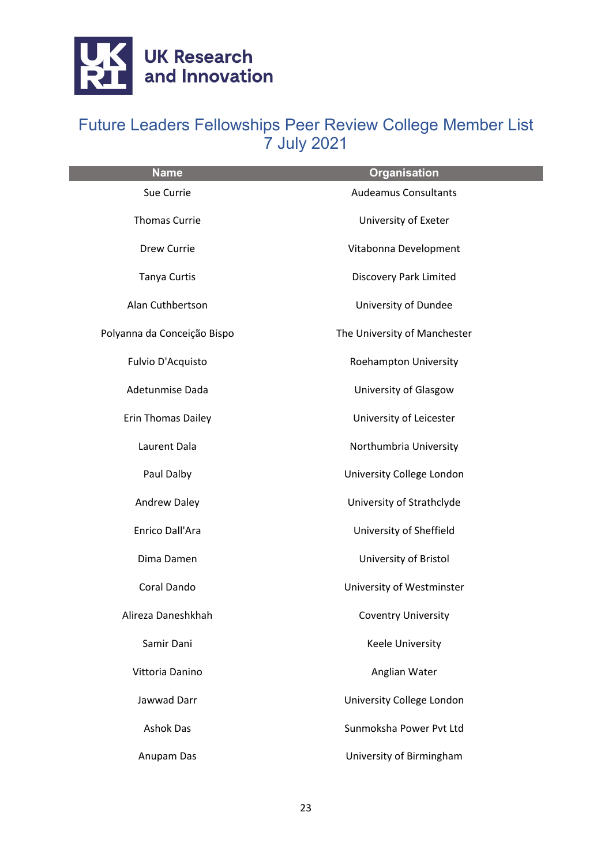

| <b>Name</b>                 | <b>Organisation</b>           |
|-----------------------------|-------------------------------|
| Sue Currie                  | <b>Audeamus Consultants</b>   |
| <b>Thomas Currie</b>        | University of Exeter          |
| Drew Currie                 | Vitabonna Development         |
| <b>Tanya Curtis</b>         | <b>Discovery Park Limited</b> |
| Alan Cuthbertson            | University of Dundee          |
| Polyanna da Conceição Bispo | The University of Manchester  |
| Fulvio D'Acquisto           | Roehampton University         |
| Adetunmise Dada             | University of Glasgow         |
| Erin Thomas Dailey          | University of Leicester       |
| Laurent Dala                | Northumbria University        |
| Paul Dalby                  | University College London     |
| <b>Andrew Daley</b>         | University of Strathclyde     |
| Enrico Dall'Ara             | University of Sheffield       |
| Dima Damen                  | University of Bristol         |
| Coral Dando                 | University of Westminster     |
| Alireza Daneshkhah          | <b>Coventry University</b>    |
| Samir Dani                  | <b>Keele University</b>       |
| Vittoria Danino             | Anglian Water                 |
| Jawwad Darr                 | University College London     |
| <b>Ashok Das</b>            | Sunmoksha Power Pvt Ltd       |
| Anupam Das                  | University of Birmingham      |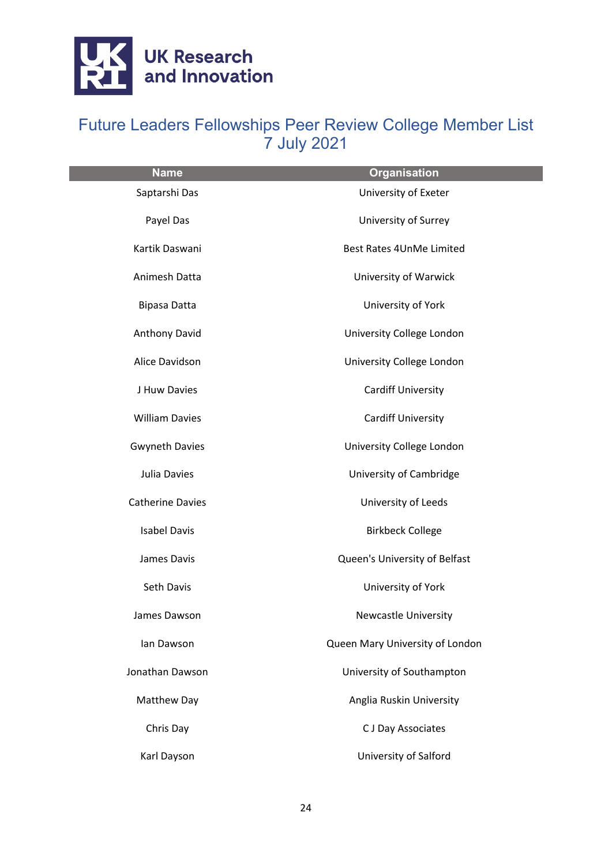

| <b>Name</b>             | <b>Organisation</b>             |
|-------------------------|---------------------------------|
| Saptarshi Das           | University of Exeter            |
| Payel Das               | University of Surrey            |
| Kartik Daswani          | Best Rates 4UnMe Limited        |
| Animesh Datta           | University of Warwick           |
| Bipasa Datta            | University of York              |
| Anthony David           | University College London       |
| Alice Davidson          | University College London       |
| J Huw Davies            | <b>Cardiff University</b>       |
| <b>William Davies</b>   | <b>Cardiff University</b>       |
| <b>Gwyneth Davies</b>   | University College London       |
| Julia Davies            | University of Cambridge         |
| <b>Catherine Davies</b> | University of Leeds             |
| <b>Isabel Davis</b>     | <b>Birkbeck College</b>         |
| James Davis             | Queen's University of Belfast   |
| Seth Davis              | University of York              |
| James Dawson            | <b>Newcastle University</b>     |
| lan Dawson              | Queen Mary University of London |
| Jonathan Dawson         | University of Southampton       |
| Matthew Day             | Anglia Ruskin University        |
| Chris Day               | C J Day Associates              |
| Karl Dayson             | University of Salford           |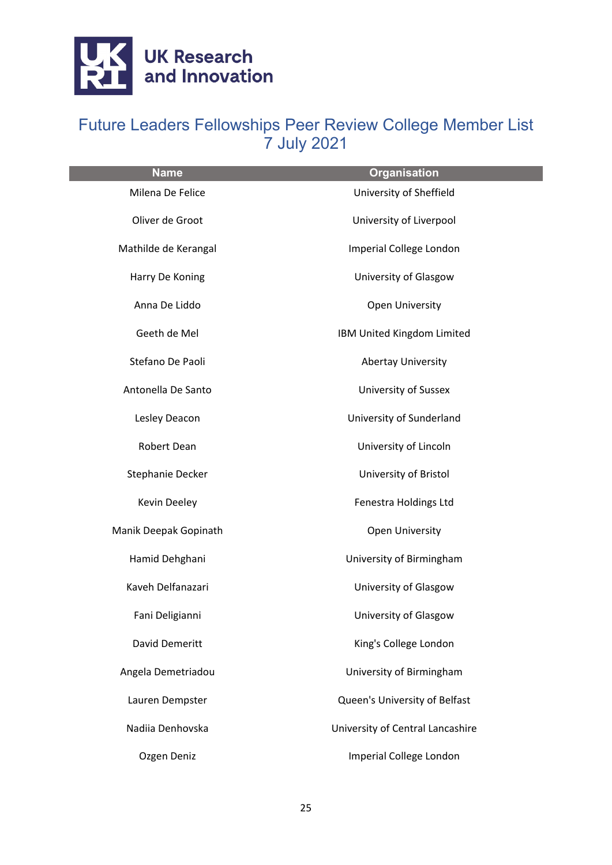

| <b>Name</b>           | <b>Organisation</b>              |
|-----------------------|----------------------------------|
| Milena De Felice      | University of Sheffield          |
| Oliver de Groot       | University of Liverpool          |
| Mathilde de Kerangal  | Imperial College London          |
| Harry De Koning       | University of Glasgow            |
| Anna De Liddo         | Open University                  |
| Geeth de Mel          | IBM United Kingdom Limited       |
| Stefano De Paoli      | <b>Abertay University</b>        |
| Antonella De Santo    | <b>University of Sussex</b>      |
| Lesley Deacon         | University of Sunderland         |
| Robert Dean           | University of Lincoln            |
| Stephanie Decker      | University of Bristol            |
| Kevin Deeley          | Fenestra Holdings Ltd            |
| Manik Deepak Gopinath | <b>Open University</b>           |
| Hamid Dehghani        | University of Birmingham         |
| Kaveh Delfanazari     | University of Glasgow            |
| Fani Deligianni       | University of Glasgow            |
| David Demeritt        | King's College London            |
| Angela Demetriadou    | University of Birmingham         |
| Lauren Dempster       | Queen's University of Belfast    |
| Nadiia Denhovska      | University of Central Lancashire |
| Ozgen Deniz           | Imperial College London          |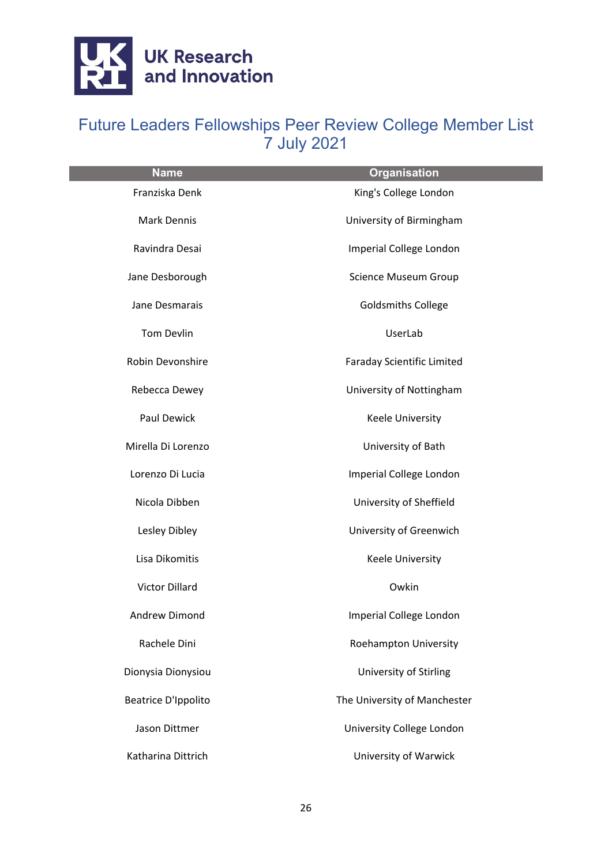

| <b>Name</b>                | Organisation                      |
|----------------------------|-----------------------------------|
| Franziska Denk             | King's College London             |
| <b>Mark Dennis</b>         | University of Birmingham          |
| Ravindra Desai             | Imperial College London           |
| Jane Desborough            | <b>Science Museum Group</b>       |
| Jane Desmarais             | <b>Goldsmiths College</b>         |
| Tom Devlin                 | UserLab                           |
| Robin Devonshire           | <b>Faraday Scientific Limited</b> |
| Rebecca Dewey              | University of Nottingham          |
| Paul Dewick                | Keele University                  |
| Mirella Di Lorenzo         | University of Bath                |
| Lorenzo Di Lucia           | Imperial College London           |
| Nicola Dibben              | University of Sheffield           |
| Lesley Dibley              | University of Greenwich           |
| Lisa Dikomitis             | Keele University                  |
| <b>Victor Dillard</b>      | Owkin                             |
| Andrew Dimond              | Imperial College London           |
| Rachele Dini               | Roehampton University             |
| Dionysia Dionysiou         | University of Stirling            |
| <b>Beatrice D'Ippolito</b> | The University of Manchester      |
| Jason Dittmer              | University College London         |
| Katharina Dittrich         | University of Warwick             |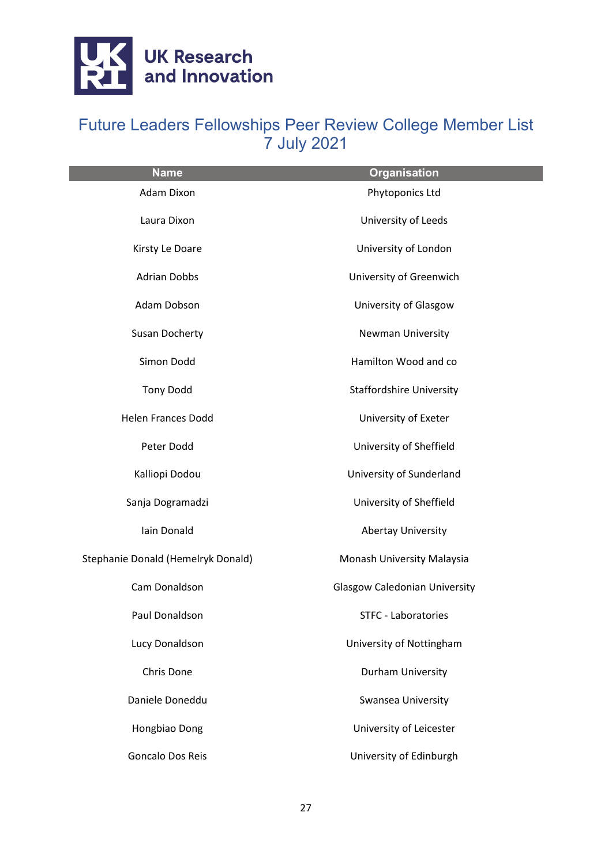

| <b>Name</b>                        | <b>Organisation</b>                  |
|------------------------------------|--------------------------------------|
| Adam Dixon                         | Phytoponics Ltd                      |
| Laura Dixon                        | University of Leeds                  |
| Kirsty Le Doare                    | University of London                 |
| <b>Adrian Dobbs</b>                | University of Greenwich              |
| Adam Dobson                        | University of Glasgow                |
| Susan Docherty                     | <b>Newman University</b>             |
| Simon Dodd                         | Hamilton Wood and co                 |
| <b>Tony Dodd</b>                   | <b>Staffordshire University</b>      |
| <b>Helen Frances Dodd</b>          | University of Exeter                 |
| Peter Dodd                         | University of Sheffield              |
| Kalliopi Dodou                     | University of Sunderland             |
| Sanja Dogramadzi                   | University of Sheffield              |
| Iain Donald                        | <b>Abertay University</b>            |
| Stephanie Donald (Hemelryk Donald) | Monash University Malaysia           |
| Cam Donaldson                      | <b>Glasgow Caledonian University</b> |
| Paul Donaldson                     | <b>STFC - Laboratories</b>           |
| Lucy Donaldson                     | University of Nottingham             |
| Chris Done                         | Durham University                    |
| Daniele Doneddu                    | Swansea University                   |
| Hongbiao Dong                      | University of Leicester              |
| <b>Goncalo Dos Reis</b>            | University of Edinburgh              |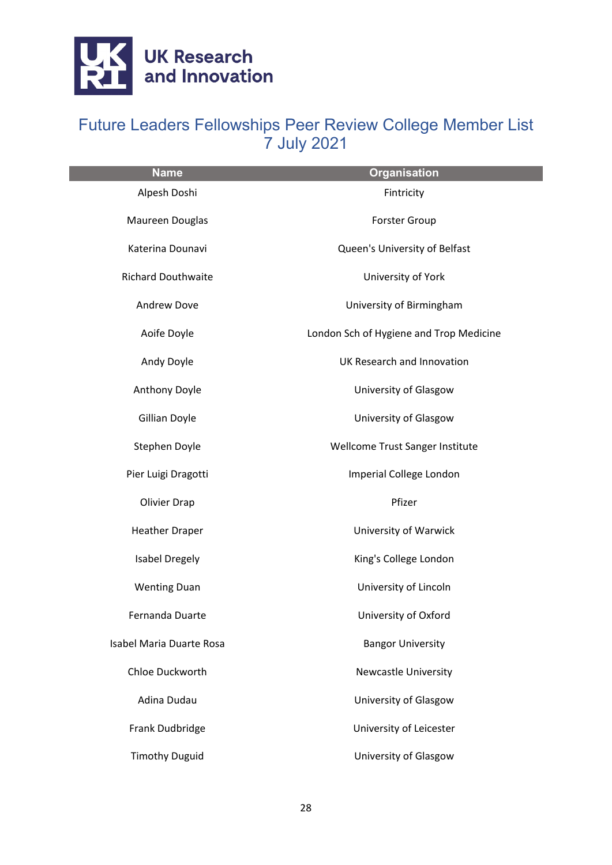

| <b>Name</b>               | <b>Organisation</b>                     |
|---------------------------|-----------------------------------------|
| Alpesh Doshi              | Fintricity                              |
| Maureen Douglas           | <b>Forster Group</b>                    |
| Katerina Dounavi          | Queen's University of Belfast           |
| <b>Richard Douthwaite</b> | University of York                      |
| <b>Andrew Dove</b>        | University of Birmingham                |
| Aoife Doyle               | London Sch of Hygiene and Trop Medicine |
| Andy Doyle                | UK Research and Innovation              |
| Anthony Doyle             | University of Glasgow                   |
| Gillian Doyle             | University of Glasgow                   |
| Stephen Doyle             | Wellcome Trust Sanger Institute         |
| Pier Luigi Dragotti       | Imperial College London                 |
| <b>Olivier Drap</b>       | Pfizer                                  |
| <b>Heather Draper</b>     | University of Warwick                   |
| <b>Isabel Dregely</b>     | King's College London                   |
| <b>Wenting Duan</b>       | University of Lincoln                   |
| Fernanda Duarte           | University of Oxford                    |
| Isabel Maria Duarte Rosa  | <b>Bangor University</b>                |
| Chloe Duckworth           | <b>Newcastle University</b>             |
| Adina Dudau               | University of Glasgow                   |
| Frank Dudbridge           | University of Leicester                 |
| <b>Timothy Duguid</b>     | University of Glasgow                   |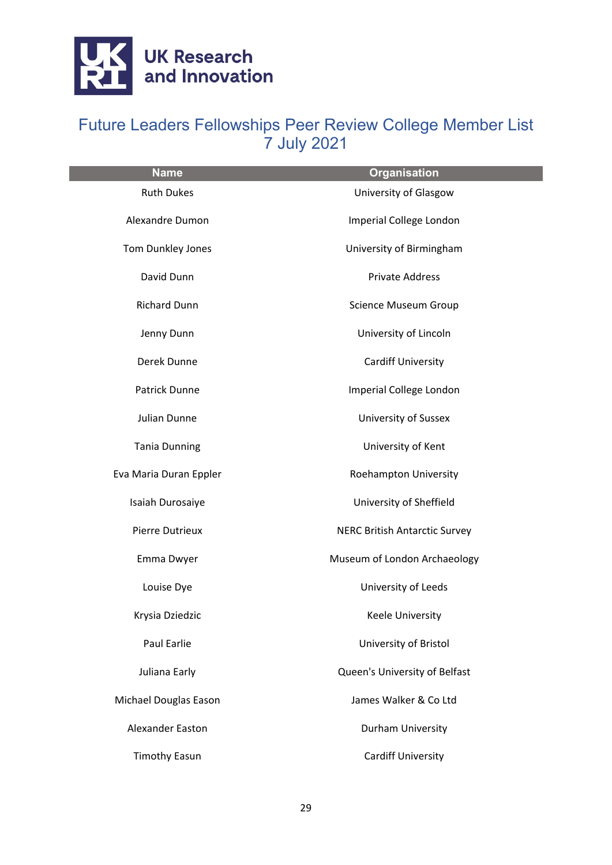

| <b>Name</b>            | <b>Organisation</b>                  |
|------------------------|--------------------------------------|
| <b>Ruth Dukes</b>      | University of Glasgow                |
| Alexandre Dumon        | Imperial College London              |
| Tom Dunkley Jones      | University of Birmingham             |
| David Dunn             | <b>Private Address</b>               |
| <b>Richard Dunn</b>    | <b>Science Museum Group</b>          |
| Jenny Dunn             | University of Lincoln                |
| Derek Dunne            | <b>Cardiff University</b>            |
| <b>Patrick Dunne</b>   | Imperial College London              |
| Julian Dunne           | University of Sussex                 |
| <b>Tania Dunning</b>   | University of Kent                   |
| Eva Maria Duran Eppler | Roehampton University                |
| Isaiah Durosaiye       | University of Sheffield              |
| Pierre Dutrieux        | <b>NERC British Antarctic Survey</b> |
| Emma Dwyer             | Museum of London Archaeology         |
| Louise Dye             | University of Leeds                  |
| Krysia Dziedzic        | Keele University                     |
| Paul Earlie            | University of Bristol                |
| Juliana Early          | Queen's University of Belfast        |
| Michael Douglas Eason  | James Walker & Co Ltd                |
| Alexander Easton       | Durham University                    |
| <b>Timothy Easun</b>   | <b>Cardiff University</b>            |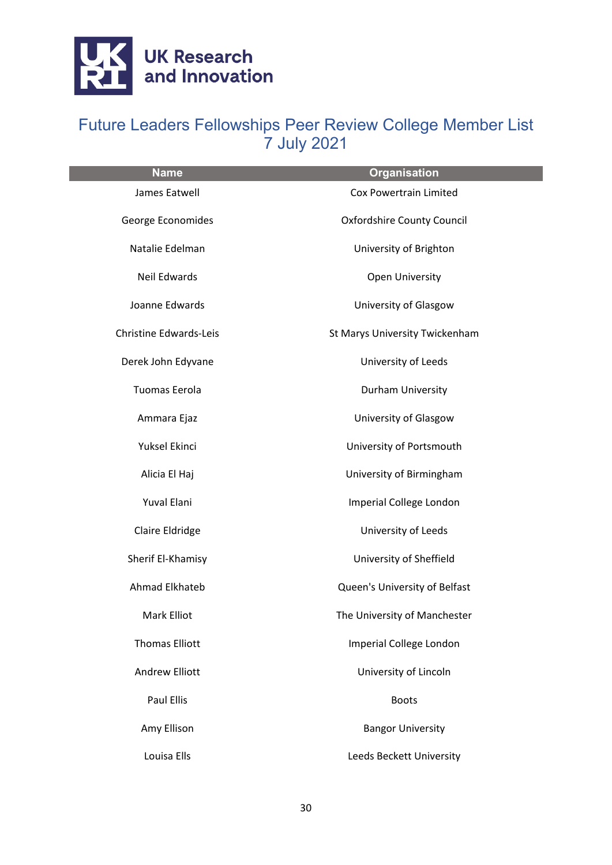

| <b>Name</b>                   | <b>Organisation</b>               |
|-------------------------------|-----------------------------------|
| James Eatwell                 | <b>Cox Powertrain Limited</b>     |
| George Economides             | <b>Oxfordshire County Council</b> |
| Natalie Edelman               | University of Brighton            |
| Neil Edwards                  | Open University                   |
| Joanne Edwards                | University of Glasgow             |
| <b>Christine Edwards-Leis</b> | St Marys University Twickenham    |
| Derek John Edyvane            | University of Leeds               |
| Tuomas Eerola                 | Durham University                 |
| Ammara Ejaz                   | University of Glasgow             |
| Yuksel Ekinci                 | University of Portsmouth          |
| Alicia El Haj                 | University of Birmingham          |
| Yuval Elani                   | Imperial College London           |
| Claire Eldridge               | University of Leeds               |
| Sherif El-Khamisy             | University of Sheffield           |
| Ahmad Elkhateb                | Queen's University of Belfast     |
| <b>Mark Elliot</b>            | The University of Manchester      |
| <b>Thomas Elliott</b>         | Imperial College London           |
| <b>Andrew Elliott</b>         | University of Lincoln             |
| <b>Paul Ellis</b>             | <b>Boots</b>                      |
| Amy Ellison                   | <b>Bangor University</b>          |
| Louisa Ells                   | Leeds Beckett University          |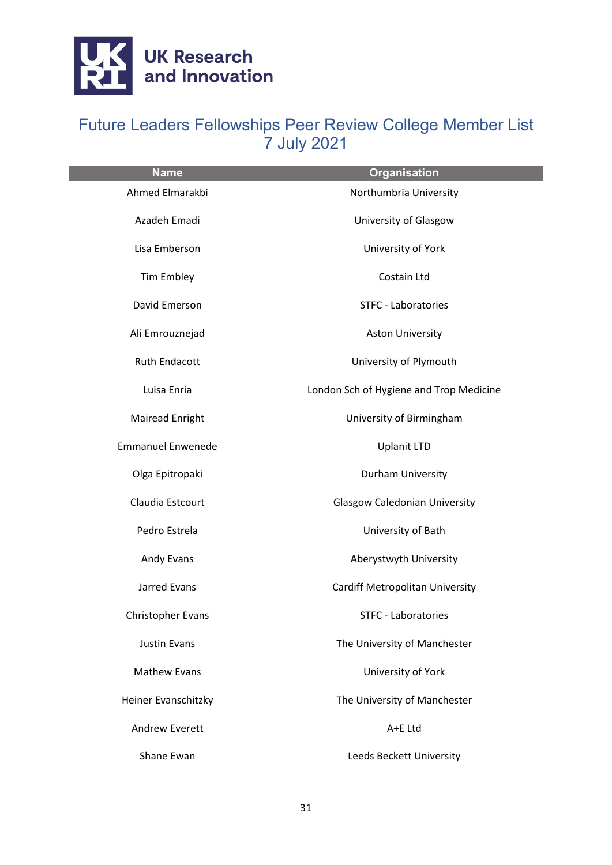

| <b>Name</b>              | <b>Organisation</b>                     |
|--------------------------|-----------------------------------------|
| Ahmed Elmarakbi          | Northumbria University                  |
| Azadeh Emadi             | University of Glasgow                   |
| Lisa Emberson            | University of York                      |
| <b>Tim Embley</b>        | Costain Ltd                             |
| David Emerson            | STFC - Laboratories                     |
| Ali Emrouznejad          | <b>Aston University</b>                 |
| <b>Ruth Endacott</b>     | University of Plymouth                  |
| Luisa Enria              | London Sch of Hygiene and Trop Medicine |
| <b>Mairead Enright</b>   | University of Birmingham                |
| <b>Emmanuel Enwenede</b> | <b>Uplanit LTD</b>                      |
| Olga Epitropaki          | Durham University                       |
| Claudia Estcourt         | <b>Glasgow Caledonian University</b>    |
| Pedro Estrela            | University of Bath                      |
| Andy Evans               | Aberystwyth University                  |
| Jarred Evans             | <b>Cardiff Metropolitan University</b>  |
| <b>Christopher Evans</b> | <b>STFC - Laboratories</b>              |
| <b>Justin Evans</b>      | The University of Manchester            |
| <b>Mathew Evans</b>      | University of York                      |
| Heiner Evanschitzky      | The University of Manchester            |
| <b>Andrew Everett</b>    | A+E Ltd                                 |
| Shane Ewan               | Leeds Beckett University                |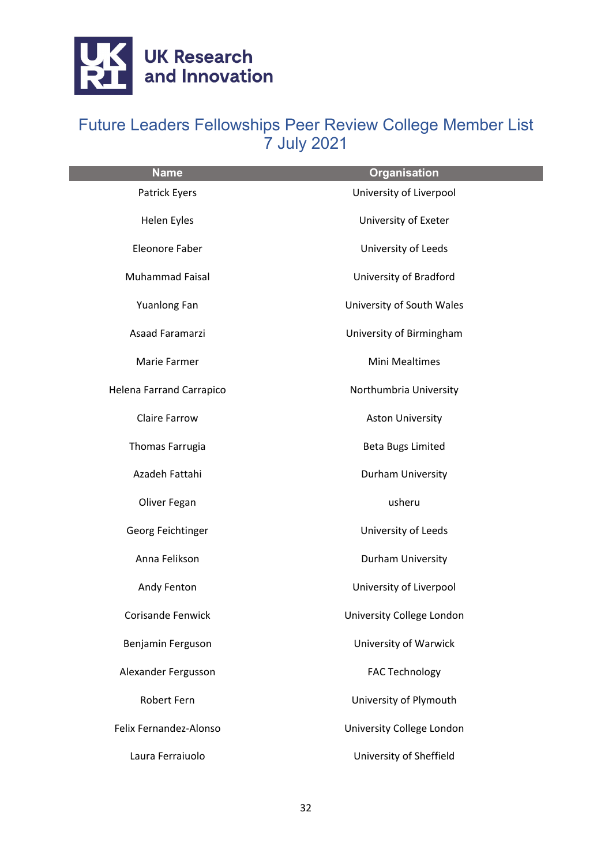

| <b>Name</b>              | <b>Organisation</b>       |
|--------------------------|---------------------------|
| Patrick Eyers            | University of Liverpool   |
| Helen Eyles              | University of Exeter      |
| Eleonore Faber           | University of Leeds       |
| Muhammad Faisal          | University of Bradford    |
| Yuanlong Fan             | University of South Wales |
| Asaad Faramarzi          | University of Birmingham  |
| Marie Farmer             | <b>Mini Mealtimes</b>     |
| Helena Farrand Carrapico | Northumbria University    |
| <b>Claire Farrow</b>     | <b>Aston University</b>   |
| Thomas Farrugia          | <b>Beta Bugs Limited</b>  |
| Azadeh Fattahi           | Durham University         |
| Oliver Fegan             | usheru                    |
| Georg Feichtinger        | University of Leeds       |
| Anna Felikson            | Durham University         |
| Andy Fenton              | University of Liverpool   |
| <b>Corisande Fenwick</b> | University College London |
| Benjamin Ferguson        | University of Warwick     |
| Alexander Fergusson      | <b>FAC Technology</b>     |
| <b>Robert Fern</b>       | University of Plymouth    |
| Felix Fernandez-Alonso   | University College London |
| Laura Ferraiuolo         | University of Sheffield   |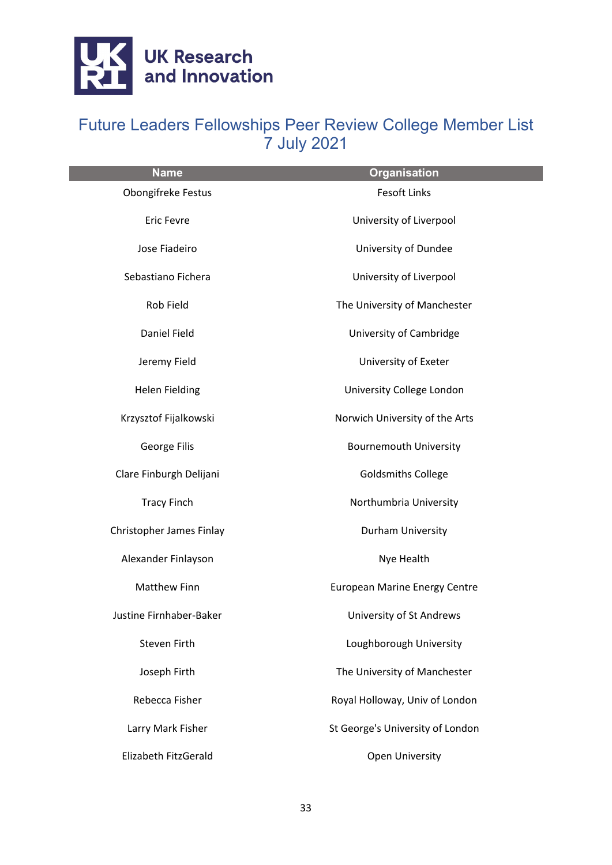

| <b>Name</b>              | <b>Organisation</b>                  |
|--------------------------|--------------------------------------|
| Obongifreke Festus       | <b>Fesoft Links</b>                  |
| <b>Eric Fevre</b>        | University of Liverpool              |
| Jose Fiadeiro            | University of Dundee                 |
| Sebastiano Fichera       | University of Liverpool              |
| Rob Field                | The University of Manchester         |
| <b>Daniel Field</b>      | University of Cambridge              |
| Jeremy Field             | University of Exeter                 |
| <b>Helen Fielding</b>    | University College London            |
| Krzysztof Fijalkowski    | Norwich University of the Arts       |
| George Filis             | <b>Bournemouth University</b>        |
| Clare Finburgh Delijani  | <b>Goldsmiths College</b>            |
| <b>Tracy Finch</b>       | Northumbria University               |
| Christopher James Finlay | Durham University                    |
| Alexander Finlayson      | Nye Health                           |
| <b>Matthew Finn</b>      | <b>European Marine Energy Centre</b> |
| Justine Firnhaber-Baker  | University of St Andrews             |
| Steven Firth             | Loughborough University              |
| Joseph Firth             | The University of Manchester         |
| Rebecca Fisher           | Royal Holloway, Univ of London       |
| Larry Mark Fisher        | St George's University of London     |
| Elizabeth FitzGerald     | <b>Open University</b>               |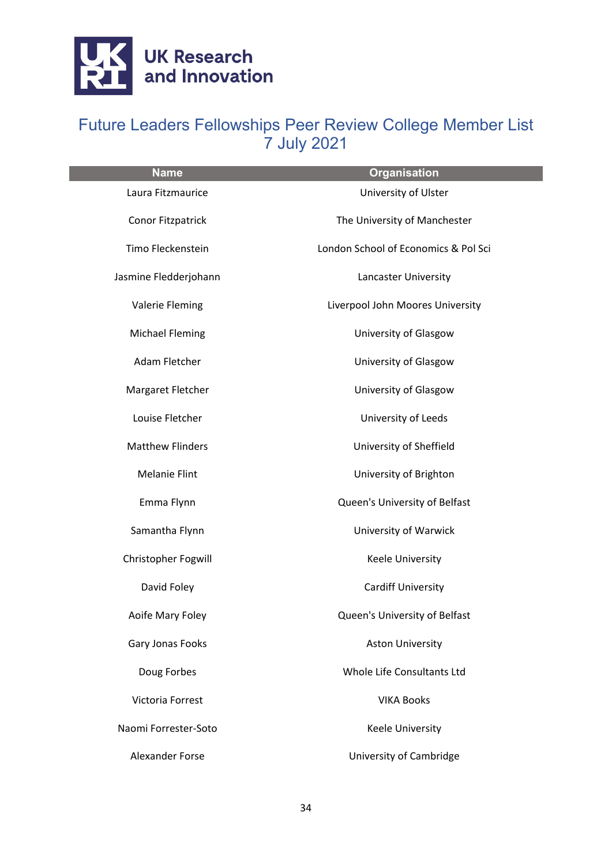

| <b>Name</b>             | <b>Organisation</b>                  |
|-------------------------|--------------------------------------|
| Laura Fitzmaurice       | University of Ulster                 |
| Conor Fitzpatrick       | The University of Manchester         |
| Timo Fleckenstein       | London School of Economics & Pol Sci |
| Jasmine Fledderjohann   | Lancaster University                 |
| Valerie Fleming         | Liverpool John Moores University     |
| <b>Michael Fleming</b>  | University of Glasgow                |
| Adam Fletcher           | University of Glasgow                |
| Margaret Fletcher       | University of Glasgow                |
| Louise Fletcher         | University of Leeds                  |
| <b>Matthew Flinders</b> | University of Sheffield              |
| <b>Melanie Flint</b>    | University of Brighton               |
| Emma Flynn              | Queen's University of Belfast        |
| Samantha Flynn          | University of Warwick                |
| Christopher Fogwill     | <b>Keele University</b>              |
| David Foley             | <b>Cardiff University</b>            |
| Aoife Mary Foley        | Queen's University of Belfast        |
| Gary Jonas Fooks        | <b>Aston University</b>              |
| Doug Forbes             | Whole Life Consultants Ltd           |
| Victoria Forrest        | <b>VIKA Books</b>                    |
| Naomi Forrester-Soto    | <b>Keele University</b>              |
| Alexander Forse         | University of Cambridge              |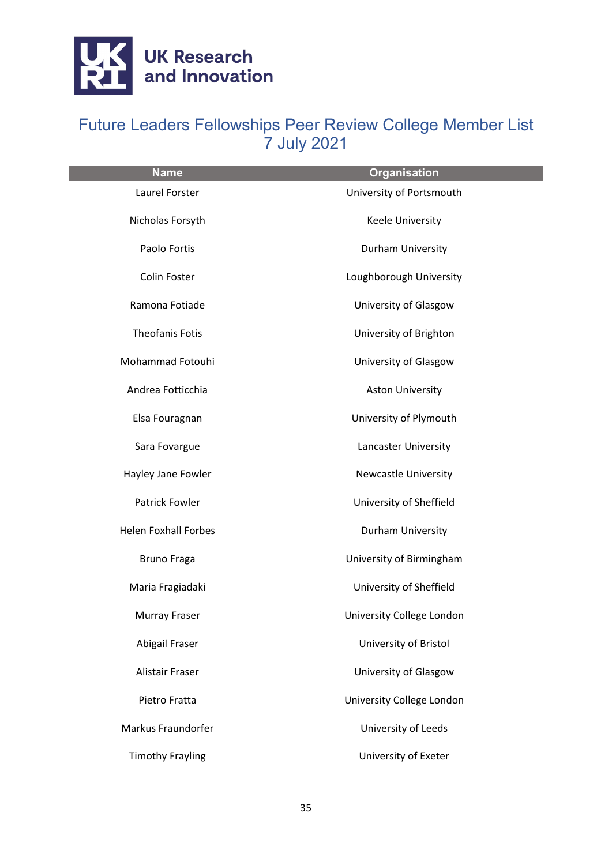

| <b>Name</b>                 | <b>Organisation</b>         |
|-----------------------------|-----------------------------|
| Laurel Forster              | University of Portsmouth    |
| Nicholas Forsyth            | Keele University            |
| Paolo Fortis                | Durham University           |
| Colin Foster                | Loughborough University     |
| Ramona Fotiade              | University of Glasgow       |
| <b>Theofanis Fotis</b>      | University of Brighton      |
| Mohammad Fotouhi            | University of Glasgow       |
| Andrea Fotticchia           | <b>Aston University</b>     |
| Elsa Fouragnan              | University of Plymouth      |
| Sara Fovargue               | Lancaster University        |
| Hayley Jane Fowler          | <b>Newcastle University</b> |
| <b>Patrick Fowler</b>       | University of Sheffield     |
| <b>Helen Foxhall Forbes</b> | Durham University           |
| <b>Bruno Fraga</b>          | University of Birmingham    |
| Maria Fragiadaki            | University of Sheffield     |
| Murray Fraser               | University College London   |
| Abigail Fraser              | University of Bristol       |
| <b>Alistair Fraser</b>      | University of Glasgow       |
| Pietro Fratta               | University College London   |
| Markus Fraundorfer          | University of Leeds         |
| <b>Timothy Frayling</b>     | University of Exeter        |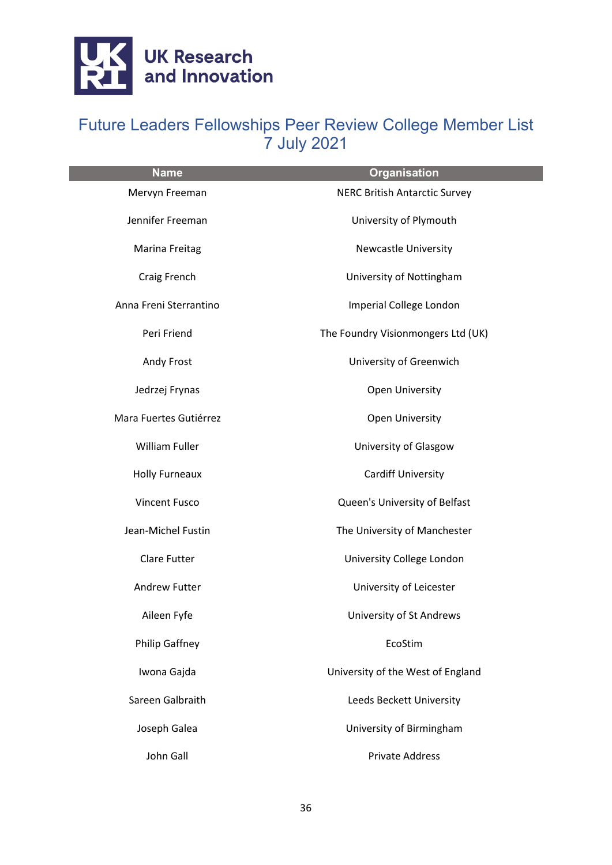

| <b>Name</b>            | <b>Organisation</b>                  |
|------------------------|--------------------------------------|
| Mervyn Freeman         | <b>NERC British Antarctic Survey</b> |
| Jennifer Freeman       | University of Plymouth               |
| Marina Freitag         | <b>Newcastle University</b>          |
| Craig French           | University of Nottingham             |
| Anna Freni Sterrantino | Imperial College London              |
| Peri Friend            | The Foundry Visionmongers Ltd (UK)   |
| Andy Frost             | University of Greenwich              |
| Jedrzej Frynas         | Open University                      |
| Mara Fuertes Gutiérrez | Open University                      |
| William Fuller         | University of Glasgow                |
| <b>Holly Furneaux</b>  | <b>Cardiff University</b>            |
| <b>Vincent Fusco</b>   | Queen's University of Belfast        |
| Jean-Michel Fustin     | The University of Manchester         |
| <b>Clare Futter</b>    | University College London            |
| <b>Andrew Futter</b>   | University of Leicester              |
| Aileen Fyfe            | University of St Andrews             |
| <b>Philip Gaffney</b>  | EcoStim                              |
| Iwona Gajda            | University of the West of England    |
| Sareen Galbraith       | Leeds Beckett University             |
| Joseph Galea           | University of Birmingham             |
| John Gall              | <b>Private Address</b>               |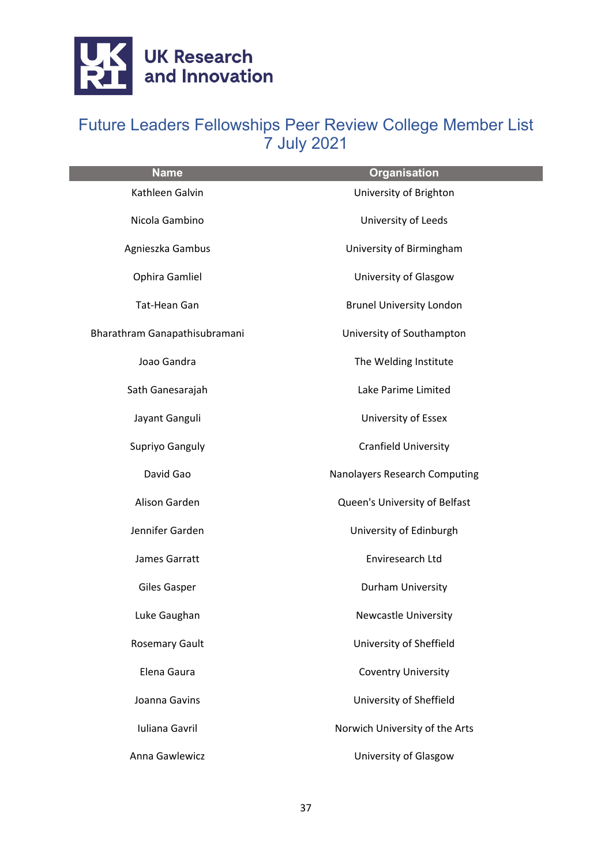

| <b>Name</b>                   | <b>Organisation</b>             |
|-------------------------------|---------------------------------|
| Kathleen Galvin               | University of Brighton          |
| Nicola Gambino                | University of Leeds             |
| Agnieszka Gambus              | University of Birmingham        |
| Ophira Gamliel                | University of Glasgow           |
| <b>Tat-Hean Gan</b>           | <b>Brunel University London</b> |
| Bharathram Ganapathisubramani | University of Southampton       |
| Joao Gandra                   | The Welding Institute           |
| Sath Ganesarajah              | Lake Parime Limited             |
| Jayant Ganguli                | University of Essex             |
| Supriyo Ganguly               | Cranfield University            |
| David Gao                     | Nanolayers Research Computing   |
| Alison Garden                 | Queen's University of Belfast   |
| Jennifer Garden               | University of Edinburgh         |
| James Garratt                 | Enviresearch Ltd                |
| Giles Gasper                  | Durham University               |
| Luke Gaughan                  | <b>Newcastle University</b>     |
| <b>Rosemary Gault</b>         | University of Sheffield         |
| Elena Gaura                   | <b>Coventry University</b>      |
| Joanna Gavins                 | University of Sheffield         |
| Iuliana Gavril                | Norwich University of the Arts  |
| Anna Gawlewicz                | University of Glasgow           |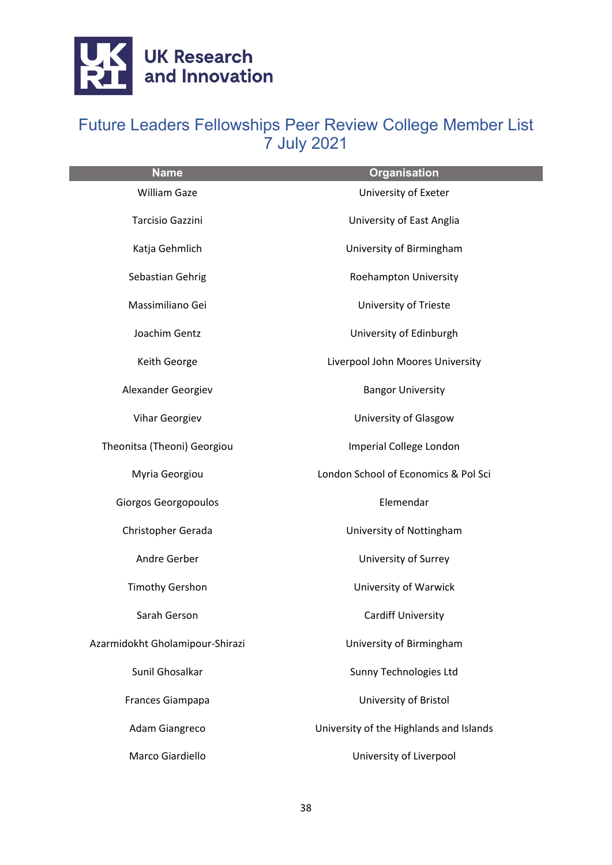

| <b>Name</b>                     | <b>Organisation</b>                     |
|---------------------------------|-----------------------------------------|
| <b>William Gaze</b>             | University of Exeter                    |
| <b>Tarcisio Gazzini</b>         | University of East Anglia               |
| Katja Gehmlich                  | University of Birmingham                |
| Sebastian Gehrig                | Roehampton University                   |
| Massimiliano Gei                | University of Trieste                   |
| Joachim Gentz                   | University of Edinburgh                 |
| Keith George                    | Liverpool John Moores University        |
| Alexander Georgiev              | <b>Bangor University</b>                |
| <b>Vihar Georgiev</b>           | University of Glasgow                   |
| Theonitsa (Theoni) Georgiou     | Imperial College London                 |
| Myria Georgiou                  | London School of Economics & Pol Sci    |
| Giorgos Georgopoulos            | Elemendar                               |
| Christopher Gerada              | University of Nottingham                |
| Andre Gerber                    | University of Surrey                    |
| <b>Timothy Gershon</b>          | University of Warwick                   |
| Sarah Gerson                    | <b>Cardiff University</b>               |
| Azarmidokht Gholamipour-Shirazi | University of Birmingham                |
| Sunil Ghosalkar                 | Sunny Technologies Ltd                  |
| Frances Giampapa                | University of Bristol                   |
| Adam Giangreco                  | University of the Highlands and Islands |
| Marco Giardiello                | University of Liverpool                 |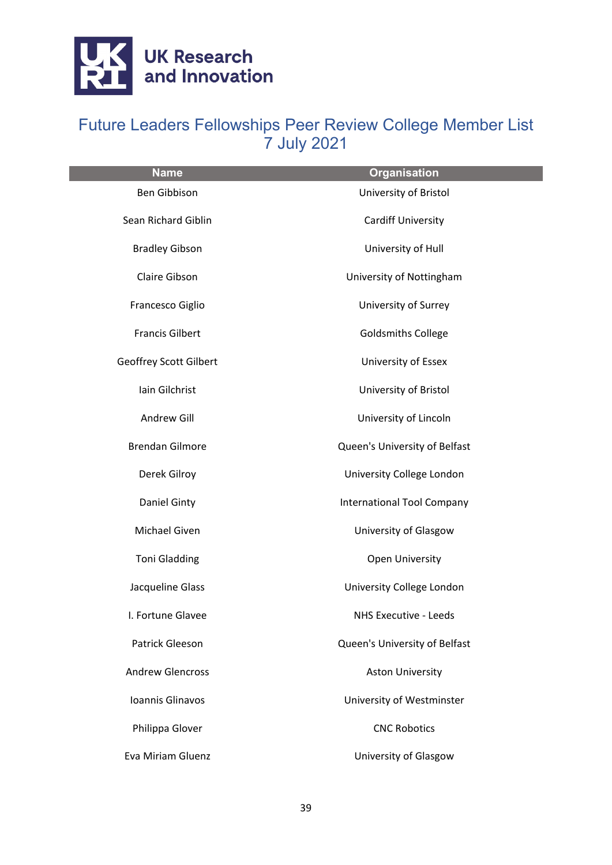

| <b>Name</b>                   | <b>Organisation</b>               |
|-------------------------------|-----------------------------------|
| Ben Gibbison                  | University of Bristol             |
| Sean Richard Giblin           | <b>Cardiff University</b>         |
| <b>Bradley Gibson</b>         | University of Hull                |
| Claire Gibson                 | University of Nottingham          |
| Francesco Giglio              | University of Surrey              |
| <b>Francis Gilbert</b>        | <b>Goldsmiths College</b>         |
| <b>Geoffrey Scott Gilbert</b> | University of Essex               |
| Iain Gilchrist                | University of Bristol             |
| Andrew Gill                   | University of Lincoln             |
| <b>Brendan Gilmore</b>        | Queen's University of Belfast     |
| Derek Gilroy                  | University College London         |
| Daniel Ginty                  | <b>International Tool Company</b> |
| Michael Given                 | University of Glasgow             |
| <b>Toni Gladding</b>          | <b>Open University</b>            |
| Jacqueline Glass              | University College London         |
| I. Fortune Glavee             | NHS Executive - Leeds             |
| Patrick Gleeson               | Queen's University of Belfast     |
| <b>Andrew Glencross</b>       | <b>Aston University</b>           |
| Ioannis Glinavos              | University of Westminster         |
| Philippa Glover               | <b>CNC Robotics</b>               |
| <b>Eva Miriam Gluenz</b>      | University of Glasgow             |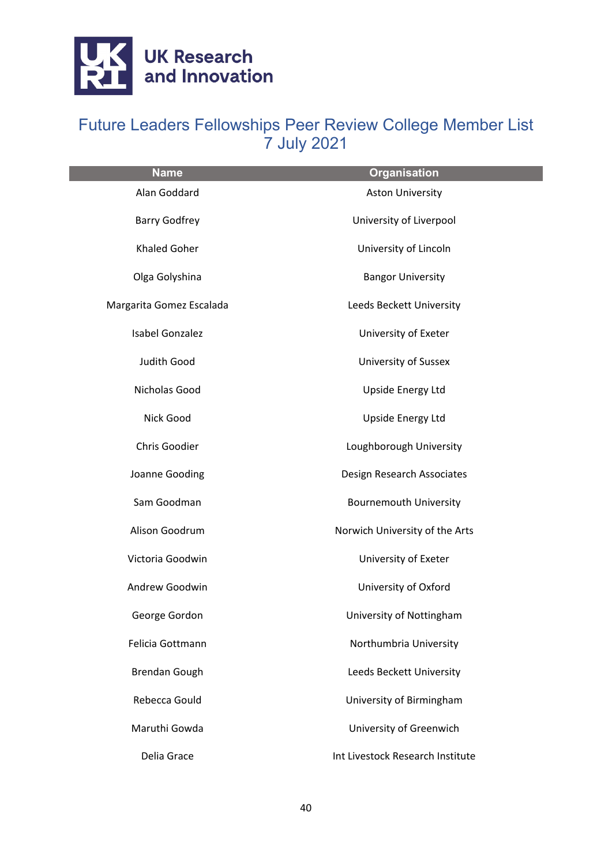

| <b>Name</b>              | <b>Organisation</b>              |
|--------------------------|----------------------------------|
| Alan Goddard             | <b>Aston University</b>          |
| <b>Barry Godfrey</b>     | University of Liverpool          |
| Khaled Goher             | University of Lincoln            |
| Olga Golyshina           | <b>Bangor University</b>         |
| Margarita Gomez Escalada | Leeds Beckett University         |
| Isabel Gonzalez          | University of Exeter             |
| Judith Good              | <b>University of Sussex</b>      |
| Nicholas Good            | <b>Upside Energy Ltd</b>         |
| Nick Good                | <b>Upside Energy Ltd</b>         |
| Chris Goodier            | Loughborough University          |
| Joanne Gooding           | Design Research Associates       |
| Sam Goodman              | <b>Bournemouth University</b>    |
| Alison Goodrum           | Norwich University of the Arts   |
| Victoria Goodwin         | University of Exeter             |
| Andrew Goodwin           | University of Oxford             |
| George Gordon            | University of Nottingham         |
| Felicia Gottmann         | Northumbria University           |
| <b>Brendan Gough</b>     | Leeds Beckett University         |
| Rebecca Gould            | University of Birmingham         |
| Maruthi Gowda            | University of Greenwich          |
| Delia Grace              | Int Livestock Research Institute |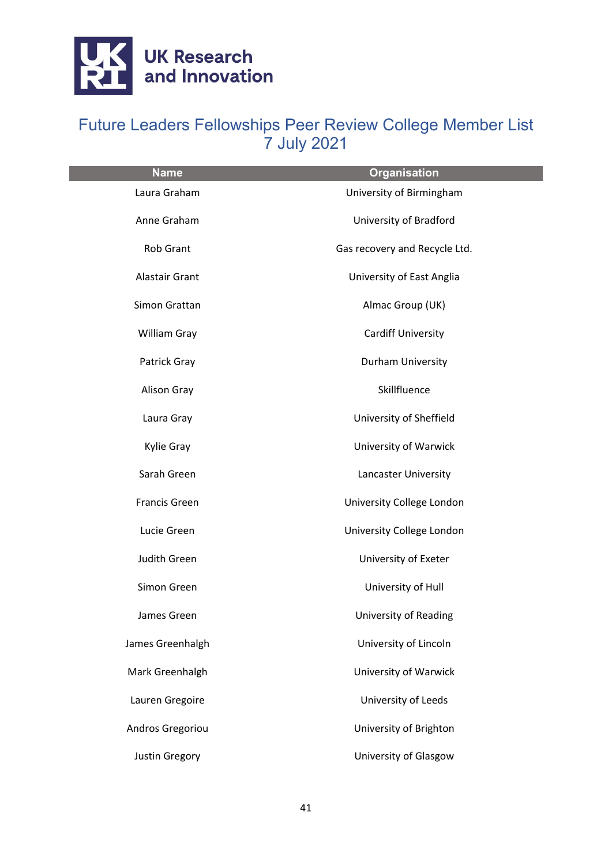

| <b>Name</b>      | <b>Organisation</b>           |
|------------------|-------------------------------|
| Laura Graham     | University of Birmingham      |
| Anne Graham      | University of Bradford        |
| <b>Rob Grant</b> | Gas recovery and Recycle Ltd. |
| Alastair Grant   | University of East Anglia     |
| Simon Grattan    | Almac Group (UK)              |
| William Gray     | <b>Cardiff University</b>     |
| Patrick Gray     | Durham University             |
| Alison Gray      | Skillfluence                  |
| Laura Gray       | University of Sheffield       |
| Kylie Gray       | University of Warwick         |
| Sarah Green      | Lancaster University          |
| Francis Green    | University College London     |
| Lucie Green      | University College London     |
| Judith Green     | University of Exeter          |
| Simon Green      | University of Hull            |
| James Green      | University of Reading         |
| James Greenhalgh | University of Lincoln         |
| Mark Greenhalgh  | <b>University of Warwick</b>  |
| Lauren Gregoire  | University of Leeds           |
| Andros Gregoriou | University of Brighton        |
| Justin Gregory   | University of Glasgow         |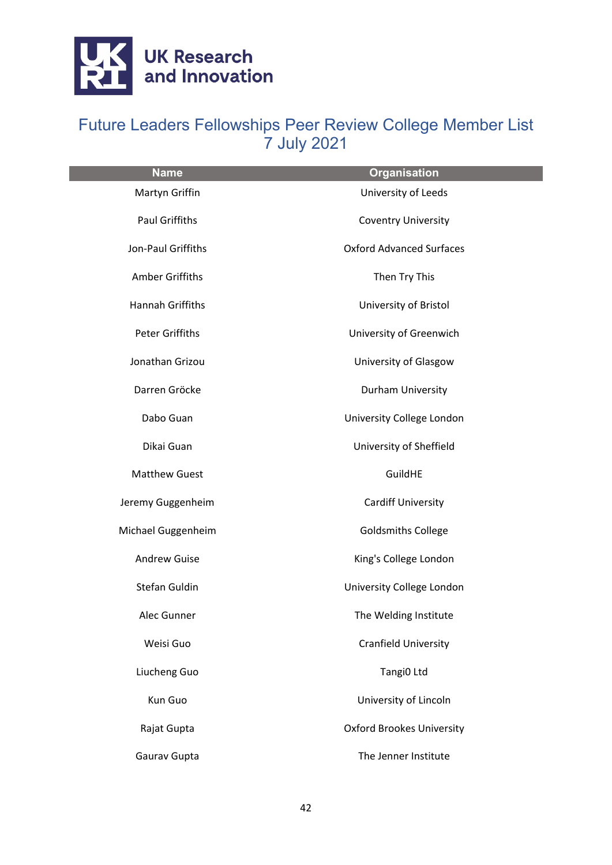

| <b>Name</b>             | <b>Organisation</b>              |
|-------------------------|----------------------------------|
| Martyn Griffin          | University of Leeds              |
| <b>Paul Griffiths</b>   | <b>Coventry University</b>       |
| Jon-Paul Griffiths      | <b>Oxford Advanced Surfaces</b>  |
| Amber Griffiths         | Then Try This                    |
| <b>Hannah Griffiths</b> | University of Bristol            |
| Peter Griffiths         | University of Greenwich          |
| Jonathan Grizou         | University of Glasgow            |
| Darren Gröcke           | Durham University                |
| Dabo Guan               | University College London        |
| Dikai Guan              | University of Sheffield          |
| <b>Matthew Guest</b>    | GuildHE                          |
| Jeremy Guggenheim       | <b>Cardiff University</b>        |
| Michael Guggenheim      | <b>Goldsmiths College</b>        |
| <b>Andrew Guise</b>     | King's College London            |
| Stefan Guldin           | University College London        |
| Alec Gunner             | The Welding Institute            |
| Weisi Guo               | <b>Cranfield University</b>      |
| Liucheng Guo            | Tangi0 Ltd                       |
| Kun Guo                 | University of Lincoln            |
| Rajat Gupta             | <b>Oxford Brookes University</b> |
| Gaurav Gupta            | The Jenner Institute             |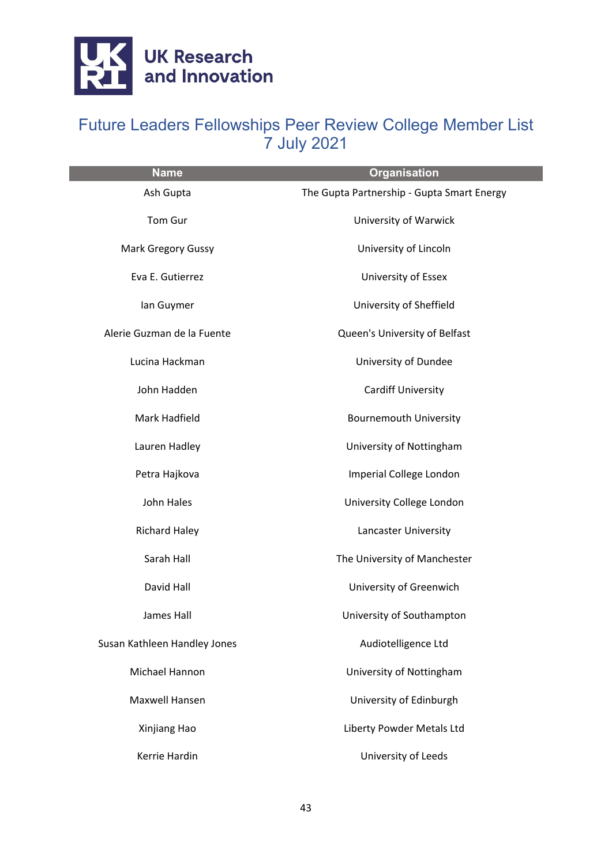

| <b>Name</b>                  | <b>Organisation</b>                        |
|------------------------------|--------------------------------------------|
| Ash Gupta                    | The Gupta Partnership - Gupta Smart Energy |
| Tom Gur                      | University of Warwick                      |
| <b>Mark Gregory Gussy</b>    | University of Lincoln                      |
| Eva E. Gutierrez             | University of Essex                        |
| lan Guymer                   | University of Sheffield                    |
| Alerie Guzman de la Fuente   | Queen's University of Belfast              |
| Lucina Hackman               | University of Dundee                       |
| John Hadden                  | <b>Cardiff University</b>                  |
| Mark Hadfield                | <b>Bournemouth University</b>              |
| Lauren Hadley                | University of Nottingham                   |
| Petra Hajkova                | Imperial College London                    |
| John Hales                   | University College London                  |
| <b>Richard Haley</b>         | Lancaster University                       |
| Sarah Hall                   | The University of Manchester               |
| David Hall                   | University of Greenwich                    |
| James Hall                   | University of Southampton                  |
| Susan Kathleen Handley Jones | Audiotelligence Ltd                        |
| Michael Hannon               | University of Nottingham                   |
| <b>Maxwell Hansen</b>        | University of Edinburgh                    |
| Xinjiang Hao                 | Liberty Powder Metals Ltd                  |
| Kerrie Hardin                | University of Leeds                        |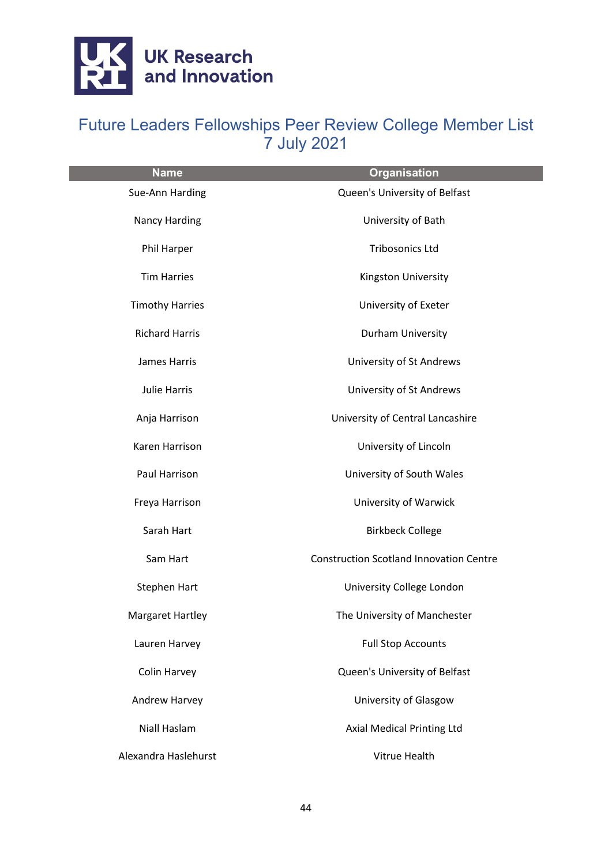

| <b>Name</b>             | <b>Organisation</b>                            |
|-------------------------|------------------------------------------------|
| Sue-Ann Harding         | Queen's University of Belfast                  |
| <b>Nancy Harding</b>    | University of Bath                             |
| Phil Harper             | <b>Tribosonics Ltd</b>                         |
| <b>Tim Harries</b>      | Kingston University                            |
| <b>Timothy Harries</b>  | University of Exeter                           |
| <b>Richard Harris</b>   | Durham University                              |
| <b>James Harris</b>     | University of St Andrews                       |
| Julie Harris            | University of St Andrews                       |
| Anja Harrison           | University of Central Lancashire               |
| Karen Harrison          | University of Lincoln                          |
| Paul Harrison           | University of South Wales                      |
| Freya Harrison          | University of Warwick                          |
| Sarah Hart              | <b>Birkbeck College</b>                        |
| Sam Hart                | <b>Construction Scotland Innovation Centre</b> |
| Stephen Hart            | University College London                      |
| <b>Margaret Hartley</b> | The University of Manchester                   |
| Lauren Harvey           | <b>Full Stop Accounts</b>                      |
| Colin Harvey            | Queen's University of Belfast                  |
| Andrew Harvey           | University of Glasgow                          |
| Niall Haslam            | Axial Medical Printing Ltd                     |
| Alexandra Haslehurst    | Vitrue Health                                  |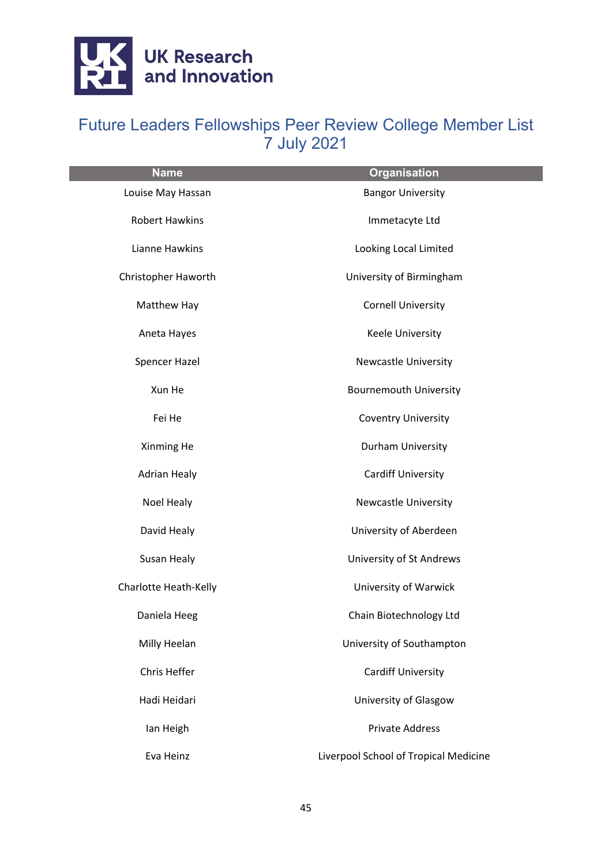

| <b>Name</b>           | <b>Organisation</b>                   |
|-----------------------|---------------------------------------|
| Louise May Hassan     | <b>Bangor University</b>              |
| <b>Robert Hawkins</b> | Immetacyte Ltd                        |
| Lianne Hawkins        | Looking Local Limited                 |
| Christopher Haworth   | University of Birmingham              |
| Matthew Hay           | <b>Cornell University</b>             |
| Aneta Hayes           | Keele University                      |
| Spencer Hazel         | <b>Newcastle University</b>           |
| Xun He                | <b>Bournemouth University</b>         |
| Fei He                | <b>Coventry University</b>            |
| Xinming He            | Durham University                     |
| <b>Adrian Healy</b>   | <b>Cardiff University</b>             |
| Noel Healy            | <b>Newcastle University</b>           |
| David Healy           | University of Aberdeen                |
| Susan Healy           | University of St Andrews              |
| Charlotte Heath-Kelly | University of Warwick                 |
| Daniela Heeg          | Chain Biotechnology Ltd               |
| Milly Heelan          | University of Southampton             |
| Chris Heffer          | <b>Cardiff University</b>             |
| Hadi Heidari          | University of Glasgow                 |
| Ian Heigh             | <b>Private Address</b>                |
| Eva Heinz             | Liverpool School of Tropical Medicine |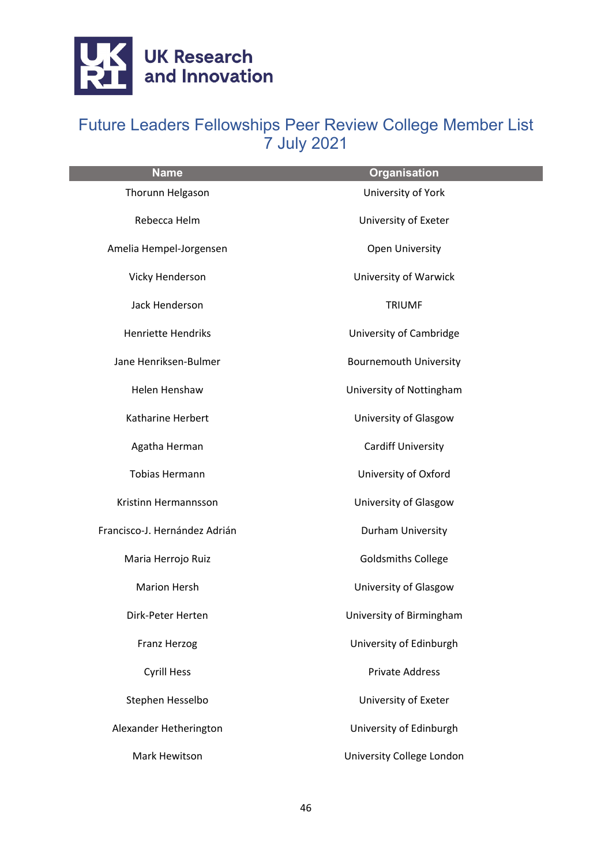

| <b>Name</b>                   | <b>Organisation</b>           |
|-------------------------------|-------------------------------|
| Thorunn Helgason              | University of York            |
| Rebecca Helm                  | University of Exeter          |
| Amelia Hempel-Jorgensen       | Open University               |
| Vicky Henderson               | University of Warwick         |
| Jack Henderson                | <b>TRIUMF</b>                 |
| <b>Henriette Hendriks</b>     | University of Cambridge       |
| Jane Henriksen-Bulmer         | <b>Bournemouth University</b> |
| Helen Henshaw                 | University of Nottingham      |
| Katharine Herbert             | University of Glasgow         |
| Agatha Herman                 | <b>Cardiff University</b>     |
| <b>Tobias Hermann</b>         | University of Oxford          |
| Kristinn Hermannsson          | University of Glasgow         |
| Francisco-J. Hernández Adrián | Durham University             |
| Maria Herrojo Ruiz            | <b>Goldsmiths College</b>     |
| <b>Marion Hersh</b>           | University of Glasgow         |
| Dirk-Peter Herten             | University of Birmingham      |
| Franz Herzog                  | University of Edinburgh       |
| <b>Cyrill Hess</b>            | <b>Private Address</b>        |
| Stephen Hesselbo              | University of Exeter          |
| Alexander Hetherington        | University of Edinburgh       |
| Mark Hewitson                 | University College London     |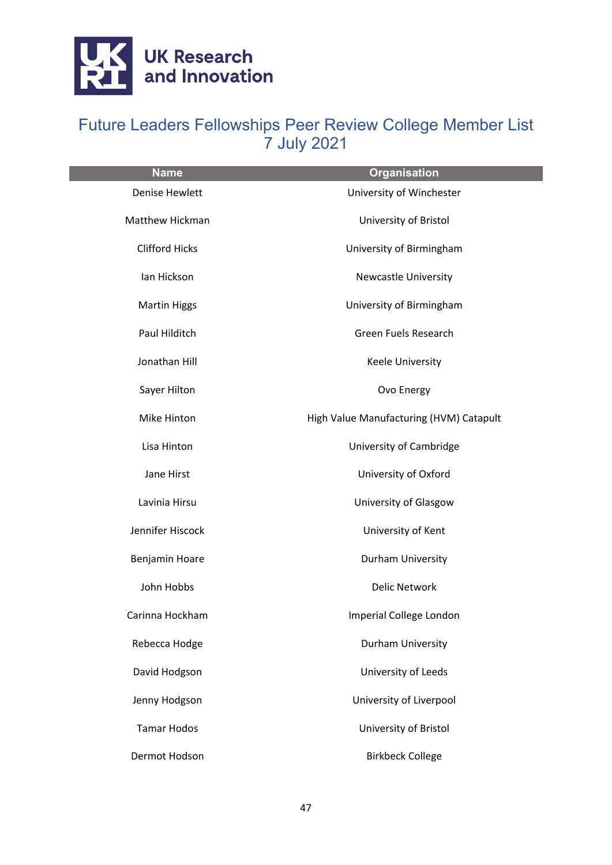

| <b>Name</b>           | <b>Organisation</b>                     |
|-----------------------|-----------------------------------------|
| <b>Denise Hewlett</b> | University of Winchester                |
| Matthew Hickman       | University of Bristol                   |
| <b>Clifford Hicks</b> | University of Birmingham                |
| Ian Hickson           | <b>Newcastle University</b>             |
| <b>Martin Higgs</b>   | University of Birmingham                |
| Paul Hilditch         | Green Fuels Research                    |
| Jonathan Hill         | <b>Keele University</b>                 |
| Sayer Hilton          | Ovo Energy                              |
| Mike Hinton           | High Value Manufacturing (HVM) Catapult |
| Lisa Hinton           | University of Cambridge                 |
| Jane Hirst            | University of Oxford                    |
| Lavinia Hirsu         | University of Glasgow                   |
| Jennifer Hiscock      | University of Kent                      |
| Benjamin Hoare        | Durham University                       |
| John Hobbs            | <b>Delic Network</b>                    |
| Carinna Hockham       | Imperial College London                 |
| Rebecca Hodge         | Durham University                       |
| David Hodgson         | University of Leeds                     |
| Jenny Hodgson         | University of Liverpool                 |
| <b>Tamar Hodos</b>    | University of Bristol                   |
| Dermot Hodson         | <b>Birkbeck College</b>                 |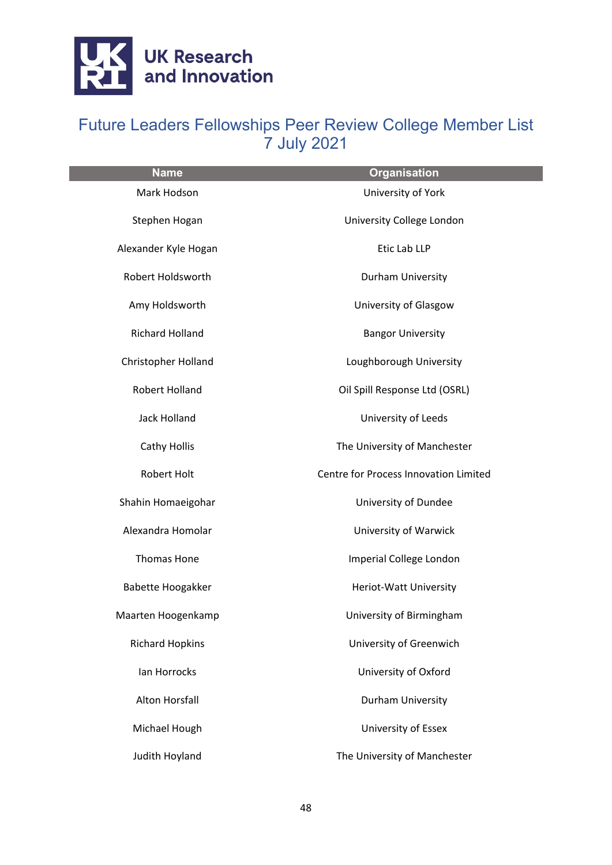

| <b>Name</b>            | <b>Organisation</b>                   |
|------------------------|---------------------------------------|
| Mark Hodson            | University of York                    |
| Stephen Hogan          | University College London             |
| Alexander Kyle Hogan   | Etic Lab LLP                          |
| Robert Holdsworth      | Durham University                     |
| Amy Holdsworth         | University of Glasgow                 |
| <b>Richard Holland</b> | <b>Bangor University</b>              |
| Christopher Holland    | Loughborough University               |
| Robert Holland         | Oil Spill Response Ltd (OSRL)         |
| <b>Jack Holland</b>    | University of Leeds                   |
| <b>Cathy Hollis</b>    | The University of Manchester          |
| Robert Holt            | Centre for Process Innovation Limited |
| Shahin Homaeigohar     | University of Dundee                  |
| Alexandra Homolar      | University of Warwick                 |
| <b>Thomas Hone</b>     | Imperial College London               |
| Babette Hoogakker      | Heriot-Watt University                |
| Maarten Hoogenkamp     | University of Birmingham              |
| <b>Richard Hopkins</b> | University of Greenwich               |
| lan Horrocks           | University of Oxford                  |
| <b>Alton Horsfall</b>  | Durham University                     |
| Michael Hough          | University of Essex                   |
| Judith Hoyland         | The University of Manchester          |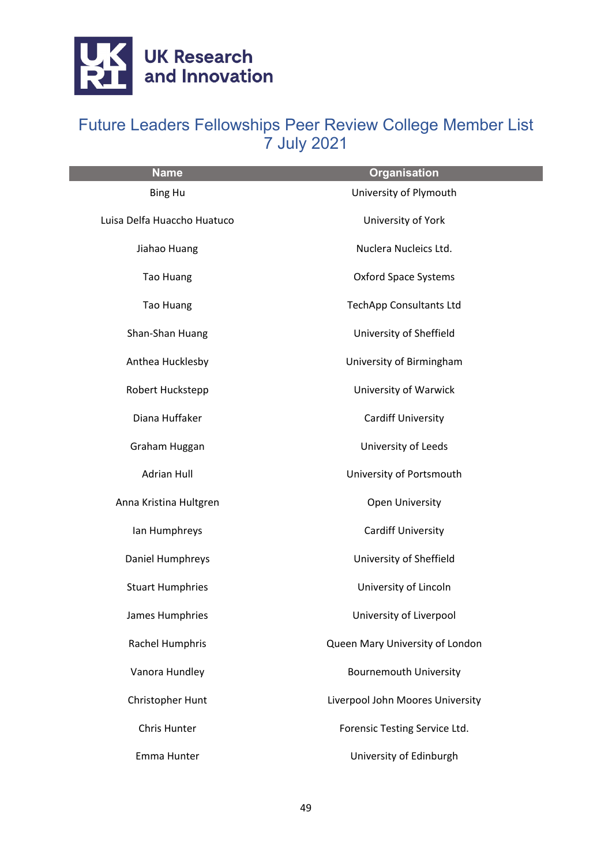

| <b>Name</b>                 | <b>Organisation</b>              |
|-----------------------------|----------------------------------|
| <b>Bing Hu</b>              | University of Plymouth           |
| Luisa Delfa Huaccho Huatuco | University of York               |
| Jiahao Huang                | Nuclera Nucleics Ltd.            |
| <b>Tao Huang</b>            | <b>Oxford Space Systems</b>      |
| <b>Tao Huang</b>            | <b>TechApp Consultants Ltd</b>   |
| Shan-Shan Huang             | University of Sheffield          |
| Anthea Hucklesby            | University of Birmingham         |
| Robert Huckstepp            | <b>University of Warwick</b>     |
| Diana Huffaker              | <b>Cardiff University</b>        |
| Graham Huggan               | University of Leeds              |
| <b>Adrian Hull</b>          | University of Portsmouth         |
| Anna Kristina Hultgren      | <b>Open University</b>           |
| lan Humphreys               | <b>Cardiff University</b>        |
| Daniel Humphreys            | University of Sheffield          |
| <b>Stuart Humphries</b>     | University of Lincoln            |
| James Humphries             | University of Liverpool          |
| Rachel Humphris             | Queen Mary University of London  |
| Vanora Hundley              | <b>Bournemouth University</b>    |
| Christopher Hunt            | Liverpool John Moores University |
| Chris Hunter                | Forensic Testing Service Ltd.    |
| Emma Hunter                 | University of Edinburgh          |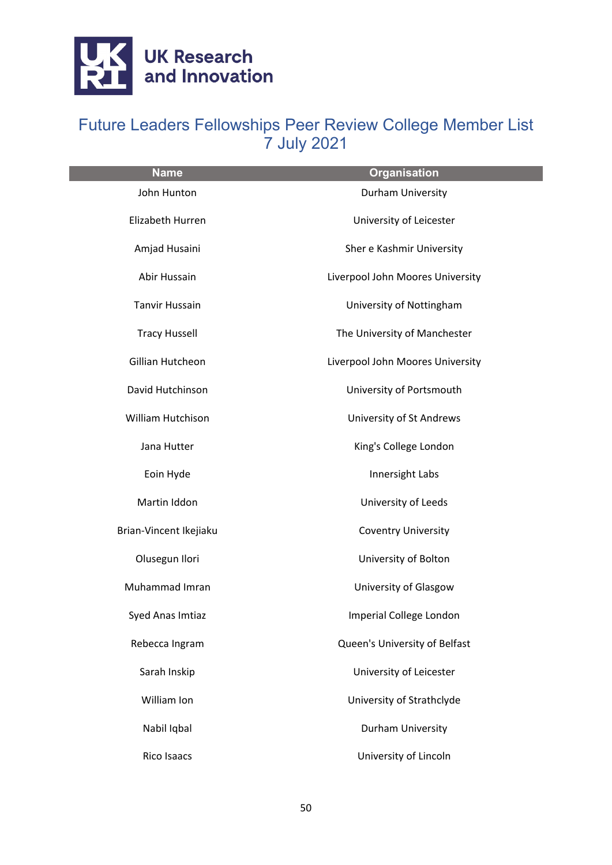

| <b>Name</b>            | <b>Organisation</b>              |
|------------------------|----------------------------------|
| John Hunton            | Durham University                |
| Elizabeth Hurren       | University of Leicester          |
| Amjad Husaini          | Sher e Kashmir University        |
| Abir Hussain           | Liverpool John Moores University |
| <b>Tanvir Hussain</b>  | University of Nottingham         |
| <b>Tracy Hussell</b>   | The University of Manchester     |
| Gillian Hutcheon       | Liverpool John Moores University |
| David Hutchinson       | University of Portsmouth         |
| William Hutchison      | University of St Andrews         |
| Jana Hutter            | King's College London            |
| Eoin Hyde              | Innersight Labs                  |
| Martin Iddon           | University of Leeds              |
| Brian-Vincent Ikejiaku | <b>Coventry University</b>       |
| Olusegun Ilori         | University of Bolton             |
| Muhammad Imran         | University of Glasgow            |
| Syed Anas Imtiaz       | Imperial College London          |
| Rebecca Ingram         | Queen's University of Belfast    |
| Sarah Inskip           | University of Leicester          |
| William Ion            | University of Strathclyde        |
| Nabil Iqbal            | Durham University                |
| Rico Isaacs            | University of Lincoln            |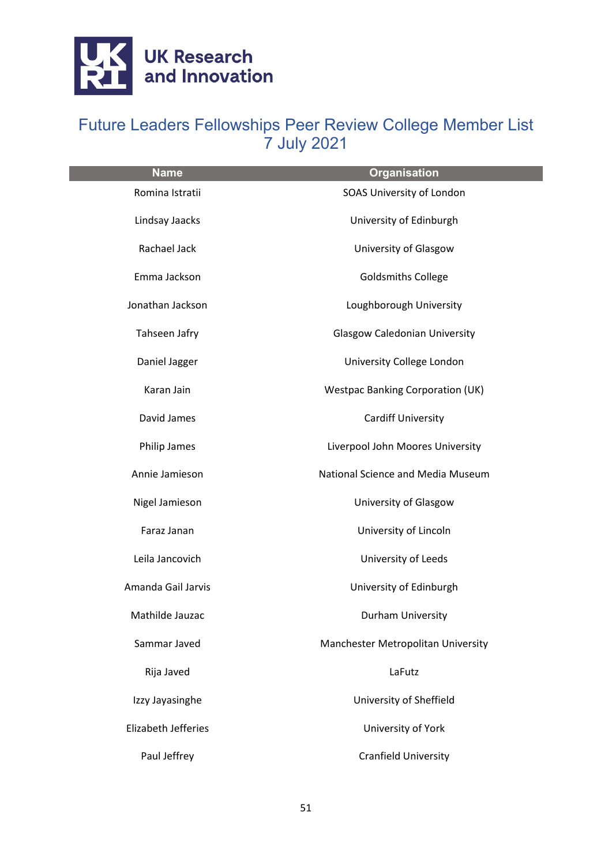

| <b>Name</b>         | <b>Organisation</b>                     |
|---------------------|-----------------------------------------|
| Romina Istratii     | SOAS University of London               |
| Lindsay Jaacks      | University of Edinburgh                 |
| Rachael Jack        | University of Glasgow                   |
| Emma Jackson        | <b>Goldsmiths College</b>               |
| Jonathan Jackson    | Loughborough University                 |
| Tahseen Jafry       | <b>Glasgow Caledonian University</b>    |
| Daniel Jagger       | University College London               |
| Karan Jain          | <b>Westpac Banking Corporation (UK)</b> |
| David James         | Cardiff University                      |
| Philip James        | Liverpool John Moores University        |
| Annie Jamieson      | National Science and Media Museum       |
| Nigel Jamieson      | University of Glasgow                   |
| Faraz Janan         | University of Lincoln                   |
| Leila Jancovich     | University of Leeds                     |
| Amanda Gail Jarvis  | University of Edinburgh                 |
| Mathilde Jauzac     | Durham University                       |
| Sammar Javed        | Manchester Metropolitan University      |
| Rija Javed          | LaFutz                                  |
| Izzy Jayasinghe     | University of Sheffield                 |
| Elizabeth Jefferies | University of York                      |
| Paul Jeffrey        | Cranfield University                    |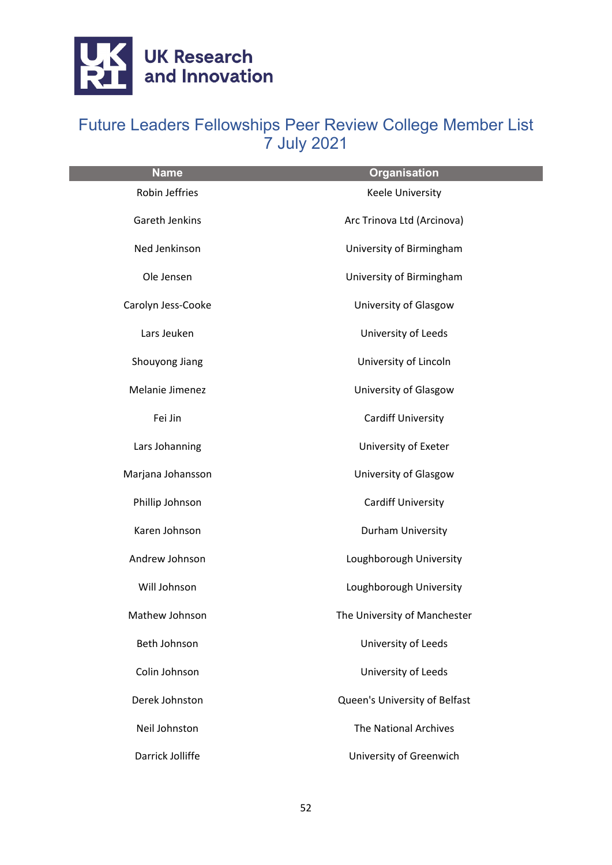

| <b>Name</b>        | <b>Organisation</b>           |
|--------------------|-------------------------------|
| Robin Jeffries     | Keele University              |
| Gareth Jenkins     | Arc Trinova Ltd (Arcinova)    |
| Ned Jenkinson      | University of Birmingham      |
| Ole Jensen         | University of Birmingham      |
| Carolyn Jess-Cooke | University of Glasgow         |
| Lars Jeuken        | University of Leeds           |
| Shouyong Jiang     | University of Lincoln         |
| Melanie Jimenez    | University of Glasgow         |
| Fei Jin            | <b>Cardiff University</b>     |
| Lars Johanning     | University of Exeter          |
| Marjana Johansson  | University of Glasgow         |
| Phillip Johnson    | <b>Cardiff University</b>     |
| Karen Johnson      | Durham University             |
| Andrew Johnson     | Loughborough University       |
| Will Johnson       | Loughborough University       |
| Mathew Johnson     | The University of Manchester  |
| Beth Johnson       | University of Leeds           |
| Colin Johnson      | University of Leeds           |
| Derek Johnston     | Queen's University of Belfast |
| Neil Johnston      | <b>The National Archives</b>  |
| Darrick Jolliffe   | University of Greenwich       |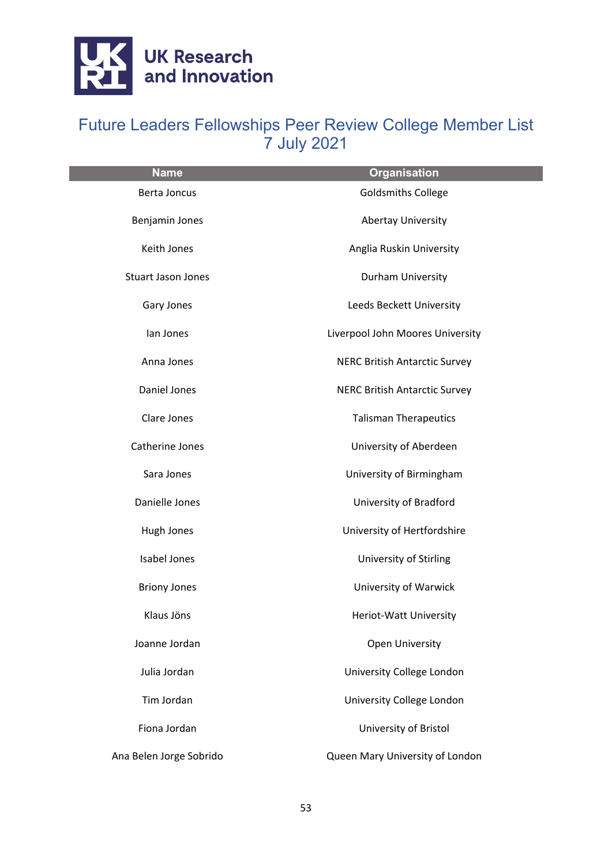

| <b>Name</b>               | <b>Organisation</b>                  |
|---------------------------|--------------------------------------|
| <b>Berta Joncus</b>       | <b>Goldsmiths College</b>            |
| Benjamin Jones            | <b>Abertay University</b>            |
| Keith Jones               | Anglia Ruskin University             |
| <b>Stuart Jason Jones</b> | Durham University                    |
| Gary Jones                | Leeds Beckett University             |
| lan Jones                 | Liverpool John Moores University     |
| Anna Jones                | <b>NERC British Antarctic Survey</b> |
| Daniel Jones              | <b>NERC British Antarctic Survey</b> |
| Clare Jones               | <b>Talisman Therapeutics</b>         |
| Catherine Jones           | University of Aberdeen               |
| Sara Jones                | University of Birmingham             |
| Danielle Jones            | University of Bradford               |
| Hugh Jones                | University of Hertfordshire          |
| <b>Isabel Jones</b>       | University of Stirling               |
| <b>Briony Jones</b>       | University of Warwick                |
| Klaus Jöns                | Heriot-Watt University               |
| Joanne Jordan             | Open University                      |
| Julia Jordan              | University College London            |
| Tim Jordan                | University College London            |
| Fiona Jordan              | University of Bristol                |
| Ana Belen Jorge Sobrido   | Queen Mary University of London      |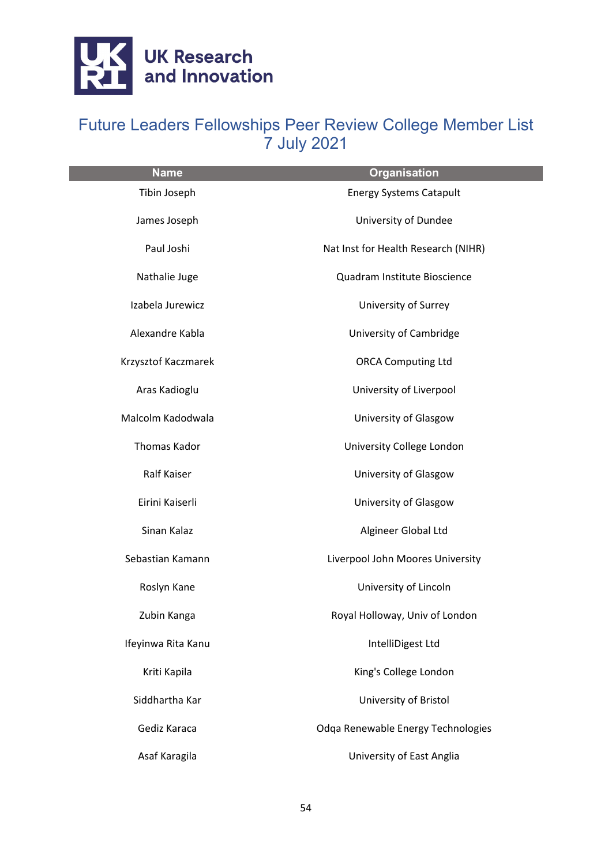

| <b>Name</b>         | <b>Organisation</b>                 |
|---------------------|-------------------------------------|
| Tibin Joseph        | <b>Energy Systems Catapult</b>      |
| James Joseph        | University of Dundee                |
| Paul Joshi          | Nat Inst for Health Research (NIHR) |
| Nathalie Juge       | Quadram Institute Bioscience        |
| Izabela Jurewicz    | University of Surrey                |
| Alexandre Kabla     | University of Cambridge             |
| Krzysztof Kaczmarek | <b>ORCA Computing Ltd</b>           |
| Aras Kadioglu       | University of Liverpool             |
| Malcolm Kadodwala   | University of Glasgow               |
| Thomas Kador        | University College London           |
| Ralf Kaiser         | University of Glasgow               |
| Eirini Kaiserli     | University of Glasgow               |
| Sinan Kalaz         | Algineer Global Ltd                 |
| Sebastian Kamann    | Liverpool John Moores University    |
| Roslyn Kane         | University of Lincoln               |
| Zubin Kanga         | Royal Holloway, Univ of London      |
| Ifeyinwa Rita Kanu  | IntelliDigest Ltd                   |
| Kriti Kapila        | King's College London               |
| Siddhartha Kar      | University of Bristol               |
| Gediz Karaca        | Odga Renewable Energy Technologies  |
| Asaf Karagila       | University of East Anglia           |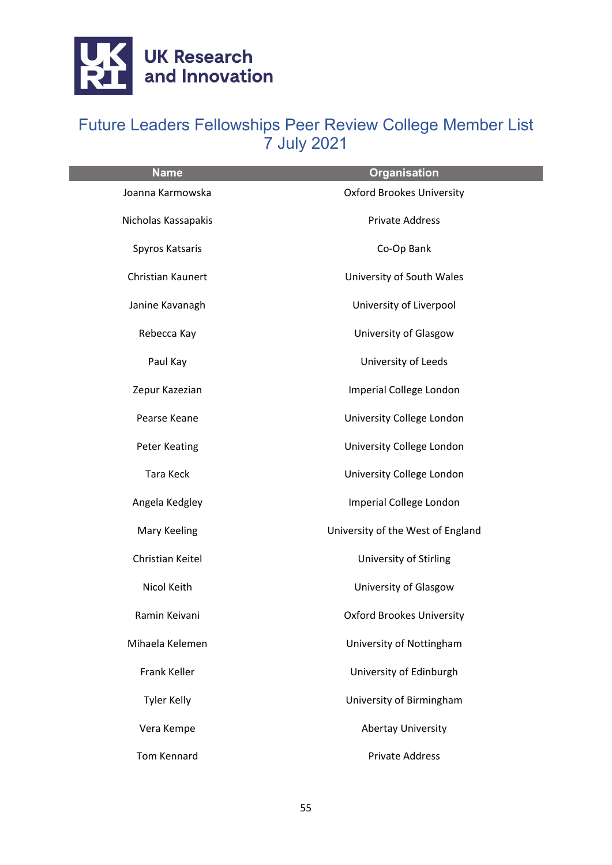

| <b>Name</b>          | <b>Organisation</b>               |
|----------------------|-----------------------------------|
| Joanna Karmowska     | <b>Oxford Brookes University</b>  |
| Nicholas Kassapakis  | <b>Private Address</b>            |
| Spyros Katsaris      | Co-Op Bank                        |
| Christian Kaunert    | University of South Wales         |
| Janine Kavanagh      | University of Liverpool           |
| Rebecca Kay          | University of Glasgow             |
| Paul Kay             | University of Leeds               |
| Zepur Kazezian       | Imperial College London           |
| Pearse Keane         | University College London         |
| <b>Peter Keating</b> | University College London         |
| Tara Keck            | University College London         |
| Angela Kedgley       | Imperial College London           |
| Mary Keeling         | University of the West of England |
| Christian Keitel     | University of Stirling            |
| Nicol Keith          | University of Glasgow             |
| Ramin Keivani        | <b>Oxford Brookes University</b>  |
| Mihaela Kelemen      | University of Nottingham          |
| Frank Keller         | University of Edinburgh           |
| <b>Tyler Kelly</b>   | University of Birmingham          |
| Vera Kempe           | <b>Abertay University</b>         |
| <b>Tom Kennard</b>   | <b>Private Address</b>            |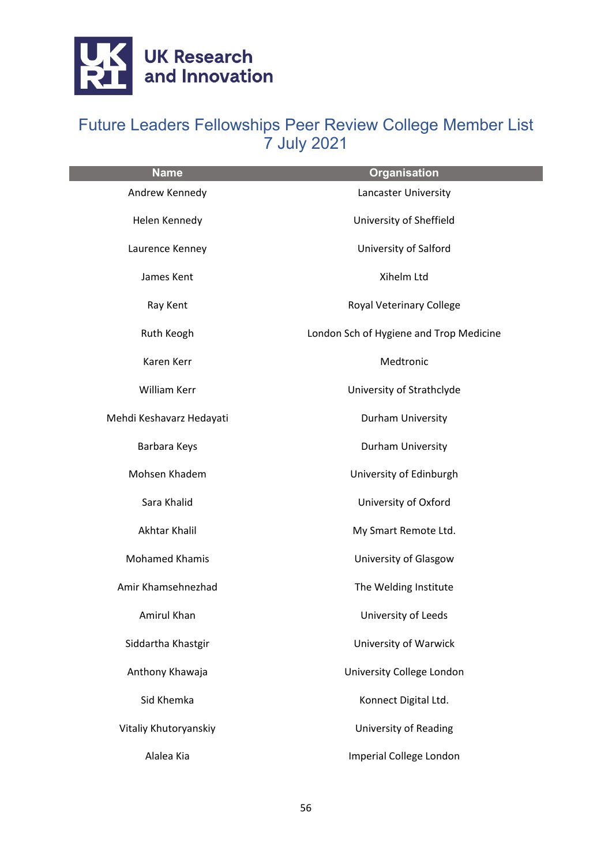

| <b>Name</b>              | <b>Organisation</b>                     |
|--------------------------|-----------------------------------------|
| Andrew Kennedy           | Lancaster University                    |
| Helen Kennedy            | University of Sheffield                 |
| Laurence Kenney          | University of Salford                   |
| James Kent               | Xihelm Ltd                              |
| Ray Kent                 | Royal Veterinary College                |
| Ruth Keogh               | London Sch of Hygiene and Trop Medicine |
| Karen Kerr               | Medtronic                               |
| William Kerr             | University of Strathclyde               |
| Mehdi Keshavarz Hedayati | Durham University                       |
| Barbara Keys             | Durham University                       |
| Mohsen Khadem            | University of Edinburgh                 |
| Sara Khalid              | University of Oxford                    |
| Akhtar Khalil            | My Smart Remote Ltd.                    |
| <b>Mohamed Khamis</b>    | University of Glasgow                   |
| Amir Khamsehnezhad       | The Welding Institute                   |
| Amirul Khan              | University of Leeds                     |
| Siddartha Khastgir       | University of Warwick                   |
| Anthony Khawaja          | University College London               |
| Sid Khemka               | Konnect Digital Ltd.                    |
| Vitaliy Khutoryanskiy    | University of Reading                   |
| Alalea Kia               | Imperial College London                 |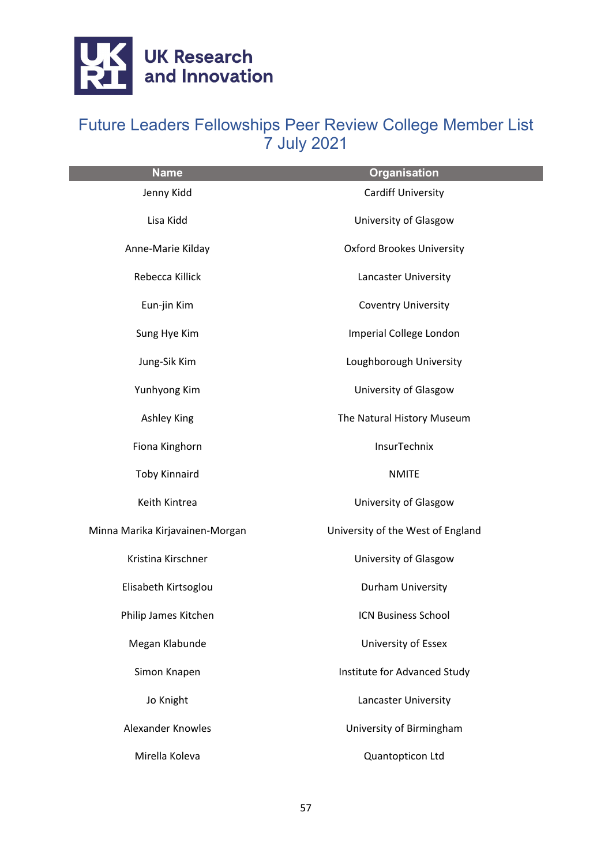

| <b>Name</b>                     | <b>Organisation</b>               |
|---------------------------------|-----------------------------------|
| Jenny Kidd                      | <b>Cardiff University</b>         |
| Lisa Kidd                       | University of Glasgow             |
| Anne-Marie Kilday               | <b>Oxford Brookes University</b>  |
| Rebecca Killick                 | Lancaster University              |
| Eun-jin Kim                     | <b>Coventry University</b>        |
| Sung Hye Kim                    | Imperial College London           |
| Jung-Sik Kim                    | Loughborough University           |
| Yunhyong Kim                    | University of Glasgow             |
| <b>Ashley King</b>              | The Natural History Museum        |
| Fiona Kinghorn                  | InsurTechnix                      |
| <b>Toby Kinnaird</b>            | <b>NMITE</b>                      |
| Keith Kintrea                   | University of Glasgow             |
| Minna Marika Kirjavainen-Morgan | University of the West of England |
| Kristina Kirschner              | University of Glasgow             |
| Elisabeth Kirtsoglou            | Durham University                 |
| Philip James Kitchen            | <b>ICN Business School</b>        |
| Megan Klabunde                  | University of Essex               |
| Simon Knapen                    | Institute for Advanced Study      |
| Jo Knight                       | Lancaster University              |
| <b>Alexander Knowles</b>        | University of Birmingham          |
| Mirella Koleva                  | Quantopticon Ltd                  |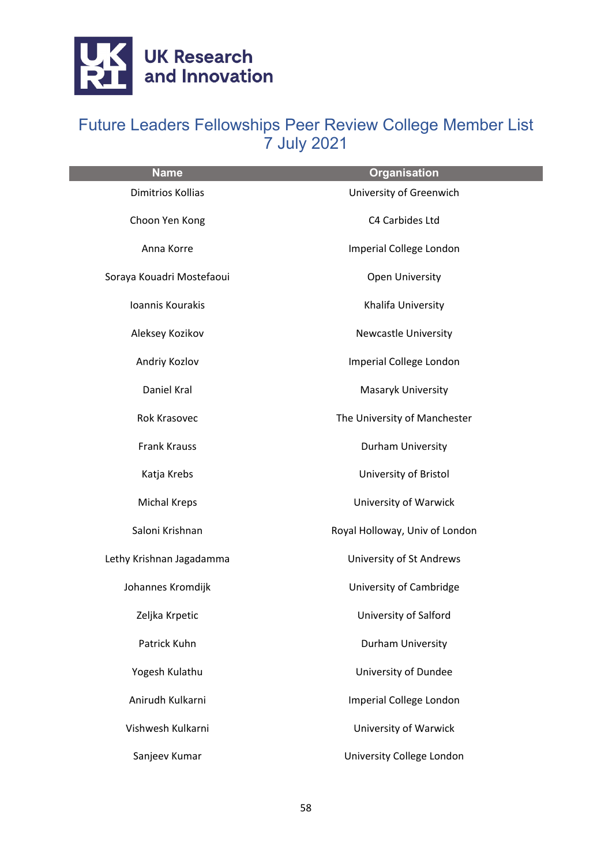

| <b>Name</b>               | <b>Organisation</b>            |
|---------------------------|--------------------------------|
| <b>Dimitrios Kollias</b>  | University of Greenwich        |
| Choon Yen Kong            | C4 Carbides Ltd                |
| Anna Korre                | Imperial College London        |
| Soraya Kouadri Mostefaoui | Open University                |
| Ioannis Kourakis          | Khalifa University             |
| Aleksey Kozikov           | <b>Newcastle University</b>    |
| Andriy Kozlov             | Imperial College London        |
| Daniel Kral               | Masaryk University             |
| Rok Krasovec              | The University of Manchester   |
| <b>Frank Krauss</b>       | Durham University              |
| Katja Krebs               | University of Bristol          |
| Michal Kreps              | University of Warwick          |
| Saloni Krishnan           | Royal Holloway, Univ of London |
| Lethy Krishnan Jagadamma  | University of St Andrews       |
| Johannes Kromdijk         | University of Cambridge        |
| Zeljka Krpetic            | University of Salford          |
| Patrick Kuhn              | Durham University              |
| Yogesh Kulathu            | University of Dundee           |
| Anirudh Kulkarni          | Imperial College London        |
| Vishwesh Kulkarni         | University of Warwick          |
| Sanjeev Kumar             | University College London      |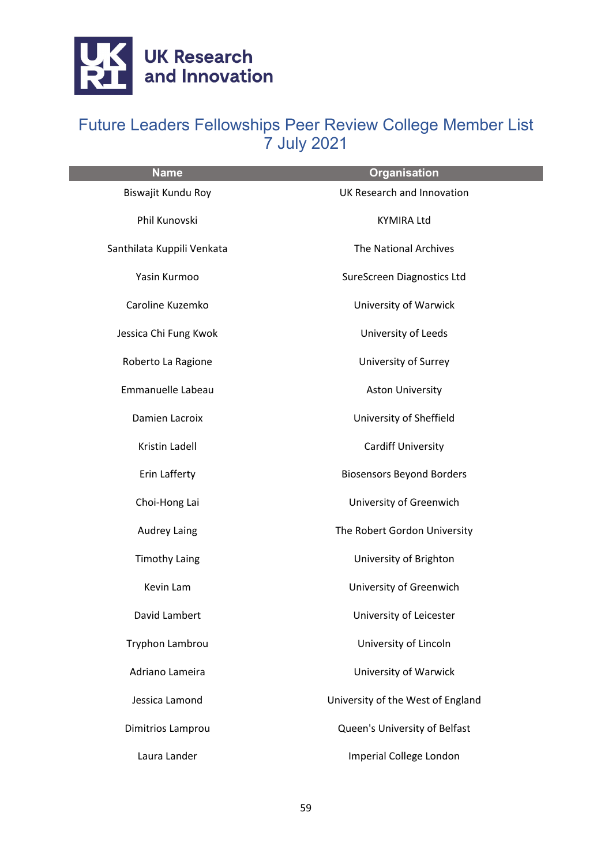

| <b>Name</b>                | <b>Organisation</b>               |
|----------------------------|-----------------------------------|
| Biswajit Kundu Roy         | UK Research and Innovation        |
| Phil Kunovski              | <b>KYMIRA Ltd</b>                 |
| Santhilata Kuppili Venkata | The National Archives             |
| Yasin Kurmoo               | SureScreen Diagnostics Ltd        |
| Caroline Kuzemko           | University of Warwick             |
| Jessica Chi Fung Kwok      | University of Leeds               |
| Roberto La Ragione         | University of Surrey              |
| Emmanuelle Labeau          | <b>Aston University</b>           |
| Damien Lacroix             | University of Sheffield           |
| Kristin Ladell             | <b>Cardiff University</b>         |
| Erin Lafferty              | <b>Biosensors Beyond Borders</b>  |
| Choi-Hong Lai              | University of Greenwich           |
| <b>Audrey Laing</b>        | The Robert Gordon University      |
| <b>Timothy Laing</b>       | University of Brighton            |
| Kevin Lam                  | University of Greenwich           |
| David Lambert              | University of Leicester           |
| Tryphon Lambrou            | University of Lincoln             |
| Adriano Lameira            | University of Warwick             |
| Jessica Lamond             | University of the West of England |
| Dimitrios Lamprou          | Queen's University of Belfast     |
| Laura Lander               | Imperial College London           |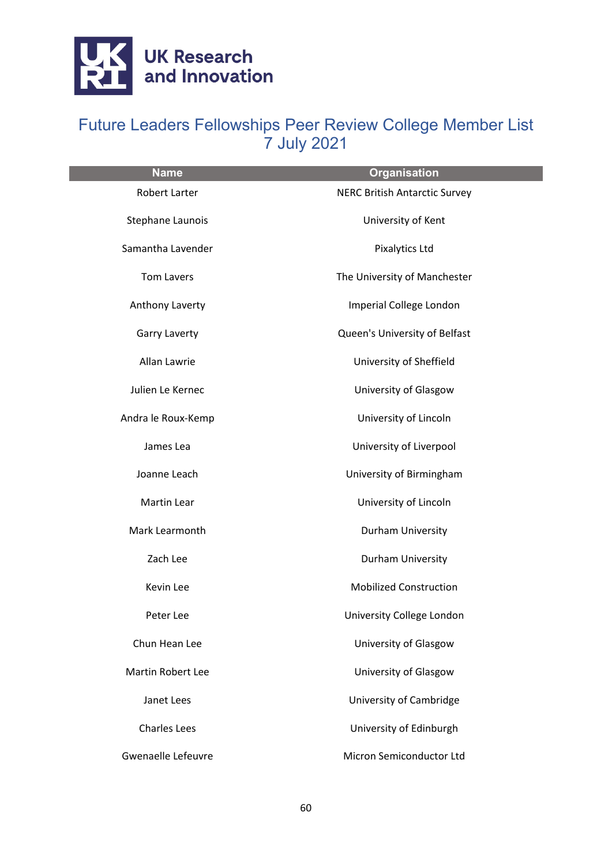

| <b>Name</b>              | <b>Organisation</b>                  |
|--------------------------|--------------------------------------|
| <b>Robert Larter</b>     | <b>NERC British Antarctic Survey</b> |
| Stephane Launois         | University of Kent                   |
| Samantha Lavender        | <b>Pixalytics Ltd</b>                |
| <b>Tom Lavers</b>        | The University of Manchester         |
| Anthony Laverty          | Imperial College London              |
| <b>Garry Laverty</b>     | Queen's University of Belfast        |
| Allan Lawrie             | University of Sheffield              |
| Julien Le Kernec         | University of Glasgow                |
| Andra le Roux-Kemp       | University of Lincoln                |
| James Lea                | University of Liverpool              |
| Joanne Leach             | University of Birmingham             |
| Martin Lear              | University of Lincoln                |
| Mark Learmonth           | Durham University                    |
| Zach Lee                 | Durham University                    |
| Kevin Lee                | <b>Mobilized Construction</b>        |
| Peter Lee                | University College London            |
| Chun Hean Lee            | University of Glasgow                |
| <b>Martin Robert Lee</b> | University of Glasgow                |
| Janet Lees               | University of Cambridge              |
| <b>Charles Lees</b>      | University of Edinburgh              |
| Gwenaelle Lefeuvre       | Micron Semiconductor Ltd             |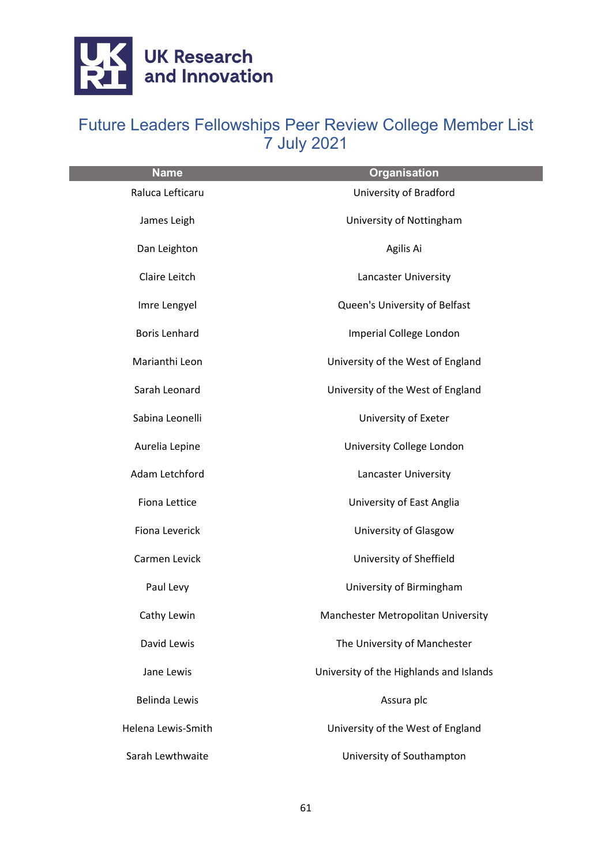

| <b>Name</b>          | <b>Organisation</b>                     |
|----------------------|-----------------------------------------|
| Raluca Lefticaru     | University of Bradford                  |
| James Leigh          | University of Nottingham                |
| Dan Leighton         | Agilis Ai                               |
| Claire Leitch        | Lancaster University                    |
| Imre Lengyel         | Queen's University of Belfast           |
| <b>Boris Lenhard</b> | Imperial College London                 |
| Marianthi Leon       | University of the West of England       |
| Sarah Leonard        | University of the West of England       |
| Sabina Leonelli      | University of Exeter                    |
| Aurelia Lepine       | University College London               |
| Adam Letchford       | Lancaster University                    |
| <b>Fiona Lettice</b> | University of East Anglia               |
| Fiona Leverick       | University of Glasgow                   |
| Carmen Levick        | University of Sheffield                 |
| Paul Levy            | University of Birmingham                |
| Cathy Lewin          | Manchester Metropolitan University      |
| David Lewis          | The University of Manchester            |
| Jane Lewis           | University of the Highlands and Islands |
| <b>Belinda Lewis</b> | Assura plc                              |
| Helena Lewis-Smith   | University of the West of England       |
| Sarah Lewthwaite     | University of Southampton               |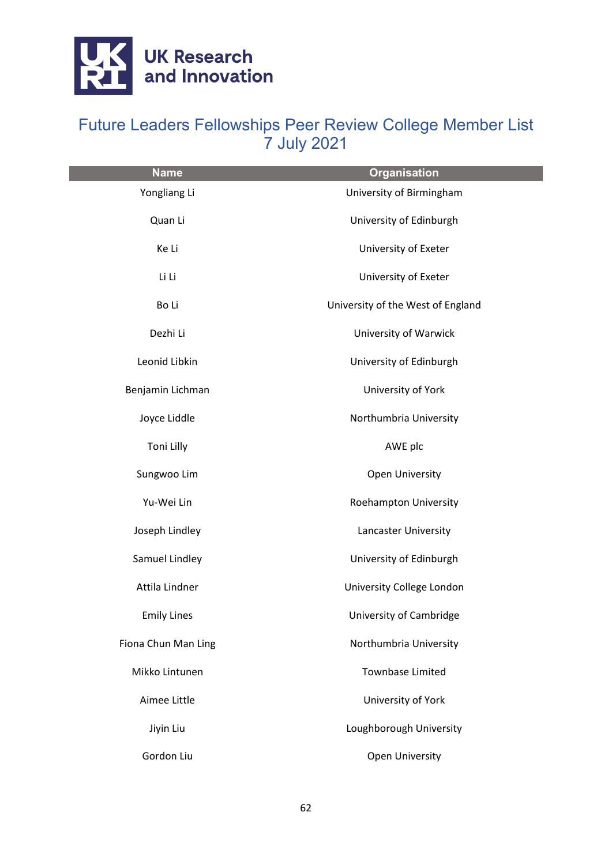

| <b>Name</b>         | <b>Organisation</b>               |
|---------------------|-----------------------------------|
| Yongliang Li        | University of Birmingham          |
| Quan Li             | University of Edinburgh           |
| Ke Li               | University of Exeter              |
| Li Li               | University of Exeter              |
| Bo Li               | University of the West of England |
| Dezhi Li            | University of Warwick             |
| Leonid Libkin       | University of Edinburgh           |
| Benjamin Lichman    | University of York                |
| Joyce Liddle        | Northumbria University            |
| Toni Lilly          | AWE plc                           |
| Sungwoo Lim         | Open University                   |
| Yu-Wei Lin          | Roehampton University             |
| Joseph Lindley      | Lancaster University              |
| Samuel Lindley      | University of Edinburgh           |
| Attila Lindner      | University College London         |
| <b>Emily Lines</b>  | University of Cambridge           |
| Fiona Chun Man Ling | Northumbria University            |
| Mikko Lintunen      | <b>Townbase Limited</b>           |
| Aimee Little        | University of York                |
| Jiyin Liu           | Loughborough University           |
| Gordon Liu          | Open University                   |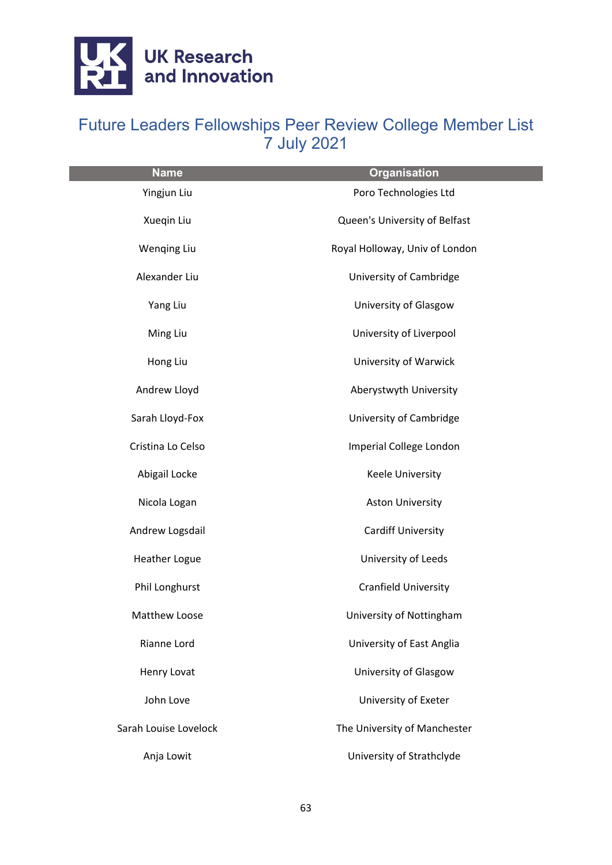

| <b>Name</b>           | <b>Organisation</b>            |
|-----------------------|--------------------------------|
| Yingjun Liu           | Poro Technologies Ltd          |
| Xueqin Liu            | Queen's University of Belfast  |
| <b>Wenqing Liu</b>    | Royal Holloway, Univ of London |
| Alexander Liu         | University of Cambridge        |
| Yang Liu              | University of Glasgow          |
| Ming Liu              | University of Liverpool        |
| Hong Liu              | University of Warwick          |
| Andrew Lloyd          | Aberystwyth University         |
| Sarah Lloyd-Fox       | University of Cambridge        |
| Cristina Lo Celso     | Imperial College London        |
| Abigail Locke         | Keele University               |
| Nicola Logan          | <b>Aston University</b>        |
| Andrew Logsdail       | <b>Cardiff University</b>      |
| <b>Heather Logue</b>  | University of Leeds            |
| Phil Longhurst        | <b>Cranfield University</b>    |
| <b>Matthew Loose</b>  | University of Nottingham       |
| Rianne Lord           | University of East Anglia      |
| Henry Lovat           | University of Glasgow          |
| John Love             | University of Exeter           |
| Sarah Louise Lovelock | The University of Manchester   |
| Anja Lowit            | University of Strathclyde      |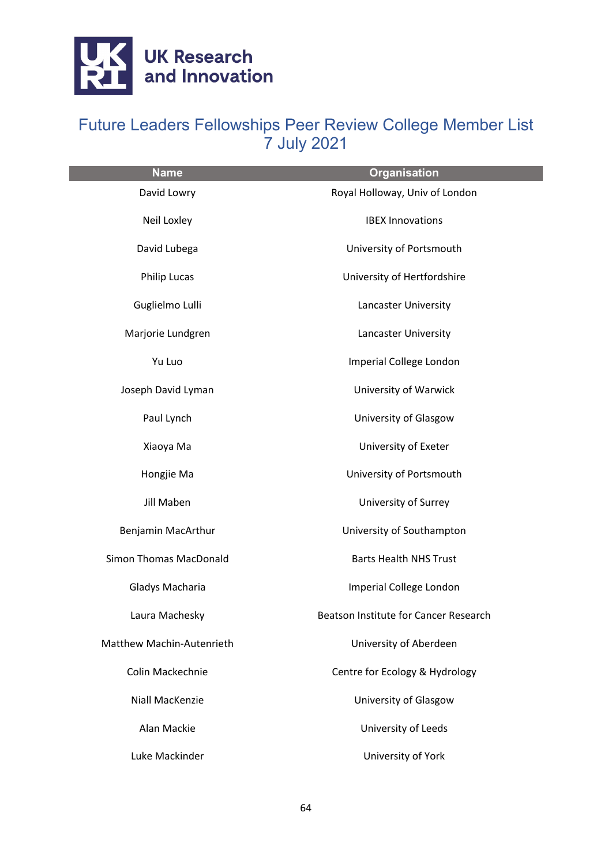

| <b>Name</b>                   | <b>Organisation</b>                   |
|-------------------------------|---------------------------------------|
| David Lowry                   | Royal Holloway, Univ of London        |
| Neil Loxley                   | <b>IBEX Innovations</b>               |
| David Lubega                  | University of Portsmouth              |
| <b>Philip Lucas</b>           | University of Hertfordshire           |
| Guglielmo Lulli               | Lancaster University                  |
| Marjorie Lundgren             | Lancaster University                  |
| Yu Luo                        | Imperial College London               |
| Joseph David Lyman            | University of Warwick                 |
| Paul Lynch                    | University of Glasgow                 |
| Xiaoya Ma                     | University of Exeter                  |
| Hongjie Ma                    | University of Portsmouth              |
| <b>Jill Maben</b>             | University of Surrey                  |
| Benjamin MacArthur            | University of Southampton             |
| <b>Simon Thomas MacDonald</b> | <b>Barts Health NHS Trust</b>         |
| Gladys Macharia               | Imperial College London               |
| Laura Machesky                | Beatson Institute for Cancer Research |
| Matthew Machin-Autenrieth     | University of Aberdeen                |
| Colin Mackechnie              | Centre for Ecology & Hydrology        |
| <b>Niall MacKenzie</b>        | University of Glasgow                 |
| Alan Mackie                   | University of Leeds                   |
| Luke Mackinder                | University of York                    |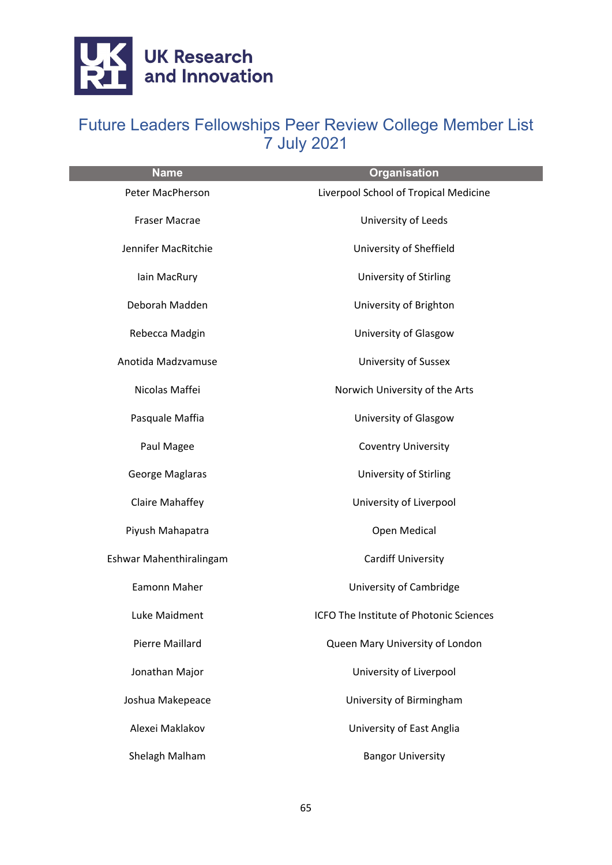

| <b>Name</b>             | <b>Organisation</b>                     |
|-------------------------|-----------------------------------------|
| Peter MacPherson        | Liverpool School of Tropical Medicine   |
| Fraser Macrae           | University of Leeds                     |
| Jennifer MacRitchie     | University of Sheffield                 |
| Iain MacRury            | University of Stirling                  |
| Deborah Madden          | University of Brighton                  |
| Rebecca Madgin          | University of Glasgow                   |
| Anotida Madzvamuse      | University of Sussex                    |
| Nicolas Maffei          | Norwich University of the Arts          |
| Pasquale Maffia         | University of Glasgow                   |
| Paul Magee              | <b>Coventry University</b>              |
| George Maglaras         | University of Stirling                  |
| <b>Claire Mahaffey</b>  | University of Liverpool                 |
| Piyush Mahapatra        | Open Medical                            |
| Eshwar Mahenthiralingam | <b>Cardiff University</b>               |
| Eamonn Maher            | University of Cambridge                 |
| Luke Maidment           | ICFO The Institute of Photonic Sciences |
| <b>Pierre Maillard</b>  | Queen Mary University of London         |
| Jonathan Major          | University of Liverpool                 |
| Joshua Makepeace        | University of Birmingham                |
| Alexei Maklakov         | University of East Anglia               |
| Shelagh Malham          | <b>Bangor University</b>                |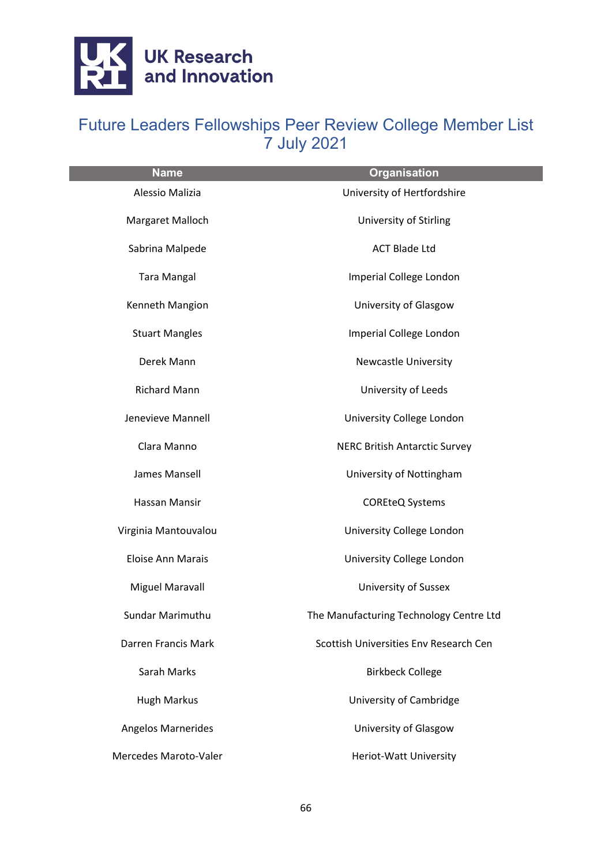

| <b>Name</b>               | <b>Organisation</b>                     |
|---------------------------|-----------------------------------------|
| Alessio Malizia           | University of Hertfordshire             |
| Margaret Malloch          | University of Stirling                  |
| Sabrina Malpede           | <b>ACT Blade Ltd</b>                    |
| <b>Tara Mangal</b>        | Imperial College London                 |
| Kenneth Mangion           | University of Glasgow                   |
| <b>Stuart Mangles</b>     | Imperial College London                 |
| Derek Mann                | <b>Newcastle University</b>             |
| <b>Richard Mann</b>       | University of Leeds                     |
| Jenevieve Mannell         | University College London               |
| Clara Manno               | <b>NERC British Antarctic Survey</b>    |
| James Mansell             | University of Nottingham                |
| Hassan Mansir             | <b>COREteQ Systems</b>                  |
| Virginia Mantouvalou      | University College London               |
| Eloise Ann Marais         | University College London               |
| Miguel Maravall           | <b>University of Sussex</b>             |
| Sundar Marimuthu          | The Manufacturing Technology Centre Ltd |
| Darren Francis Mark       | Scottish Universities Env Research Cen  |
| Sarah Marks               | <b>Birkbeck College</b>                 |
| <b>Hugh Markus</b>        | University of Cambridge                 |
| <b>Angelos Marnerides</b> | University of Glasgow                   |
| Mercedes Maroto-Valer     | Heriot-Watt University                  |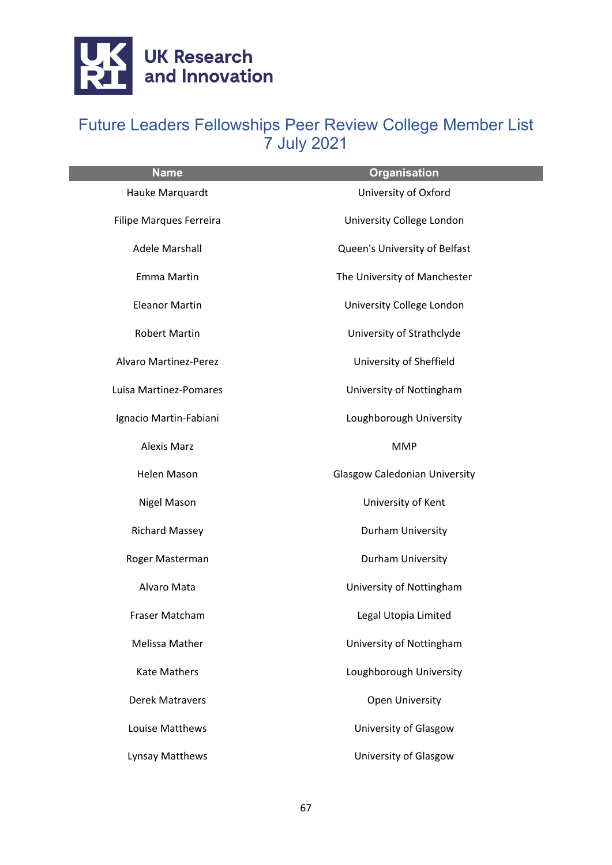

| <b>Name</b>                    | <b>Organisation</b>                  |
|--------------------------------|--------------------------------------|
| Hauke Marquardt                | University of Oxford                 |
| <b>Filipe Marques Ferreira</b> | University College London            |
| <b>Adele Marshall</b>          | Queen's University of Belfast        |
| Emma Martin                    | The University of Manchester         |
| <b>Eleanor Martin</b>          | University College London            |
| <b>Robert Martin</b>           | University of Strathclyde            |
| <b>Alvaro Martinez-Perez</b>   | University of Sheffield              |
| Luisa Martinez-Pomares         | University of Nottingham             |
| Ignacio Martin-Fabiani         | Loughborough University              |
| <b>Alexis Marz</b>             | <b>MMP</b>                           |
| <b>Helen Mason</b>             | <b>Glasgow Caledonian University</b> |
| Nigel Mason                    | University of Kent                   |
| <b>Richard Massey</b>          | Durham University                    |
| Roger Masterman                | Durham University                    |
| Alvaro Mata                    | University of Nottingham             |
| Fraser Matcham                 | Legal Utopia Limited                 |
| <b>Melissa Mather</b>          | University of Nottingham             |
| <b>Kate Mathers</b>            | Loughborough University              |
| <b>Derek Matravers</b>         | Open University                      |
| Louise Matthews                | University of Glasgow                |
| Lynsay Matthews                | University of Glasgow                |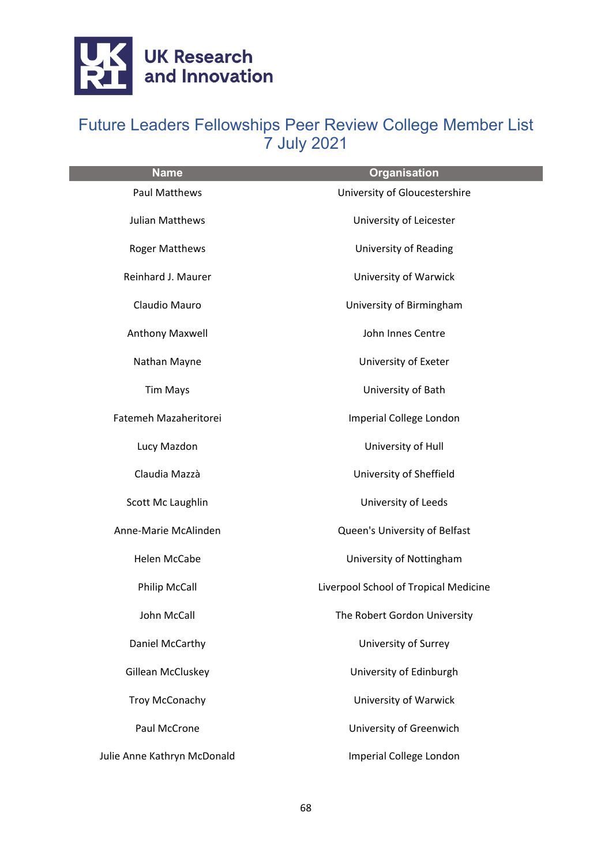

| <b>Name</b>                 | <b>Organisation</b>                   |
|-----------------------------|---------------------------------------|
| <b>Paul Matthews</b>        | University of Gloucestershire         |
| <b>Julian Matthews</b>      | University of Leicester               |
| <b>Roger Matthews</b>       | <b>University of Reading</b>          |
| Reinhard J. Maurer          | University of Warwick                 |
| Claudio Mauro               | University of Birmingham              |
| Anthony Maxwell             | John Innes Centre                     |
| Nathan Mayne                | University of Exeter                  |
| <b>Tim Mays</b>             | University of Bath                    |
| Fatemeh Mazaheritorei       | Imperial College London               |
| Lucy Mazdon                 | University of Hull                    |
| Claudia Mazzà               | University of Sheffield               |
| Scott Mc Laughlin           | University of Leeds                   |
| Anne-Marie McAlinden        | Queen's University of Belfast         |
| Helen McCabe                | University of Nottingham              |
| <b>Philip McCall</b>        | Liverpool School of Tropical Medicine |
| John McCall                 | The Robert Gordon University          |
| Daniel McCarthy             | University of Surrey                  |
| Gillean McCluskey           | University of Edinburgh               |
| <b>Troy McConachy</b>       | University of Warwick                 |
| Paul McCrone                | University of Greenwich               |
| Julie Anne Kathryn McDonald | Imperial College London               |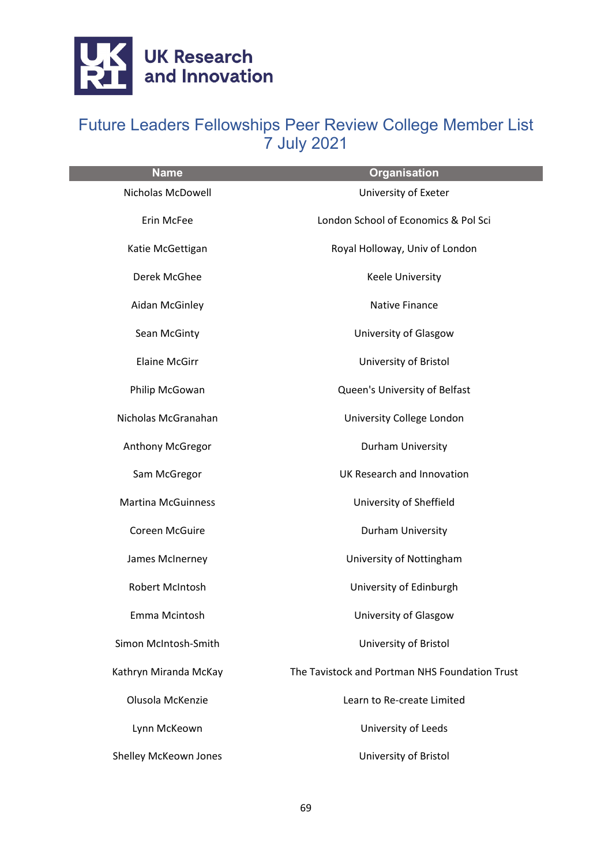

| <b>Name</b>               | <b>Organisation</b>                            |
|---------------------------|------------------------------------------------|
| Nicholas McDowell         | University of Exeter                           |
| Erin McFee                | London School of Economics & Pol Sci           |
| Katie McGettigan          | Royal Holloway, Univ of London                 |
| Derek McGhee              | Keele University                               |
| Aidan McGinley            | <b>Native Finance</b>                          |
| Sean McGinty              | University of Glasgow                          |
| <b>Elaine McGirr</b>      | University of Bristol                          |
| Philip McGowan            | Queen's University of Belfast                  |
| Nicholas McGranahan       | University College London                      |
| Anthony McGregor          | Durham University                              |
| Sam McGregor              | UK Research and Innovation                     |
| <b>Martina McGuinness</b> | University of Sheffield                        |
| Coreen McGuire            | Durham University                              |
| James McInerney           | University of Nottingham                       |
| Robert McIntosh           | University of Edinburgh                        |
| Emma Mcintosh             | University of Glasgow                          |
| Simon McIntosh-Smith      | University of Bristol                          |
| Kathryn Miranda McKay     | The Tavistock and Portman NHS Foundation Trust |
| Olusola McKenzie          | Learn to Re-create Limited                     |
| Lynn McKeown              | University of Leeds                            |
| Shelley McKeown Jones     | University of Bristol                          |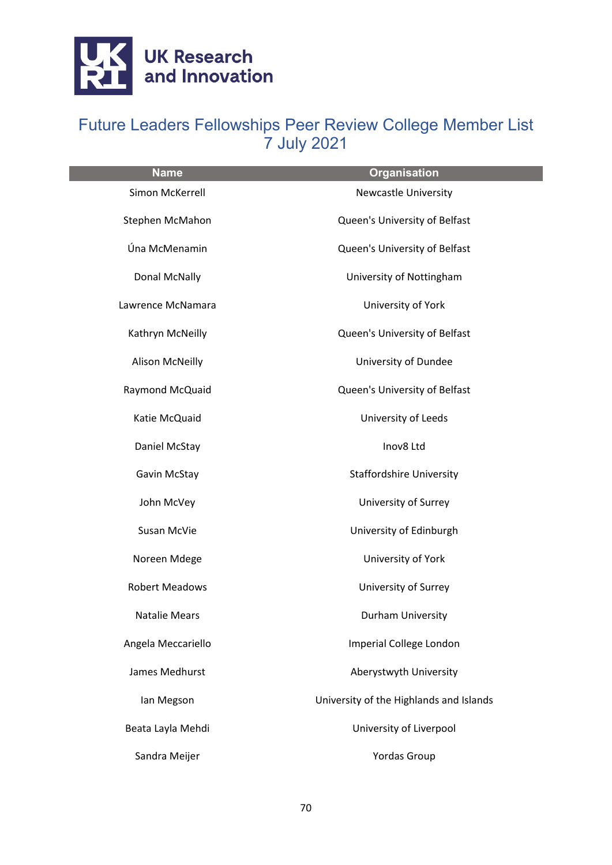

| <b>Name</b>            | <b>Organisation</b>                     |
|------------------------|-----------------------------------------|
| Simon McKerrell        | <b>Newcastle University</b>             |
| Stephen McMahon        | Queen's University of Belfast           |
| Úna McMenamin          | Queen's University of Belfast           |
| Donal McNally          | University of Nottingham                |
| Lawrence McNamara      | University of York                      |
| Kathryn McNeilly       | Queen's University of Belfast           |
| <b>Alison McNeilly</b> | University of Dundee                    |
| Raymond McQuaid        | Queen's University of Belfast           |
| Katie McQuaid          | University of Leeds                     |
| Daniel McStay          | Inov8 Ltd                               |
| Gavin McStay           | <b>Staffordshire University</b>         |
| John McVey             | University of Surrey                    |
| Susan McVie            | University of Edinburgh                 |
| Noreen Mdege           | University of York                      |
| <b>Robert Meadows</b>  | University of Surrey                    |
| <b>Natalie Mears</b>   | Durham University                       |
| Angela Meccariello     | Imperial College London                 |
| James Medhurst         | Aberystwyth University                  |
| lan Megson             | University of the Highlands and Islands |
| Beata Layla Mehdi      | University of Liverpool                 |
| Sandra Meijer          | <b>Yordas Group</b>                     |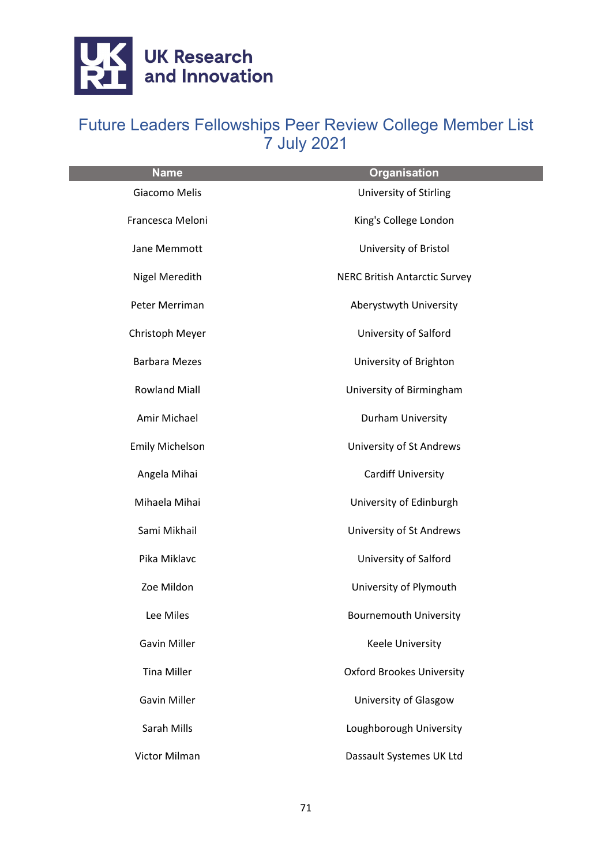

| <b>Name</b>            | <b>Organisation</b>                  |
|------------------------|--------------------------------------|
| Giacomo Melis          | University of Stirling               |
| Francesca Meloni       | King's College London                |
| Jane Memmott           | University of Bristol                |
| Nigel Meredith         | <b>NERC British Antarctic Survey</b> |
| Peter Merriman         | Aberystwyth University               |
| Christoph Meyer        | University of Salford                |
| <b>Barbara Mezes</b>   | University of Brighton               |
| <b>Rowland Miall</b>   | University of Birmingham             |
| Amir Michael           | Durham University                    |
| <b>Emily Michelson</b> | University of St Andrews             |
| Angela Mihai           | <b>Cardiff University</b>            |
| Mihaela Mihai          | University of Edinburgh              |
| Sami Mikhail           | University of St Andrews             |
| Pika Miklavc           | University of Salford                |
| Zoe Mildon             | University of Plymouth               |
| Lee Miles              | <b>Bournemouth University</b>        |
| <b>Gavin Miller</b>    | <b>Keele University</b>              |
| <b>Tina Miller</b>     | <b>Oxford Brookes University</b>     |
| <b>Gavin Miller</b>    | University of Glasgow                |
| Sarah Mills            | Loughborough University              |
| Victor Milman          | Dassault Systemes UK Ltd             |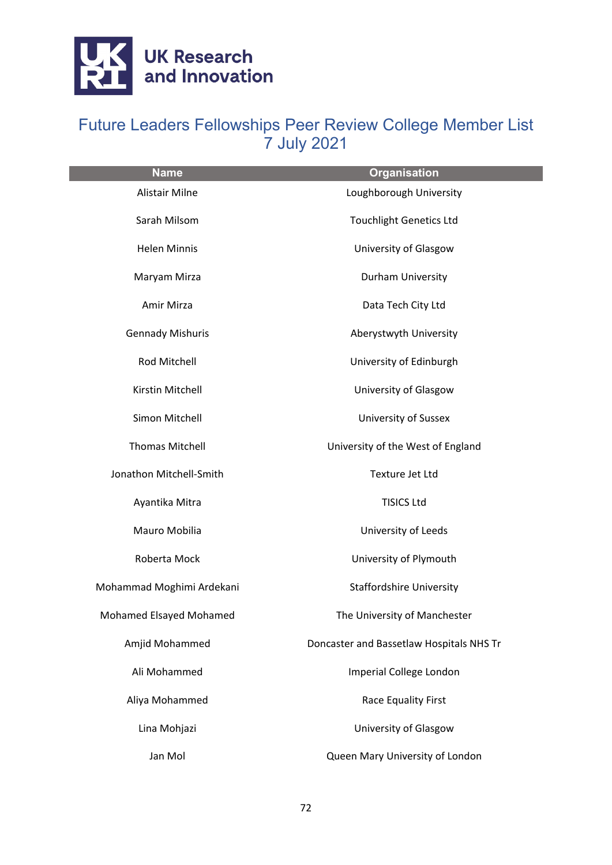

| <b>Name</b>               | <b>Organisation</b>                      |
|---------------------------|------------------------------------------|
| Alistair Milne            | Loughborough University                  |
| Sarah Milsom              | <b>Touchlight Genetics Ltd</b>           |
| <b>Helen Minnis</b>       | University of Glasgow                    |
| Maryam Mirza              | Durham University                        |
| Amir Mirza                | Data Tech City Ltd                       |
| <b>Gennady Mishuris</b>   | Aberystwyth University                   |
| Rod Mitchell              | University of Edinburgh                  |
| Kirstin Mitchell          | University of Glasgow                    |
| Simon Mitchell            | <b>University of Sussex</b>              |
| <b>Thomas Mitchell</b>    | University of the West of England        |
| Jonathon Mitchell-Smith   | Texture Jet Ltd                          |
| Ayantika Mitra            | <b>TISICS Ltd</b>                        |
| Mauro Mobilia             | University of Leeds                      |
| Roberta Mock              | University of Plymouth                   |
| Mohammad Moghimi Ardekani | <b>Staffordshire University</b>          |
| Mohamed Elsayed Mohamed   | The University of Manchester             |
| Amjid Mohammed            | Doncaster and Bassetlaw Hospitals NHS Tr |
| Ali Mohammed              | Imperial College London                  |
| Aliya Mohammed            | Race Equality First                      |
| Lina Mohjazi              | University of Glasgow                    |
| Jan Mol                   | Queen Mary University of London          |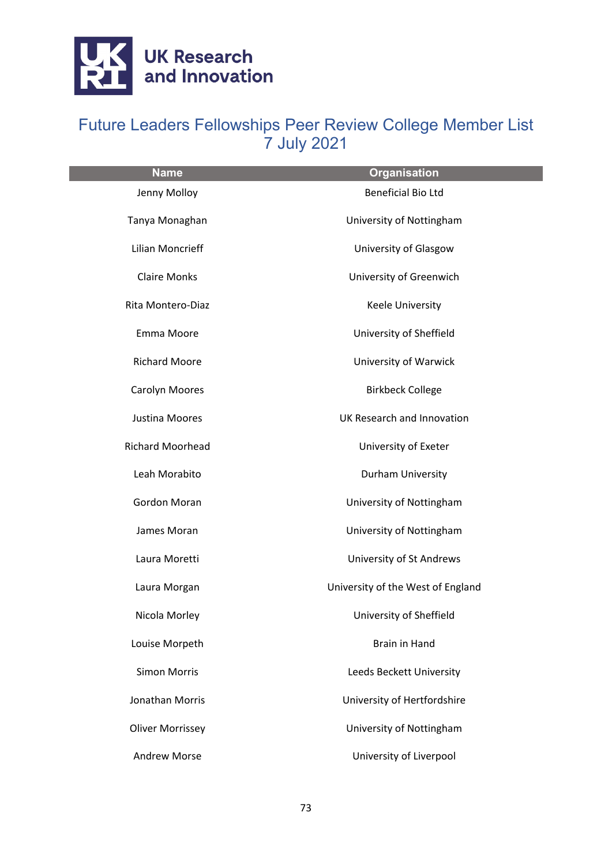

| <b>Name</b>             | <b>Organisation</b>               |
|-------------------------|-----------------------------------|
| Jenny Molloy            | <b>Beneficial Bio Ltd</b>         |
| Tanya Monaghan          | University of Nottingham          |
| <b>Lilian Moncrieff</b> | University of Glasgow             |
| <b>Claire Monks</b>     | University of Greenwich           |
| Rita Montero-Diaz       | Keele University                  |
| Emma Moore              | University of Sheffield           |
| <b>Richard Moore</b>    | University of Warwick             |
| Carolyn Moores          | <b>Birkbeck College</b>           |
| Justina Moores          | UK Research and Innovation        |
| <b>Richard Moorhead</b> | University of Exeter              |
| Leah Morabito           | Durham University                 |
| Gordon Moran            | University of Nottingham          |
| James Moran             | University of Nottingham          |
| Laura Moretti           | University of St Andrews          |
| Laura Morgan            | University of the West of England |
| Nicola Morley           | University of Sheffield           |
| Louise Morpeth          | <b>Brain in Hand</b>              |
| <b>Simon Morris</b>     | Leeds Beckett University          |
| <b>Jonathan Morris</b>  | University of Hertfordshire       |
| <b>Oliver Morrissey</b> | University of Nottingham          |
| <b>Andrew Morse</b>     | University of Liverpool           |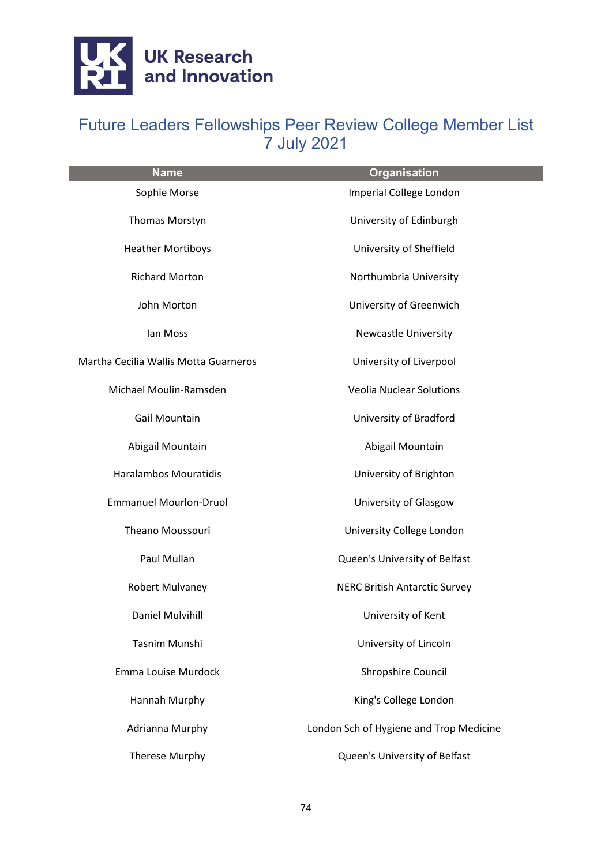

| <b>Name</b>                           | <b>Organisation</b>                     |
|---------------------------------------|-----------------------------------------|
| Sophie Morse                          | Imperial College London                 |
| Thomas Morstyn                        | University of Edinburgh                 |
| <b>Heather Mortiboys</b>              | University of Sheffield                 |
| <b>Richard Morton</b>                 | Northumbria University                  |
| John Morton                           | University of Greenwich                 |
| lan Moss                              | <b>Newcastle University</b>             |
| Martha Cecilia Wallis Motta Guarneros | University of Liverpool                 |
| Michael Moulin-Ramsden                | <b>Veolia Nuclear Solutions</b>         |
| <b>Gail Mountain</b>                  | University of Bradford                  |
| Abigail Mountain                      | Abigail Mountain                        |
| <b>Haralambos Mouratidis</b>          | University of Brighton                  |
| <b>Emmanuel Mourlon-Druol</b>         | University of Glasgow                   |
| Theano Moussouri                      | University College London               |
| Paul Mullan                           | Queen's University of Belfast           |
| <b>Robert Mulvaney</b>                | <b>NERC British Antarctic Survey</b>    |
| Daniel Mulvihill                      | University of Kent                      |
| Tasnim Munshi                         | University of Lincoln                   |
| Emma Louise Murdock                   | Shropshire Council                      |
| Hannah Murphy                         | King's College London                   |
| Adrianna Murphy                       | London Sch of Hygiene and Trop Medicine |
| Therese Murphy                        | Queen's University of Belfast           |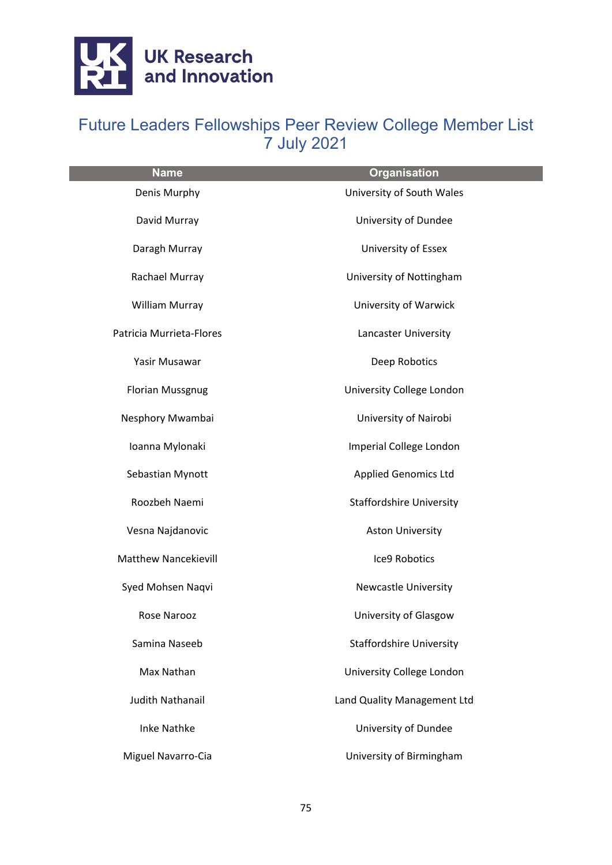

| <b>Name</b>                 | <b>Organisation</b>             |
|-----------------------------|---------------------------------|
| Denis Murphy                | University of South Wales       |
| David Murray                | University of Dundee            |
| Daragh Murray               | University of Essex             |
| Rachael Murray              | University of Nottingham        |
| William Murray              | University of Warwick           |
| Patricia Murrieta-Flores    | Lancaster University            |
| Yasir Musawar               | Deep Robotics                   |
| <b>Florian Mussgnug</b>     | University College London       |
| Nesphory Mwambai            | University of Nairobi           |
| Ioanna Mylonaki             | Imperial College London         |
| Sebastian Mynott            | <b>Applied Genomics Ltd</b>     |
| Roozbeh Naemi               | <b>Staffordshire University</b> |
| Vesna Najdanovic            | <b>Aston University</b>         |
| <b>Matthew Nancekievill</b> | Ice9 Robotics                   |
| Syed Mohsen Naqvi           | <b>Newcastle University</b>     |
| Rose Narooz                 | University of Glasgow           |
| Samina Naseeb               | <b>Staffordshire University</b> |
| Max Nathan                  | University College London       |
| <b>Judith Nathanail</b>     | Land Quality Management Ltd     |
| <b>Inke Nathke</b>          | University of Dundee            |
| Miguel Navarro-Cia          | University of Birmingham        |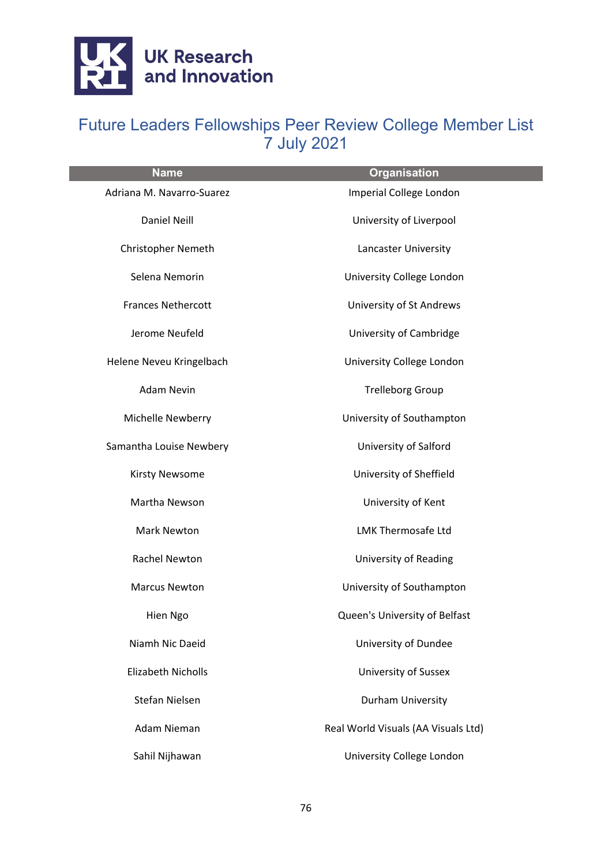

| <b>Name</b>               | <b>Organisation</b>                 |
|---------------------------|-------------------------------------|
| Adriana M. Navarro-Suarez | Imperial College London             |
| <b>Daniel Neill</b>       | University of Liverpool             |
| <b>Christopher Nemeth</b> | Lancaster University                |
| Selena Nemorin            | University College London           |
| <b>Frances Nethercott</b> | University of St Andrews            |
| Jerome Neufeld            | University of Cambridge             |
| Helene Neveu Kringelbach  | University College London           |
| <b>Adam Nevin</b>         | <b>Trelleborg Group</b>             |
| Michelle Newberry         | University of Southampton           |
| Samantha Louise Newbery   | University of Salford               |
| <b>Kirsty Newsome</b>     | University of Sheffield             |
| Martha Newson             | University of Kent                  |
| <b>Mark Newton</b>        | <b>LMK Thermosafe Ltd</b>           |
| Rachel Newton             | University of Reading               |
| <b>Marcus Newton</b>      | University of Southampton           |
| Hien Ngo                  | Queen's University of Belfast       |
| Niamh Nic Daeid           | University of Dundee                |
| <b>Elizabeth Nicholls</b> | <b>University of Sussex</b>         |
| Stefan Nielsen            | Durham University                   |
| Adam Nieman               | Real World Visuals (AA Visuals Ltd) |
| Sahil Nijhawan            | University College London           |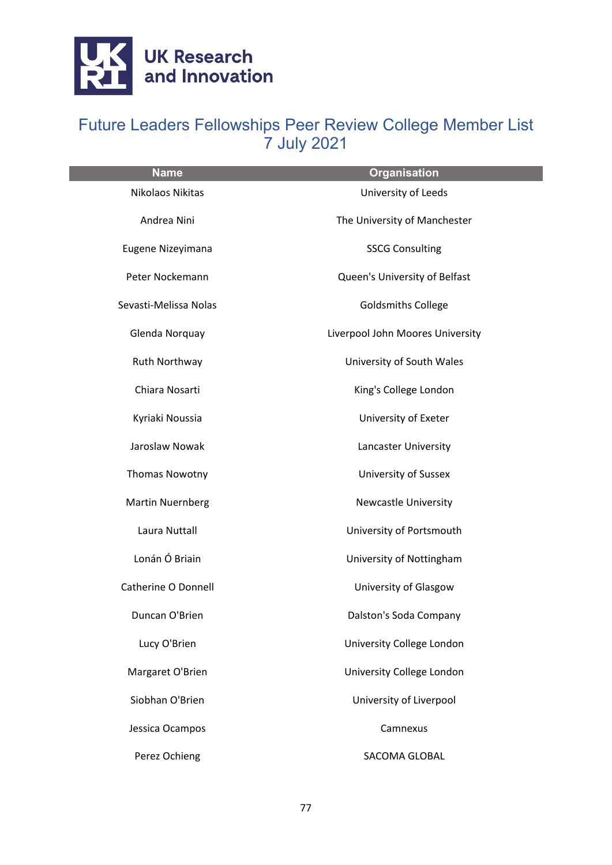

| <b>Name</b>             | <b>Organisation</b>              |
|-------------------------|----------------------------------|
| Nikolaos Nikitas        | University of Leeds              |
| Andrea Nini             | The University of Manchester     |
| Eugene Nizeyimana       | <b>SSCG Consulting</b>           |
| Peter Nockemann         | Queen's University of Belfast    |
| Sevasti-Melissa Nolas   | <b>Goldsmiths College</b>        |
| Glenda Norquay          | Liverpool John Moores University |
| Ruth Northway           | University of South Wales        |
| Chiara Nosarti          | King's College London            |
| Kyriaki Noussia         | University of Exeter             |
| Jaroslaw Nowak          | Lancaster University             |
| Thomas Nowotny          | <b>University of Sussex</b>      |
| <b>Martin Nuernberg</b> | <b>Newcastle University</b>      |
| Laura Nuttall           | University of Portsmouth         |
| Lonán Ó Briain          | University of Nottingham         |
| Catherine O Donnell     | University of Glasgow            |
| Duncan O'Brien          | Dalston's Soda Company           |
| Lucy O'Brien            | University College London        |
| Margaret O'Brien        | University College London        |
| Siobhan O'Brien         | University of Liverpool          |
| Jessica Ocampos         | Camnexus                         |
| Perez Ochieng           | SACOMA GLOBAL                    |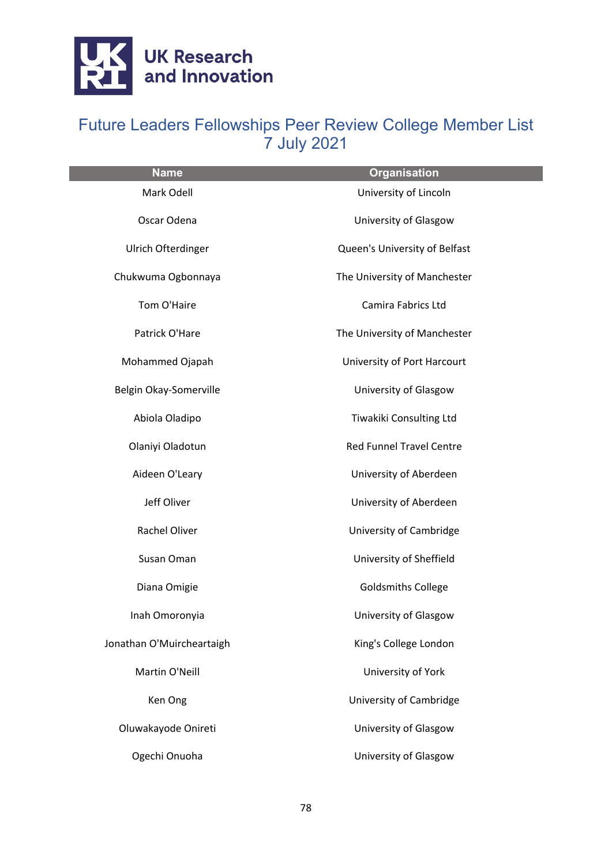

| <b>Name</b>               | <b>Organisation</b>             |
|---------------------------|---------------------------------|
| Mark Odell                | University of Lincoln           |
| Oscar Odena               | University of Glasgow           |
| Ulrich Ofterdinger        | Queen's University of Belfast   |
| Chukwuma Ogbonnaya        | The University of Manchester    |
| Tom O'Haire               | Camira Fabrics Ltd              |
| Patrick O'Hare            | The University of Manchester    |
| Mohammed Ojapah           | University of Port Harcourt     |
| Belgin Okay-Somerville    | University of Glasgow           |
| Abiola Oladipo            | Tiwakiki Consulting Ltd         |
| Olaniyi Oladotun          | <b>Red Funnel Travel Centre</b> |
| Aideen O'Leary            | University of Aberdeen          |
| Jeff Oliver               | University of Aberdeen          |
| Rachel Oliver             | University of Cambridge         |
| Susan Oman                | University of Sheffield         |
| Diana Omigie              | <b>Goldsmiths College</b>       |
| Inah Omoronyia            | University of Glasgow           |
| Jonathan O'Muircheartaigh | King's College London           |
| Martin O'Neill            | University of York              |
| Ken Ong                   | University of Cambridge         |
| Oluwakayode Onireti       | University of Glasgow           |
| Ogechi Onuoha             | University of Glasgow           |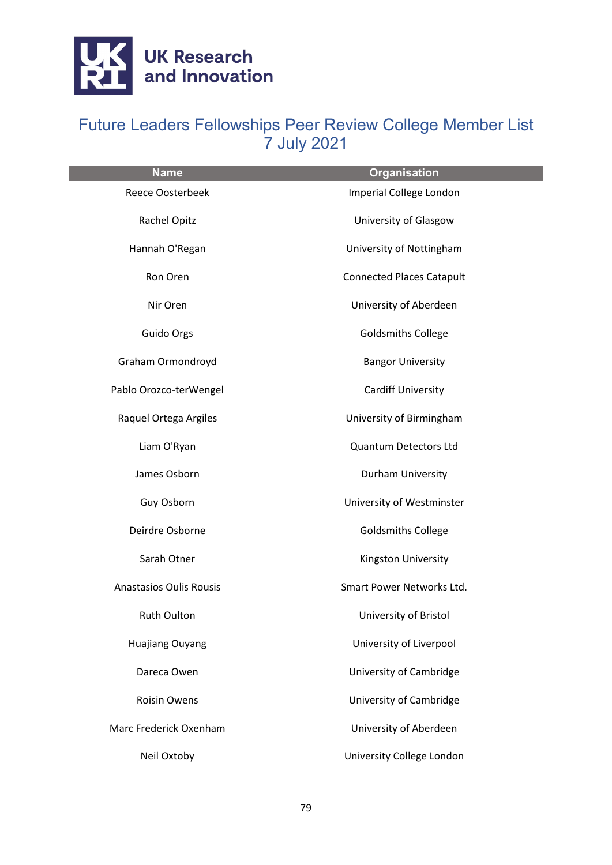

| <b>Name</b>                    | <b>Organisation</b>              |
|--------------------------------|----------------------------------|
| <b>Reece Oosterbeek</b>        | Imperial College London          |
| Rachel Opitz                   | University of Glasgow            |
| Hannah O'Regan                 | University of Nottingham         |
| Ron Oren                       | <b>Connected Places Catapult</b> |
| Nir Oren                       | University of Aberdeen           |
| Guido Orgs                     | <b>Goldsmiths College</b>        |
| Graham Ormondroyd              | <b>Bangor University</b>         |
| Pablo Orozco-terWengel         | <b>Cardiff University</b>        |
| Raquel Ortega Argiles          | University of Birmingham         |
| Liam O'Ryan                    | Quantum Detectors Ltd            |
| James Osborn                   | Durham University                |
| Guy Osborn                     | University of Westminster        |
| Deirdre Osborne                | <b>Goldsmiths College</b>        |
| Sarah Otner                    | Kingston University              |
| <b>Anastasios Oulis Rousis</b> | Smart Power Networks Ltd.        |
| Ruth Oulton                    | University of Bristol            |
| <b>Huajiang Ouyang</b>         | University of Liverpool          |
| Dareca Owen                    | University of Cambridge          |
| <b>Roisin Owens</b>            | University of Cambridge          |
| Marc Frederick Oxenham         | University of Aberdeen           |
| Neil Oxtoby                    | University College London        |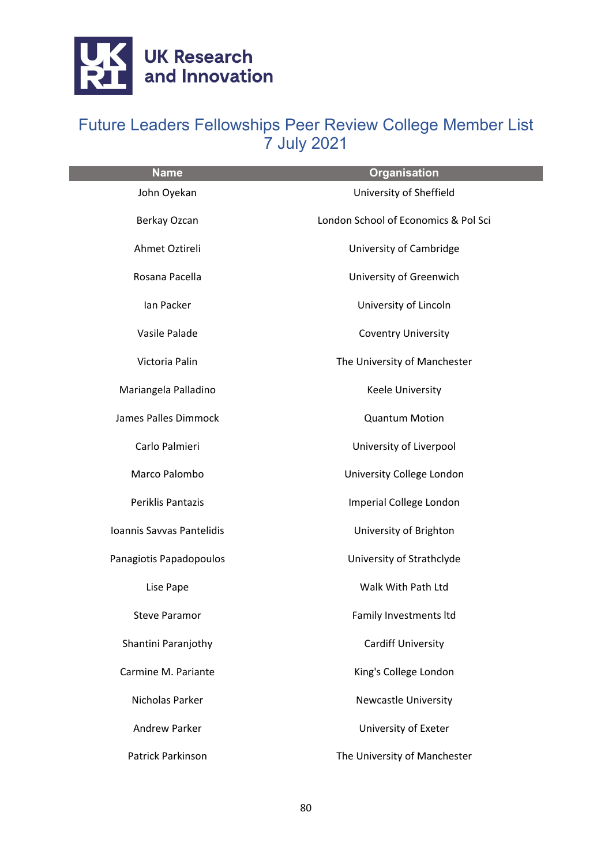

| <b>Name</b>               | <b>Organisation</b>                  |
|---------------------------|--------------------------------------|
| John Oyekan               | University of Sheffield              |
| Berkay Ozcan              | London School of Economics & Pol Sci |
| Ahmet Oztireli            | University of Cambridge              |
| Rosana Pacella            | University of Greenwich              |
| Ian Packer                | University of Lincoln                |
| Vasile Palade             | <b>Coventry University</b>           |
| Victoria Palin            | The University of Manchester         |
| Mariangela Palladino      | Keele University                     |
| James Palles Dimmock      | <b>Quantum Motion</b>                |
| Carlo Palmieri            | University of Liverpool              |
| Marco Palombo             | University College London            |
| Periklis Pantazis         | Imperial College London              |
| Ioannis Savvas Pantelidis | University of Brighton               |
| Panagiotis Papadopoulos   | University of Strathclyde            |
| Lise Pape                 | Walk With Path Ltd                   |
| <b>Steve Paramor</b>      | Family Investments Itd               |
| Shantini Paranjothy       | <b>Cardiff University</b>            |
| Carmine M. Pariante       | King's College London                |
| Nicholas Parker           | <b>Newcastle University</b>          |
| <b>Andrew Parker</b>      | University of Exeter                 |
| Patrick Parkinson         | The University of Manchester         |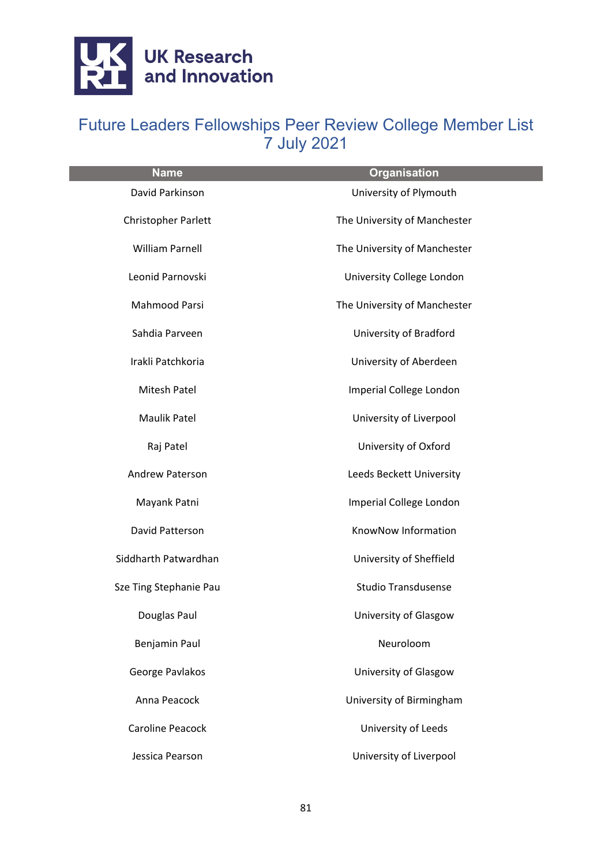

| <b>Name</b>            | <b>Organisation</b>          |
|------------------------|------------------------------|
| David Parkinson        | University of Plymouth       |
| Christopher Parlett    | The University of Manchester |
| <b>William Parnell</b> | The University of Manchester |
| Leonid Parnovski       | University College London    |
| <b>Mahmood Parsi</b>   | The University of Manchester |
| Sahdia Parveen         | University of Bradford       |
| Irakli Patchkoria      | University of Aberdeen       |
| Mitesh Patel           | Imperial College London      |
| Maulik Patel           | University of Liverpool      |
| Raj Patel              | University of Oxford         |
| Andrew Paterson        | Leeds Beckett University     |
| Mayank Patni           | Imperial College London      |
| David Patterson        | KnowNow Information          |
| Siddharth Patwardhan   | University of Sheffield      |
| Sze Ting Stephanie Pau | <b>Studio Transdusense</b>   |
| Douglas Paul           | University of Glasgow        |
| Benjamin Paul          | Neuroloom                    |
| George Pavlakos        | University of Glasgow        |
| Anna Peacock           | University of Birmingham     |
| Caroline Peacock       | University of Leeds          |
| Jessica Pearson        | University of Liverpool      |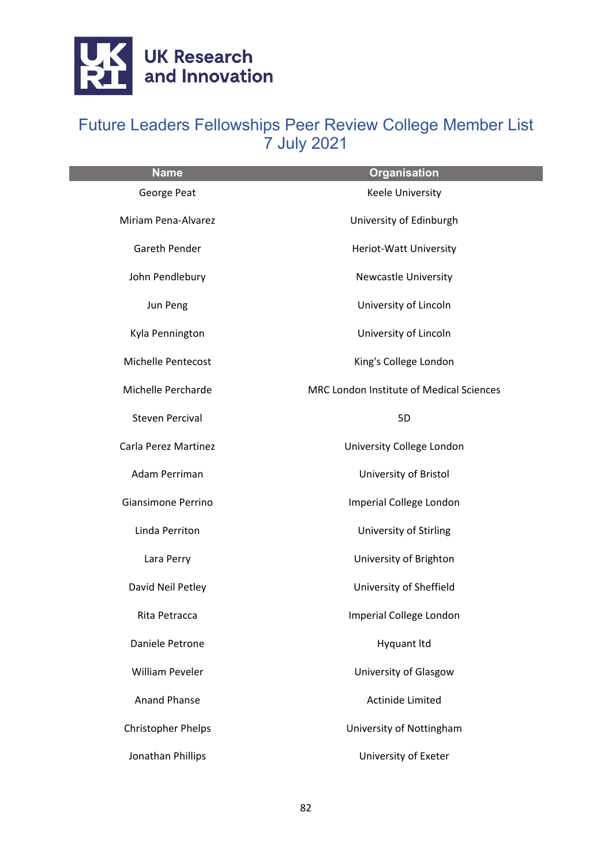

| <b>Name</b>               | <b>Organisation</b>                      |
|---------------------------|------------------------------------------|
| George Peat               | Keele University                         |
| Miriam Pena-Alvarez       | University of Edinburgh                  |
| Gareth Pender             | Heriot-Watt University                   |
| John Pendlebury           | <b>Newcastle University</b>              |
| Jun Peng                  | University of Lincoln                    |
| Kyla Pennington           | University of Lincoln                    |
| Michelle Pentecost        | King's College London                    |
| Michelle Percharde        | MRC London Institute of Medical Sciences |
| <b>Steven Percival</b>    | 5D                                       |
| Carla Perez Martinez      | University College London                |
| Adam Perriman             | University of Bristol                    |
| Giansimone Perrino        | Imperial College London                  |
| Linda Perriton            | University of Stirling                   |
| Lara Perry                | University of Brighton                   |
| David Neil Petley         | University of Sheffield                  |
| Rita Petracca             | Imperial College London                  |
| Daniele Petrone           | <b>Hyquant Itd</b>                       |
| <b>William Peveler</b>    | University of Glasgow                    |
| <b>Anand Phanse</b>       | Actinide Limited                         |
| <b>Christopher Phelps</b> | University of Nottingham                 |
| Jonathan Phillips         | University of Exeter                     |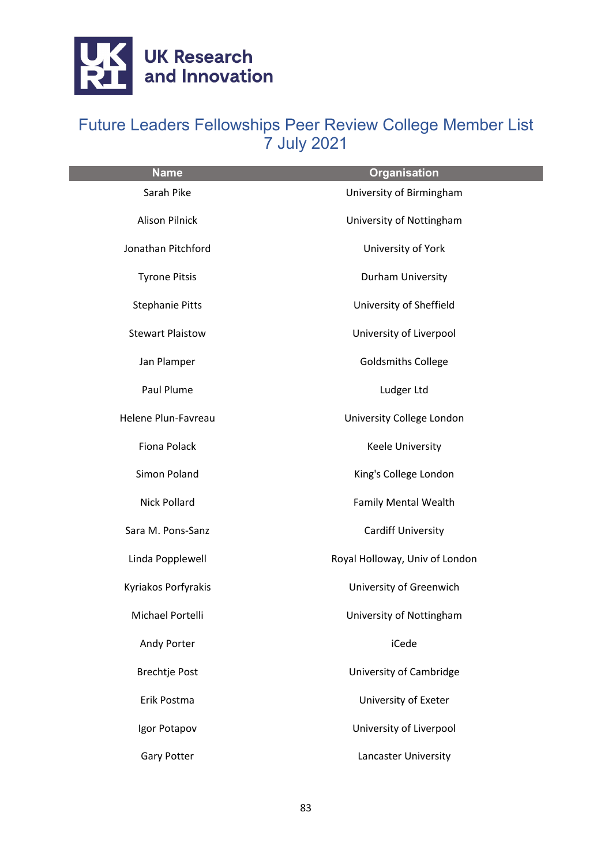

| <b>Name</b>             | <b>Organisation</b>            |
|-------------------------|--------------------------------|
| Sarah Pike              | University of Birmingham       |
| <b>Alison Pilnick</b>   | University of Nottingham       |
| Jonathan Pitchford      | University of York             |
| <b>Tyrone Pitsis</b>    | Durham University              |
| <b>Stephanie Pitts</b>  | University of Sheffield        |
| <b>Stewart Plaistow</b> | University of Liverpool        |
| Jan Plamper             | <b>Goldsmiths College</b>      |
| Paul Plume              | Ludger Ltd                     |
| Helene Plun-Favreau     | University College London      |
| <b>Fiona Polack</b>     | <b>Keele University</b>        |
| Simon Poland            | King's College London          |
| Nick Pollard            | <b>Family Mental Wealth</b>    |
| Sara M. Pons-Sanz       | <b>Cardiff University</b>      |
| Linda Popplewell        | Royal Holloway, Univ of London |
| Kyriakos Porfyrakis     | University of Greenwich        |
| Michael Portelli        | University of Nottingham       |
| Andy Porter             | iCede                          |
| <b>Brechtje Post</b>    | University of Cambridge        |
| Erik Postma             | University of Exeter           |
| Igor Potapov            | University of Liverpool        |
| <b>Gary Potter</b>      | Lancaster University           |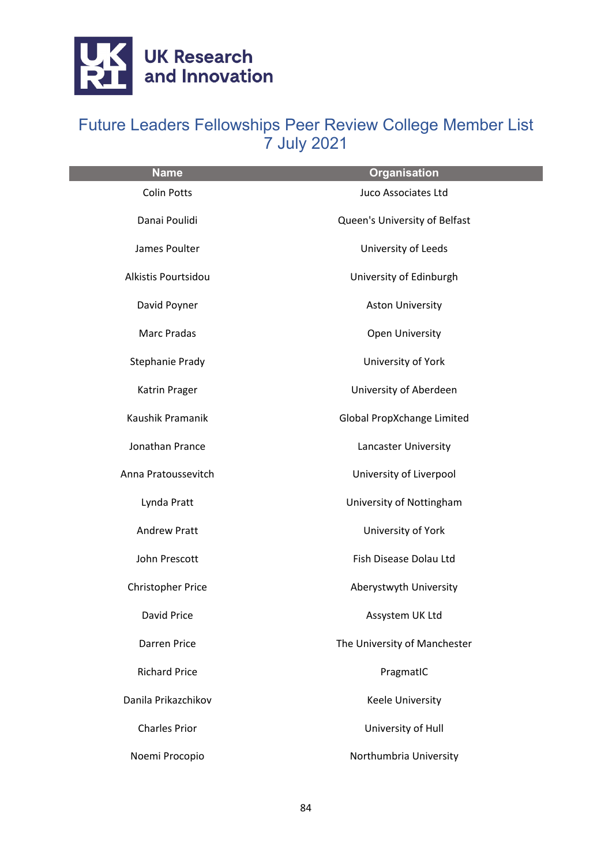

| <b>Name</b>              | <b>Organisation</b>           |
|--------------------------|-------------------------------|
| <b>Colin Potts</b>       | Juco Associates Ltd           |
| Danai Poulidi            | Queen's University of Belfast |
| James Poulter            | University of Leeds           |
| Alkistis Pourtsidou      | University of Edinburgh       |
| David Poyner             | <b>Aston University</b>       |
| <b>Marc Pradas</b>       | Open University               |
| Stephanie Prady          | University of York            |
| Katrin Prager            | University of Aberdeen        |
| Kaushik Pramanik         | Global PropXchange Limited    |
| Jonathan Prance          | Lancaster University          |
| Anna Pratoussevitch      | University of Liverpool       |
| Lynda Pratt              | University of Nottingham      |
| <b>Andrew Pratt</b>      | University of York            |
| John Prescott            | Fish Disease Dolau Ltd        |
| <b>Christopher Price</b> | Aberystwyth University        |
| David Price              | Assystem UK Ltd               |
| Darren Price             | The University of Manchester  |
| <b>Richard Price</b>     | PragmatIC                     |
| Danila Prikazchikov      | <b>Keele University</b>       |
| <b>Charles Prior</b>     | University of Hull            |
| Noemi Procopio           | Northumbria University        |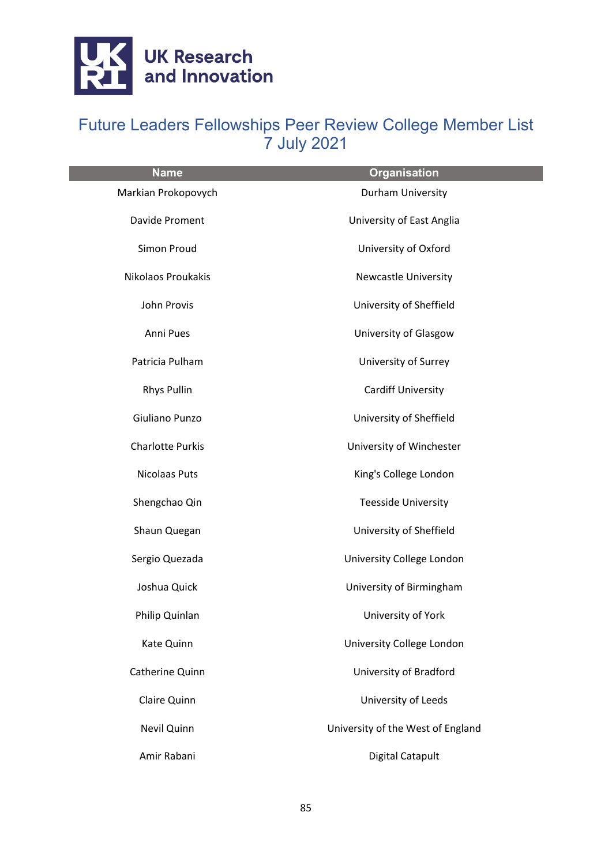

| <b>Name</b>             | <b>Organisation</b>               |
|-------------------------|-----------------------------------|
| Markian Prokopovych     | Durham University                 |
| Davide Proment          | University of East Anglia         |
| Simon Proud             | University of Oxford              |
| Nikolaos Proukakis      | <b>Newcastle University</b>       |
| John Provis             | University of Sheffield           |
| Anni Pues               | University of Glasgow             |
| Patricia Pulham         | University of Surrey              |
| <b>Rhys Pullin</b>      | <b>Cardiff University</b>         |
| Giuliano Punzo          | University of Sheffield           |
| <b>Charlotte Purkis</b> | University of Winchester          |
| <b>Nicolaas Puts</b>    | King's College London             |
| Shengchao Qin           | <b>Teesside University</b>        |
| Shaun Quegan            | University of Sheffield           |
| Sergio Quezada          | University College London         |
| Joshua Quick            | University of Birmingham          |
| Philip Quinlan          | University of York                |
| Kate Quinn              | University College London         |
| Catherine Quinn         | University of Bradford            |
| Claire Quinn            | University of Leeds               |
| Nevil Quinn             | University of the West of England |
| Amir Rabani             | <b>Digital Catapult</b>           |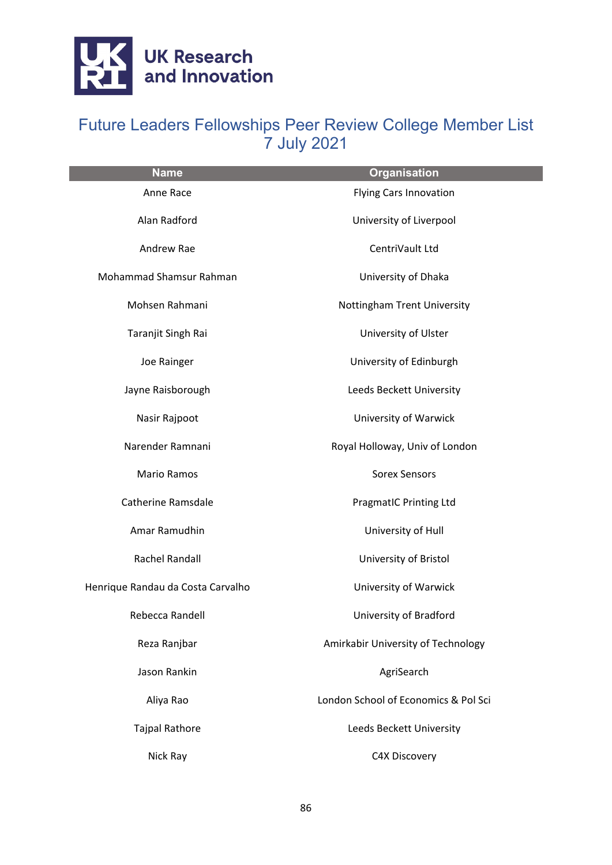

| <b>Name</b>                       | <b>Organisation</b>                  |
|-----------------------------------|--------------------------------------|
| Anne Race                         | Flying Cars Innovation               |
| Alan Radford                      | University of Liverpool              |
| Andrew Rae                        | CentriVault Ltd                      |
| Mohammad Shamsur Rahman           | University of Dhaka                  |
| Mohsen Rahmani                    | Nottingham Trent University          |
| Taranjit Singh Rai                | University of Ulster                 |
| Joe Rainger                       | University of Edinburgh              |
| Jayne Raisborough                 | Leeds Beckett University             |
| Nasir Rajpoot                     | University of Warwick                |
| Narender Ramnani                  | Royal Holloway, Univ of London       |
| Mario Ramos                       | <b>Sorex Sensors</b>                 |
| <b>Catherine Ramsdale</b>         | <b>PragmatIC Printing Ltd</b>        |
| Amar Ramudhin                     | University of Hull                   |
| Rachel Randall                    | University of Bristol                |
| Henrique Randau da Costa Carvalho | University of Warwick                |
| Rebecca Randell                   | University of Bradford               |
| Reza Ranjbar                      | Amirkabir University of Technology   |
| Jason Rankin                      | AgriSearch                           |
| Aliya Rao                         | London School of Economics & Pol Sci |
| <b>Tajpal Rathore</b>             | Leeds Beckett University             |
| Nick Ray                          | C4X Discovery                        |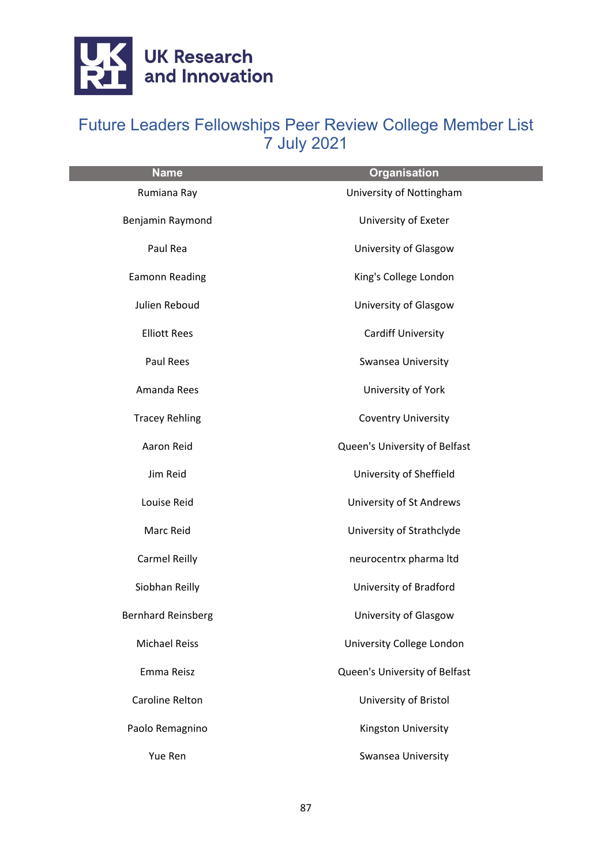

| <b>Name</b>               | <b>Organisation</b>           |
|---------------------------|-------------------------------|
| Rumiana Ray               | University of Nottingham      |
| Benjamin Raymond          | University of Exeter          |
| Paul Rea                  | University of Glasgow         |
| <b>Eamonn Reading</b>     | King's College London         |
| Julien Reboud             | University of Glasgow         |
| <b>Elliott Rees</b>       | Cardiff University            |
| Paul Rees                 | Swansea University            |
| Amanda Rees               | University of York            |
| <b>Tracey Rehling</b>     | <b>Coventry University</b>    |
| Aaron Reid                | Queen's University of Belfast |
| Jim Reid                  | University of Sheffield       |
| Louise Reid               | University of St Andrews      |
| Marc Reid                 | University of Strathclyde     |
| <b>Carmel Reilly</b>      | neurocentrx pharma Itd        |
| Siobhan Reilly            | University of Bradford        |
| <b>Bernhard Reinsberg</b> | University of Glasgow         |
| <b>Michael Reiss</b>      | University College London     |
| Emma Reisz                | Queen's University of Belfast |
| Caroline Relton           | University of Bristol         |
| Paolo Remagnino           | Kingston University           |
| Yue Ren                   | Swansea University            |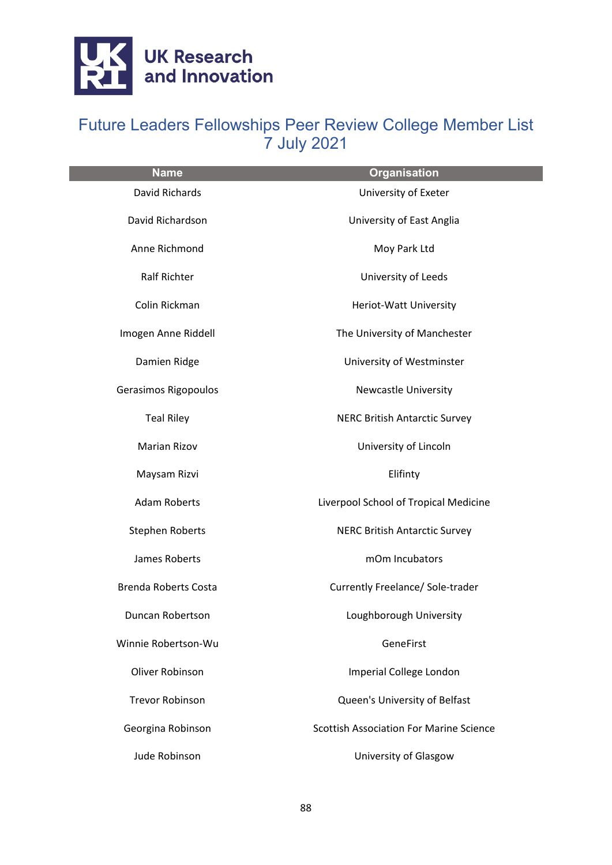

| <b>Name</b>                 | <b>Organisation</b>                            |
|-----------------------------|------------------------------------------------|
| <b>David Richards</b>       | University of Exeter                           |
| David Richardson            | University of East Anglia                      |
| Anne Richmond               | Moy Park Ltd                                   |
| <b>Ralf Richter</b>         | University of Leeds                            |
| Colin Rickman               | Heriot-Watt University                         |
| Imogen Anne Riddell         | The University of Manchester                   |
| Damien Ridge                | University of Westminster                      |
| Gerasimos Rigopoulos        | <b>Newcastle University</b>                    |
| <b>Teal Riley</b>           | <b>NERC British Antarctic Survey</b>           |
| <b>Marian Rizov</b>         | University of Lincoln                          |
| Maysam Rizvi                | Elifinty                                       |
| <b>Adam Roberts</b>         | Liverpool School of Tropical Medicine          |
| <b>Stephen Roberts</b>      | <b>NERC British Antarctic Survey</b>           |
| James Roberts               | mOm Incubators                                 |
| <b>Brenda Roberts Costa</b> | Currently Freelance/ Sole-trader               |
| Duncan Robertson            | Loughborough University                        |
| Winnie Robertson-Wu         | GeneFirst                                      |
| Oliver Robinson             | Imperial College London                        |
| <b>Trevor Robinson</b>      | Queen's University of Belfast                  |
| Georgina Robinson           | <b>Scottish Association For Marine Science</b> |
| Jude Robinson               | University of Glasgow                          |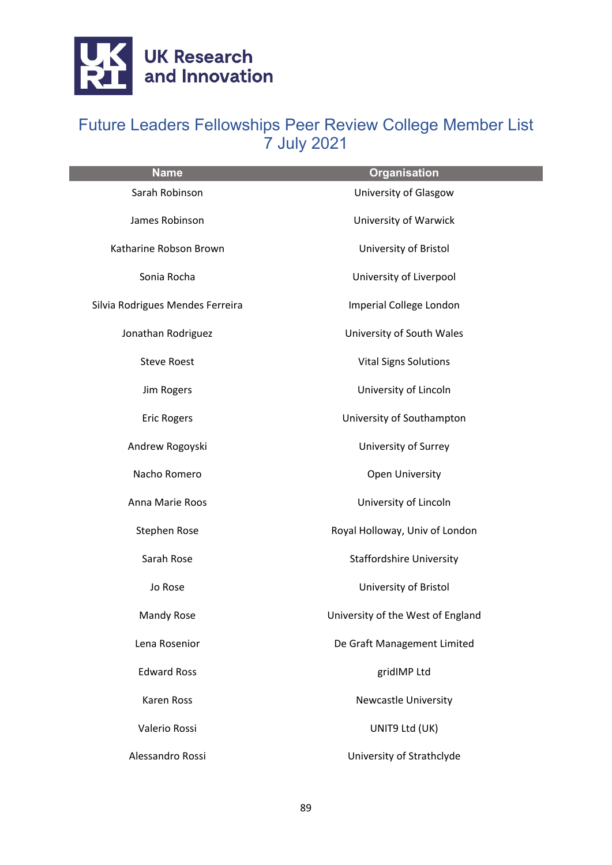

| <b>Name</b>                      | <b>Organisation</b>               |
|----------------------------------|-----------------------------------|
| Sarah Robinson                   | University of Glasgow             |
| James Robinson                   | University of Warwick             |
| Katharine Robson Brown           | University of Bristol             |
| Sonia Rocha                      | University of Liverpool           |
| Silvia Rodrigues Mendes Ferreira | Imperial College London           |
| Jonathan Rodriguez               | University of South Wales         |
| <b>Steve Roest</b>               | <b>Vital Signs Solutions</b>      |
| Jim Rogers                       | University of Lincoln             |
| <b>Eric Rogers</b>               | University of Southampton         |
| Andrew Rogoyski                  | University of Surrey              |
| Nacho Romero                     | <b>Open University</b>            |
| Anna Marie Roos                  | University of Lincoln             |
| Stephen Rose                     | Royal Holloway, Univ of London    |
| Sarah Rose                       | <b>Staffordshire University</b>   |
| Jo Rose                          | University of Bristol             |
| Mandy Rose                       | University of the West of England |
| Lena Rosenior                    | De Graft Management Limited       |
| <b>Edward Ross</b>               | gridIMP Ltd                       |
| <b>Karen Ross</b>                | <b>Newcastle University</b>       |
| Valerio Rossi                    | UNIT9 Ltd (UK)                    |
| Alessandro Rossi                 | University of Strathclyde         |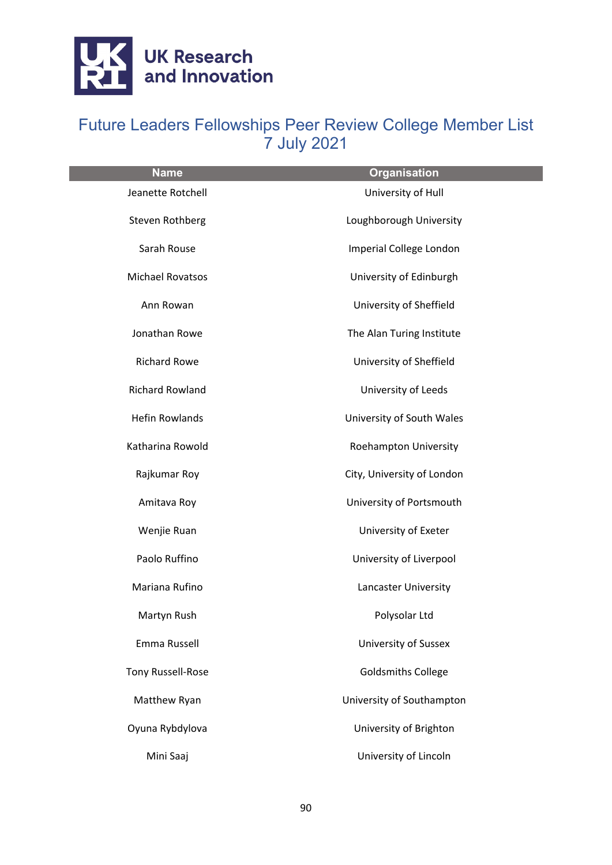

| <b>Name</b>              | <b>Organisation</b>         |
|--------------------------|-----------------------------|
| Jeanette Rotchell        | University of Hull          |
| <b>Steven Rothberg</b>   | Loughborough University     |
| Sarah Rouse              | Imperial College London     |
| <b>Michael Rovatsos</b>  | University of Edinburgh     |
| Ann Rowan                | University of Sheffield     |
| Jonathan Rowe            | The Alan Turing Institute   |
| <b>Richard Rowe</b>      | University of Sheffield     |
| <b>Richard Rowland</b>   | University of Leeds         |
| <b>Hefin Rowlands</b>    | University of South Wales   |
| Katharina Rowold         | Roehampton University       |
| Rajkumar Roy             | City, University of London  |
| Amitava Roy              | University of Portsmouth    |
| Wenjie Ruan              | University of Exeter        |
| Paolo Ruffino            | University of Liverpool     |
| Mariana Rufino           | Lancaster University        |
| Martyn Rush              | Polysolar Ltd               |
| Emma Russell             | <b>University of Sussex</b> |
| <b>Tony Russell-Rose</b> | <b>Goldsmiths College</b>   |
| Matthew Ryan             | University of Southampton   |
| Oyuna Rybdylova          | University of Brighton      |
| Mini Saaj                | University of Lincoln       |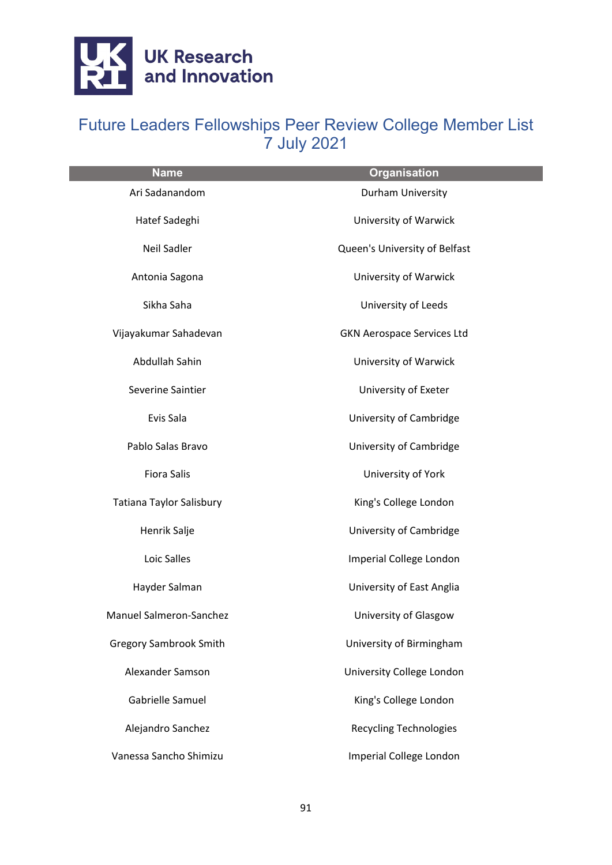

| <b>Name</b>                   | <b>Organisation</b>               |
|-------------------------------|-----------------------------------|
| Ari Sadanandom                | Durham University                 |
| Hatef Sadeghi                 | University of Warwick             |
| Neil Sadler                   | Queen's University of Belfast     |
| Antonia Sagona                | University of Warwick             |
| Sikha Saha                    | University of Leeds               |
| Vijayakumar Sahadevan         | <b>GKN Aerospace Services Ltd</b> |
| Abdullah Sahin                | University of Warwick             |
| Severine Saintier             | University of Exeter              |
| Evis Sala                     | University of Cambridge           |
| Pablo Salas Bravo             | University of Cambridge           |
| <b>Fiora Salis</b>            | University of York                |
| Tatiana Taylor Salisbury      | King's College London             |
| Henrik Salje                  | University of Cambridge           |
| Loic Salles                   | Imperial College London           |
| Hayder Salman                 | University of East Anglia         |
| Manuel Salmeron-Sanchez       | University of Glasgow             |
| <b>Gregory Sambrook Smith</b> | University of Birmingham          |
| <b>Alexander Samson</b>       | University College London         |
| Gabrielle Samuel              | King's College London             |
| Alejandro Sanchez             | <b>Recycling Technologies</b>     |
| Vanessa Sancho Shimizu        | Imperial College London           |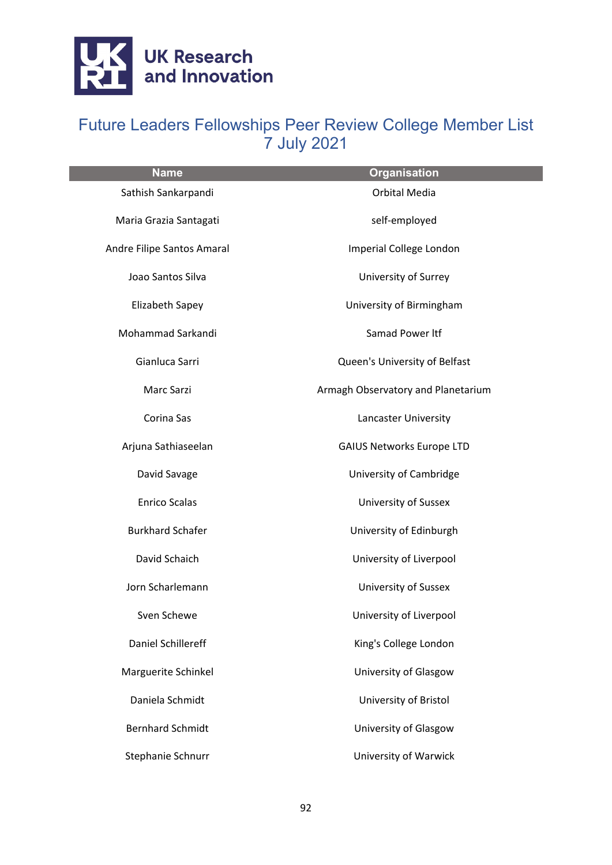

| <b>Name</b>                | <b>Organisation</b>                |
|----------------------------|------------------------------------|
| Sathish Sankarpandi        | <b>Orbital Media</b>               |
| Maria Grazia Santagati     | self-employed                      |
| Andre Filipe Santos Amaral | Imperial College London            |
| Joao Santos Silva          | University of Surrey               |
| Elizabeth Sapey            | University of Birmingham           |
| Mohammad Sarkandi          | Samad Power Itf                    |
| Gianluca Sarri             | Queen's University of Belfast      |
| Marc Sarzi                 | Armagh Observatory and Planetarium |
| Corina Sas                 | Lancaster University               |
| Arjuna Sathiaseelan        | <b>GAIUS Networks Europe LTD</b>   |
| David Savage               | University of Cambridge            |
| <b>Enrico Scalas</b>       | <b>University of Sussex</b>        |
| <b>Burkhard Schafer</b>    | University of Edinburgh            |
| David Schaich              | University of Liverpool            |
| Jorn Scharlemann           | <b>University of Sussex</b>        |
| Sven Schewe                | University of Liverpool            |
| Daniel Schillereff         | King's College London              |
| Marguerite Schinkel        | University of Glasgow              |
| Daniela Schmidt            | University of Bristol              |
| <b>Bernhard Schmidt</b>    | University of Glasgow              |
| Stephanie Schnurr          | University of Warwick              |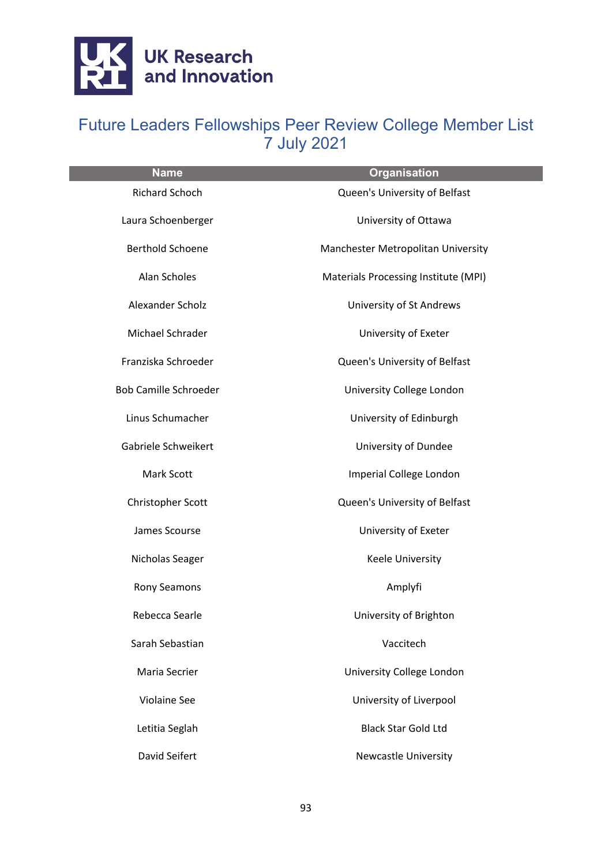

| <b>Name</b>                  | <b>Organisation</b>                  |
|------------------------------|--------------------------------------|
| Richard Schoch               | Queen's University of Belfast        |
| Laura Schoenberger           | University of Ottawa                 |
| <b>Berthold Schoene</b>      | Manchester Metropolitan University   |
| Alan Scholes                 | Materials Processing Institute (MPI) |
| Alexander Scholz             | University of St Andrews             |
| Michael Schrader             | University of Exeter                 |
| Franziska Schroeder          | Queen's University of Belfast        |
| <b>Bob Camille Schroeder</b> | University College London            |
| Linus Schumacher             | University of Edinburgh              |
| Gabriele Schweikert          | University of Dundee                 |
| Mark Scott                   | Imperial College London              |
| Christopher Scott            | Queen's University of Belfast        |
| James Scourse                | University of Exeter                 |
| Nicholas Seager              | Keele University                     |
| Rony Seamons                 | Amplyfi                              |
| Rebecca Searle               | University of Brighton               |
| Sarah Sebastian              | Vaccitech                            |
| Maria Secrier                | University College London            |
| <b>Violaine See</b>          | University of Liverpool              |
| Letitia Seglah               | <b>Black Star Gold Ltd</b>           |
| David Seifert                | <b>Newcastle University</b>          |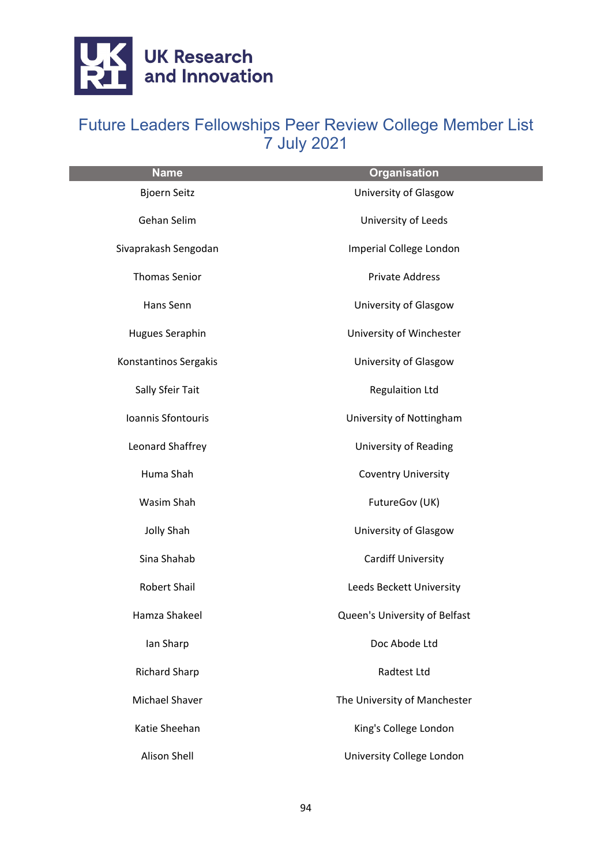

| <b>Name</b>           | <b>Organisation</b>           |
|-----------------------|-------------------------------|
| <b>Bjoern Seitz</b>   | University of Glasgow         |
| Gehan Selim           | University of Leeds           |
| Sivaprakash Sengodan  | Imperial College London       |
| <b>Thomas Senior</b>  | <b>Private Address</b>        |
| Hans Senn             | University of Glasgow         |
| Hugues Seraphin       | University of Winchester      |
| Konstantinos Sergakis | University of Glasgow         |
| Sally Sfeir Tait      | <b>Regulaition Ltd</b>        |
| Ioannis Sfontouris    | University of Nottingham      |
| Leonard Shaffrey      | University of Reading         |
| Huma Shah             | <b>Coventry University</b>    |
| Wasim Shah            | FutureGov (UK)                |
| <b>Jolly Shah</b>     | University of Glasgow         |
| Sina Shahab           | Cardiff University            |
| Robert Shail          | Leeds Beckett University      |
| Hamza Shakeel         | Queen's University of Belfast |
| Ian Sharp             | Doc Abode Ltd                 |
| <b>Richard Sharp</b>  | <b>Radtest Ltd</b>            |
| <b>Michael Shaver</b> | The University of Manchester  |
| Katie Sheehan         | King's College London         |
| <b>Alison Shell</b>   | University College London     |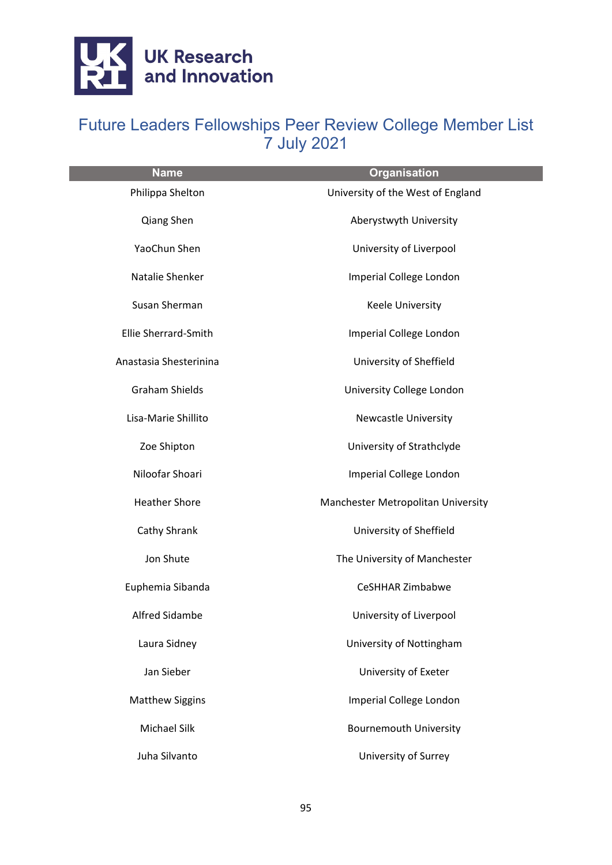

| <b>Name</b>            | <b>Organisation</b>                |
|------------------------|------------------------------------|
| Philippa Shelton       | University of the West of England  |
| Qiang Shen             | Aberystwyth University             |
| YaoChun Shen           | University of Liverpool            |
| Natalie Shenker        | Imperial College London            |
| Susan Sherman          | Keele University                   |
| Ellie Sherrard-Smith   | Imperial College London            |
| Anastasia Shesterinina | University of Sheffield            |
| <b>Graham Shields</b>  | University College London          |
| Lisa-Marie Shillito    | <b>Newcastle University</b>        |
| Zoe Shipton            | University of Strathclyde          |
| Niloofar Shoari        | Imperial College London            |
| <b>Heather Shore</b>   | Manchester Metropolitan University |
| Cathy Shrank           | University of Sheffield            |
| Jon Shute              | The University of Manchester       |
| Euphemia Sibanda       | CeSHHAR Zimbabwe                   |
| Alfred Sidambe         | University of Liverpool            |
| Laura Sidney           | University of Nottingham           |
| Jan Sieber             | University of Exeter               |
| <b>Matthew Siggins</b> | Imperial College London            |
| Michael Silk           | <b>Bournemouth University</b>      |
| Juha Silvanto          | University of Surrey               |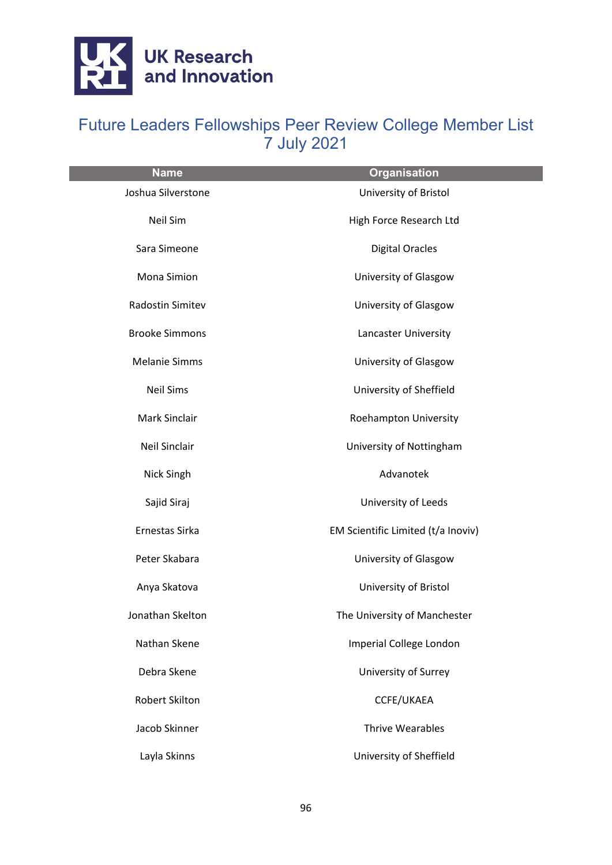

| <b>Name</b>           | <b>Organisation</b>                |
|-----------------------|------------------------------------|
| Joshua Silverstone    | University of Bristol              |
| Neil Sim              | High Force Research Ltd            |
| Sara Simeone          | <b>Digital Oracles</b>             |
| Mona Simion           | University of Glasgow              |
| Radostin Simitev      | University of Glasgow              |
| <b>Brooke Simmons</b> | Lancaster University               |
| <b>Melanie Simms</b>  | University of Glasgow              |
| <b>Neil Sims</b>      | University of Sheffield            |
| Mark Sinclair         | Roehampton University              |
| <b>Neil Sinclair</b>  | University of Nottingham           |
| Nick Singh            | Advanotek                          |
| Sajid Siraj           | University of Leeds                |
| Ernestas Sirka        | EM Scientific Limited (t/a Inoviv) |
| Peter Skabara         | University of Glasgow              |
| Anya Skatova          | University of Bristol              |
| Jonathan Skelton      | The University of Manchester       |
| Nathan Skene          | Imperial College London            |
| Debra Skene           | University of Surrey               |
| <b>Robert Skilton</b> | CCFE/UKAEA                         |
| Jacob Skinner         | <b>Thrive Wearables</b>            |
| Layla Skinns          | University of Sheffield            |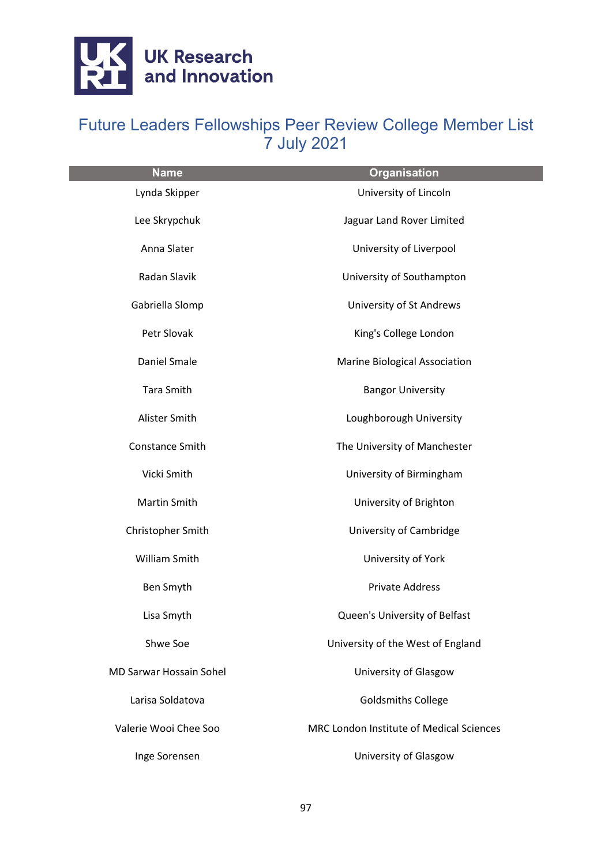

| <b>Name</b>                    | <b>Organisation</b>                      |
|--------------------------------|------------------------------------------|
| Lynda Skipper                  | University of Lincoln                    |
| Lee Skrypchuk                  | Jaguar Land Rover Limited                |
| Anna Slater                    | University of Liverpool                  |
| Radan Slavik                   | University of Southampton                |
| Gabriella Slomp                | University of St Andrews                 |
| Petr Slovak                    | King's College London                    |
| Daniel Smale                   | Marine Biological Association            |
| <b>Tara Smith</b>              | <b>Bangor University</b>                 |
| Alister Smith                  | Loughborough University                  |
| <b>Constance Smith</b>         | The University of Manchester             |
| Vicki Smith                    | University of Birmingham                 |
| Martin Smith                   | University of Brighton                   |
| Christopher Smith              | University of Cambridge                  |
| William Smith                  | University of York                       |
| Ben Smyth                      | <b>Private Address</b>                   |
| Lisa Smyth                     | Queen's University of Belfast            |
| Shwe Soe                       | University of the West of England        |
| <b>MD Sarwar Hossain Sohel</b> | University of Glasgow                    |
| Larisa Soldatova               | <b>Goldsmiths College</b>                |
| Valerie Wooi Chee Soo          | MRC London Institute of Medical Sciences |
| Inge Sorensen                  | University of Glasgow                    |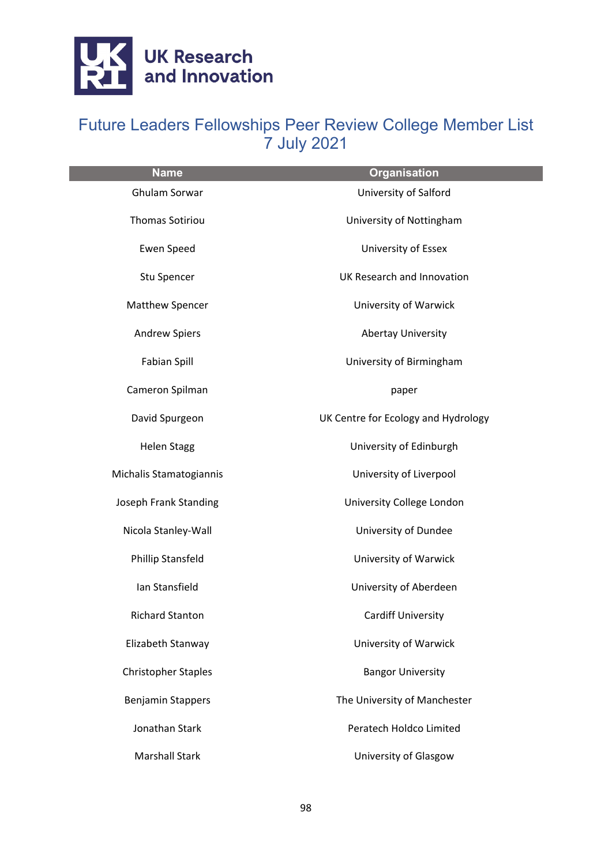

| <b>Name</b>                | <b>Organisation</b>                 |
|----------------------------|-------------------------------------|
| Ghulam Sorwar              | University of Salford               |
| <b>Thomas Sotiriou</b>     | University of Nottingham            |
| Ewen Speed                 | University of Essex                 |
| Stu Spencer                | UK Research and Innovation          |
| Matthew Spencer            | University of Warwick               |
| <b>Andrew Spiers</b>       | <b>Abertay University</b>           |
| Fabian Spill               | University of Birmingham            |
| Cameron Spilman            | paper                               |
| David Spurgeon             | UK Centre for Ecology and Hydrology |
| <b>Helen Stagg</b>         | University of Edinburgh             |
| Michalis Stamatogiannis    | University of Liverpool             |
| Joseph Frank Standing      | University College London           |
| Nicola Stanley-Wall        | University of Dundee                |
| Phillip Stansfeld          | University of Warwick               |
| Ian Stansfield             | University of Aberdeen              |
| <b>Richard Stanton</b>     | <b>Cardiff University</b>           |
| Elizabeth Stanway          | University of Warwick               |
| <b>Christopher Staples</b> | <b>Bangor University</b>            |
| <b>Benjamin Stappers</b>   | The University of Manchester        |
| Jonathan Stark             | Peratech Holdco Limited             |
| <b>Marshall Stark</b>      | University of Glasgow               |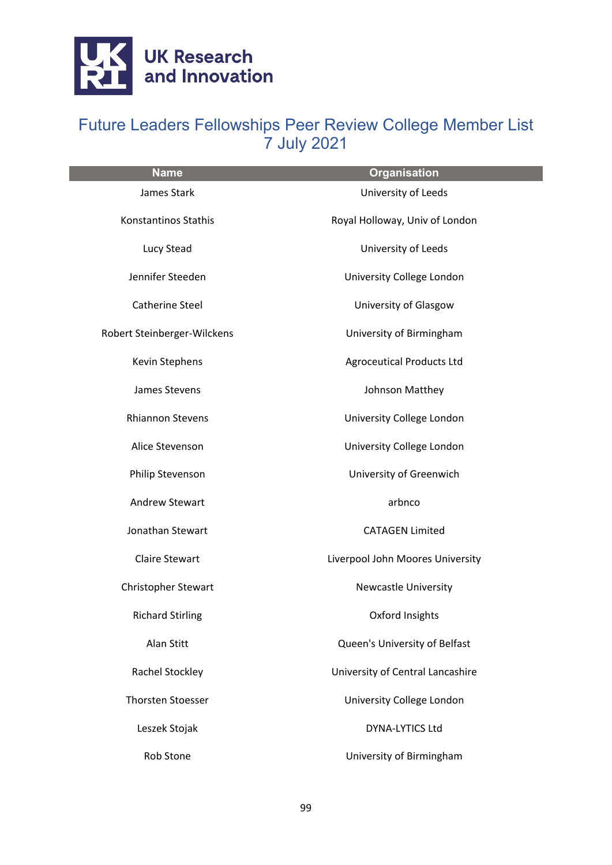

| <b>Name</b>                 | <b>Organisation</b>              |
|-----------------------------|----------------------------------|
| James Stark                 | University of Leeds              |
| Konstantinos Stathis        | Royal Holloway, Univ of London   |
| Lucy Stead                  | University of Leeds              |
| Jennifer Steeden            | University College London        |
| Catherine Steel             | University of Glasgow            |
| Robert Steinberger-Wilckens | University of Birmingham         |
| Kevin Stephens              | <b>Agroceutical Products Ltd</b> |
| James Stevens               | Johnson Matthey                  |
| <b>Rhiannon Stevens</b>     | University College London        |
| Alice Stevenson             | University College London        |
| Philip Stevenson            | University of Greenwich          |
| <b>Andrew Stewart</b>       | arbnco                           |
| Jonathan Stewart            | <b>CATAGEN Limited</b>           |
| <b>Claire Stewart</b>       | Liverpool John Moores University |
| Christopher Stewart         | Newcastle University             |
| <b>Richard Stirling</b>     | Oxford Insights                  |
| Alan Stitt                  | Queen's University of Belfast    |
| Rachel Stockley             | University of Central Lancashire |
| <b>Thorsten Stoesser</b>    | University College London        |
| Leszek Stojak               | DYNA-LYTICS Ltd                  |
| Rob Stone                   | University of Birmingham         |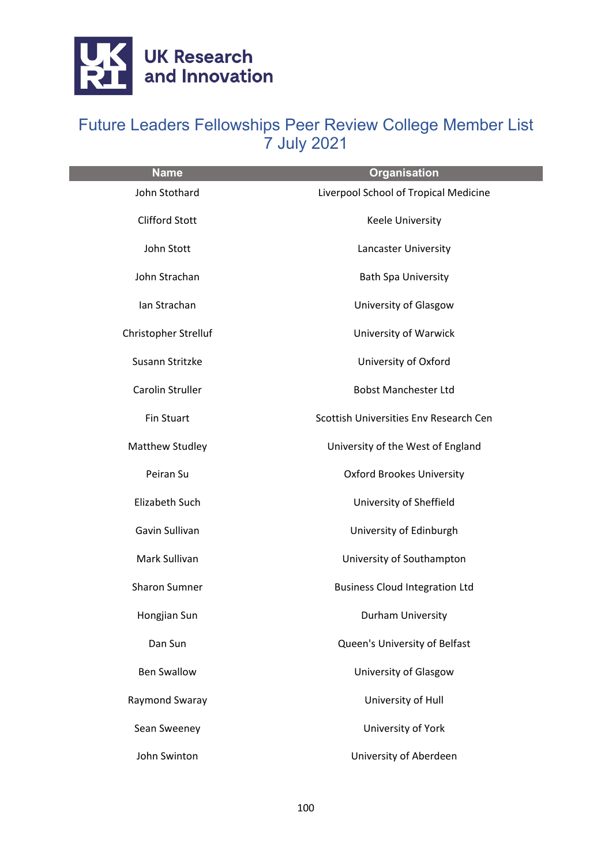

| <b>Name</b>           | <b>Organisation</b>                    |
|-----------------------|----------------------------------------|
| John Stothard         | Liverpool School of Tropical Medicine  |
| <b>Clifford Stott</b> | Keele University                       |
| John Stott            | Lancaster University                   |
| John Strachan         | <b>Bath Spa University</b>             |
| Ian Strachan          | University of Glasgow                  |
| Christopher Strelluf  | University of Warwick                  |
| Susann Stritzke       | University of Oxford                   |
| Carolin Struller      | <b>Bobst Manchester Ltd</b>            |
| <b>Fin Stuart</b>     | Scottish Universities Env Research Cen |
| Matthew Studley       | University of the West of England      |
| Peiran Su             | <b>Oxford Brookes University</b>       |
| Elizabeth Such        | University of Sheffield                |
| Gavin Sullivan        | University of Edinburgh                |
| Mark Sullivan         | University of Southampton              |
| <b>Sharon Sumner</b>  | <b>Business Cloud Integration Ltd</b>  |
| Hongjian Sun          | Durham University                      |
| Dan Sun               | Queen's University of Belfast          |
| <b>Ben Swallow</b>    | University of Glasgow                  |
| Raymond Swaray        | University of Hull                     |
| Sean Sweeney          | University of York                     |
| John Swinton          | University of Aberdeen                 |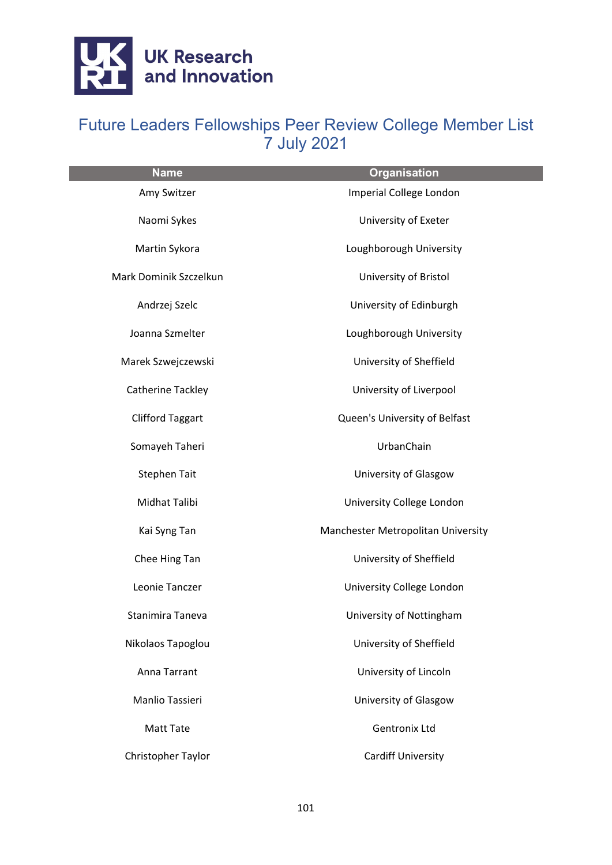

| <b>Name</b>             | <b>Organisation</b>                |
|-------------------------|------------------------------------|
| Amy Switzer             | Imperial College London            |
| Naomi Sykes             | University of Exeter               |
| Martin Sykora           | Loughborough University            |
| Mark Dominik Szczelkun  | University of Bristol              |
| Andrzej Szelc           | University of Edinburgh            |
| Joanna Szmelter         | Loughborough University            |
| Marek Szwejczewski      | University of Sheffield            |
| Catherine Tackley       | University of Liverpool            |
| <b>Clifford Taggart</b> | Queen's University of Belfast      |
| Somayeh Taheri          | UrbanChain                         |
| <b>Stephen Tait</b>     | University of Glasgow              |
| Midhat Talibi           | University College London          |
| Kai Syng Tan            | Manchester Metropolitan University |
| Chee Hing Tan           | University of Sheffield            |
| Leonie Tanczer          | University College London          |
| Stanimira Taneva        | University of Nottingham           |
| Nikolaos Tapoglou       | University of Sheffield            |
| Anna Tarrant            | University of Lincoln              |
| Manlio Tassieri         | University of Glasgow              |
| <b>Matt Tate</b>        | <b>Gentronix Ltd</b>               |
| Christopher Taylor      | <b>Cardiff University</b>          |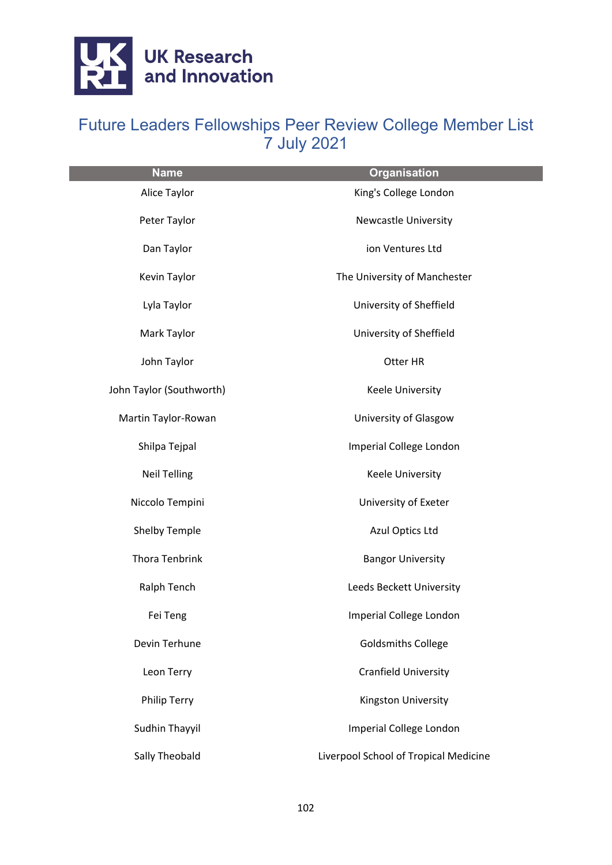

| <b>Name</b>              | <b>Organisation</b>                   |
|--------------------------|---------------------------------------|
| Alice Taylor             | King's College London                 |
| Peter Taylor             | <b>Newcastle University</b>           |
| Dan Taylor               | ion Ventures Ltd                      |
| Kevin Taylor             | The University of Manchester          |
| Lyla Taylor              | University of Sheffield               |
| Mark Taylor              | University of Sheffield               |
| John Taylor              | Otter HR                              |
| John Taylor (Southworth) | Keele University                      |
| Martin Taylor-Rowan      | University of Glasgow                 |
| Shilpa Tejpal            | Imperial College London               |
| <b>Neil Telling</b>      | Keele University                      |
| Niccolo Tempini          | University of Exeter                  |
| Shelby Temple            | Azul Optics Ltd                       |
| Thora Tenbrink           | <b>Bangor University</b>              |
| Ralph Tench              | Leeds Beckett University              |
| Fei Teng                 | Imperial College London               |
| Devin Terhune            | <b>Goldsmiths College</b>             |
| Leon Terry               | <b>Cranfield University</b>           |
| <b>Philip Terry</b>      | Kingston University                   |
| Sudhin Thayyil           | Imperial College London               |
| Sally Theobald           | Liverpool School of Tropical Medicine |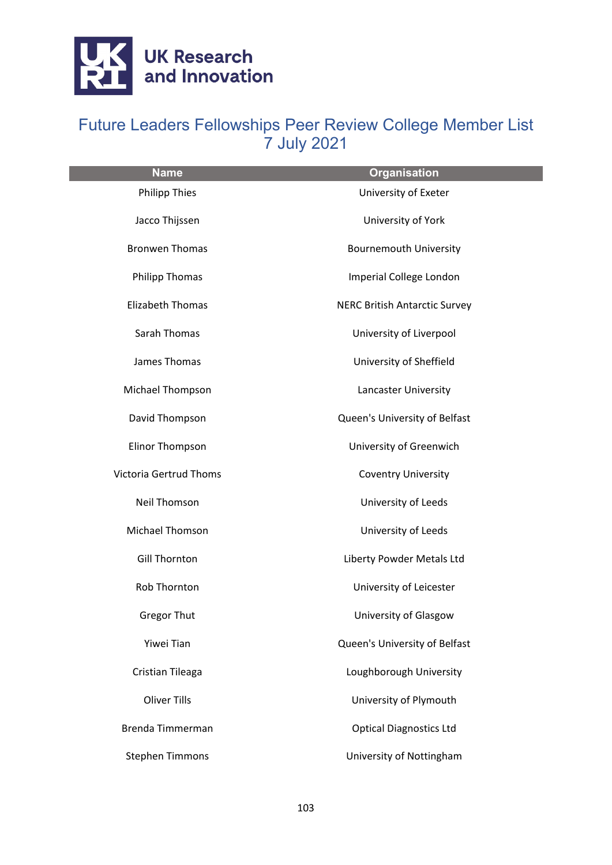

| <b>Name</b>                   | <b>Organisation</b>                  |
|-------------------------------|--------------------------------------|
| <b>Philipp Thies</b>          | University of Exeter                 |
| Jacco Thijssen                | University of York                   |
| <b>Bronwen Thomas</b>         | <b>Bournemouth University</b>        |
| <b>Philipp Thomas</b>         | Imperial College London              |
| <b>Elizabeth Thomas</b>       | <b>NERC British Antarctic Survey</b> |
| Sarah Thomas                  | University of Liverpool              |
| James Thomas                  | University of Sheffield              |
| Michael Thompson              | Lancaster University                 |
| David Thompson                | Queen's University of Belfast        |
| <b>Elinor Thompson</b>        | University of Greenwich              |
| <b>Victoria Gertrud Thoms</b> | <b>Coventry University</b>           |
| Neil Thomson                  | University of Leeds                  |
| Michael Thomson               | University of Leeds                  |
| <b>Gill Thornton</b>          | Liberty Powder Metals Ltd            |
| Rob Thornton                  | University of Leicester              |
| <b>Gregor Thut</b>            | University of Glasgow                |
| Yiwei Tian                    | Queen's University of Belfast        |
| Cristian Tileaga              | Loughborough University              |
| <b>Oliver Tills</b>           | University of Plymouth               |
| Brenda Timmerman              | <b>Optical Diagnostics Ltd</b>       |
| <b>Stephen Timmons</b>        | University of Nottingham             |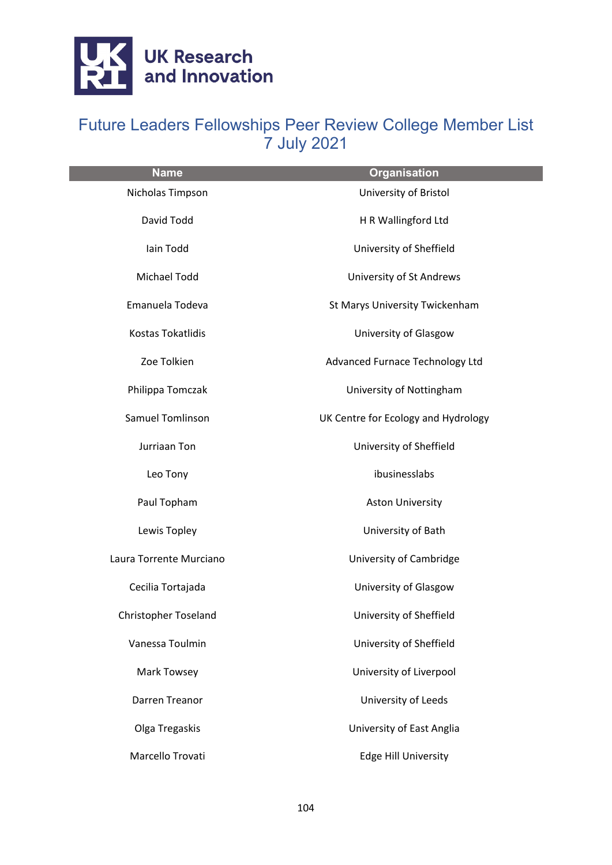

| <b>Name</b>                 | <b>Organisation</b>                 |
|-----------------------------|-------------------------------------|
| Nicholas Timpson            | University of Bristol               |
| David Todd                  | H R Wallingford Ltd                 |
| Iain Todd                   | University of Sheffield             |
| Michael Todd                | University of St Andrews            |
| Emanuela Todeva             | St Marys University Twickenham      |
| <b>Kostas Tokatlidis</b>    | University of Glasgow               |
| Zoe Tolkien                 | Advanced Furnace Technology Ltd     |
| Philippa Tomczak            | University of Nottingham            |
| Samuel Tomlinson            | UK Centre for Ecology and Hydrology |
| Jurriaan Ton                | University of Sheffield             |
| Leo Tony                    | ibusinesslabs                       |
| Paul Topham                 | <b>Aston University</b>             |
| Lewis Topley                | University of Bath                  |
| Laura Torrente Murciano     | University of Cambridge             |
| Cecilia Tortajada           | University of Glasgow               |
| <b>Christopher Toseland</b> | University of Sheffield             |
| Vanessa Toulmin             | University of Sheffield             |
| Mark Towsey                 | University of Liverpool             |
| Darren Treanor              | University of Leeds                 |
| Olga Tregaskis              | University of East Anglia           |
| Marcello Trovati            | <b>Edge Hill University</b>         |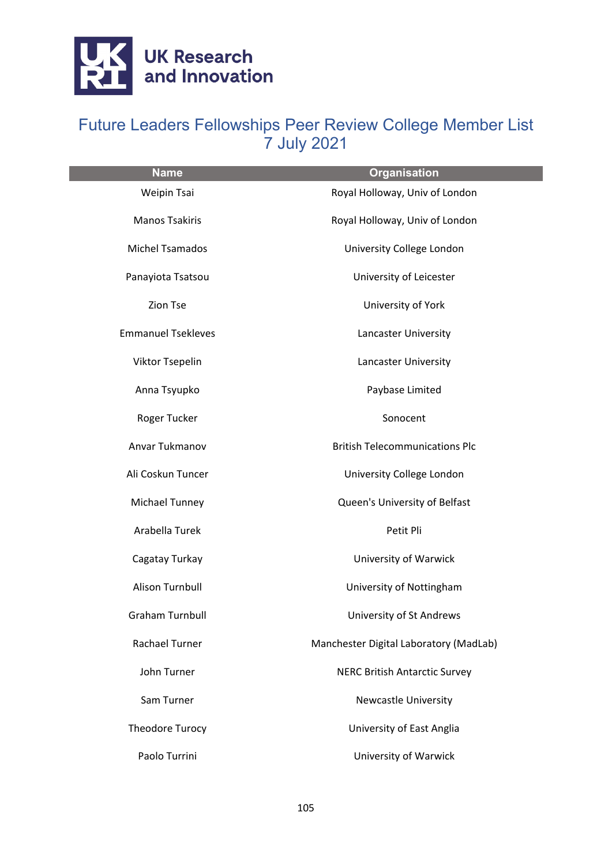

| <b>Name</b>               | <b>Organisation</b>                    |
|---------------------------|----------------------------------------|
| Weipin Tsai               | Royal Holloway, Univ of London         |
| <b>Manos Tsakiris</b>     | Royal Holloway, Univ of London         |
| <b>Michel Tsamados</b>    | University College London              |
| Panayiota Tsatsou         | University of Leicester                |
| <b>Zion Tse</b>           | University of York                     |
| <b>Emmanuel Tsekleves</b> | Lancaster University                   |
| Viktor Tsepelin           | Lancaster University                   |
| Anna Tsyupko              | Paybase Limited                        |
| Roger Tucker              | Sonocent                               |
| Anvar Tukmanov            | <b>British Telecommunications Plc</b>  |
| Ali Coskun Tuncer         | University College London              |
| Michael Tunney            | Queen's University of Belfast          |
| Arabella Turek            | Petit Pli                              |
| Cagatay Turkay            | University of Warwick                  |
| Alison Turnbull           | University of Nottingham               |
| <b>Graham Turnbull</b>    | University of St Andrews               |
| Rachael Turner            | Manchester Digital Laboratory (MadLab) |
| John Turner               | <b>NERC British Antarctic Survey</b>   |
| Sam Turner                | <b>Newcastle University</b>            |
| Theodore Turocy           | University of East Anglia              |
| Paolo Turrini             | University of Warwick                  |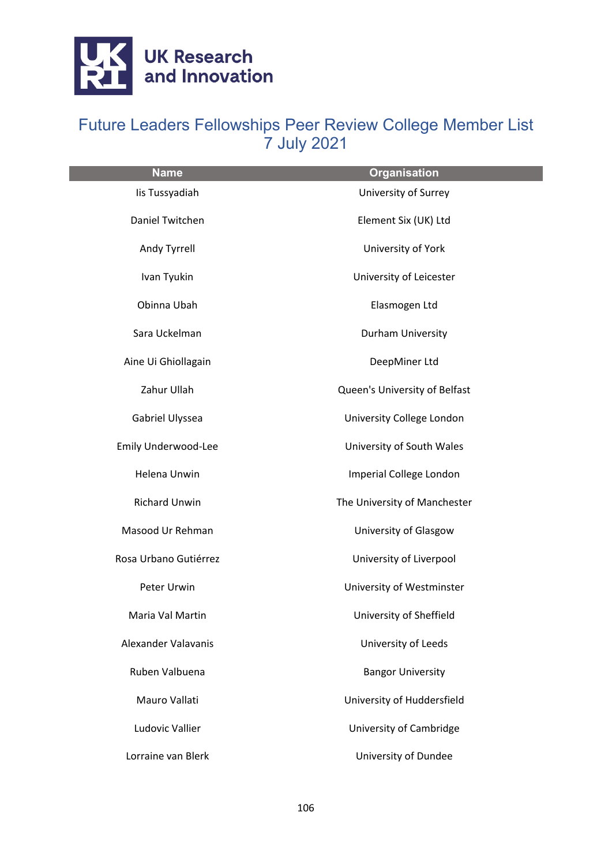

| <b>Name</b>            | <b>Organisation</b>           |
|------------------------|-------------------------------|
| lis Tussyadiah         | University of Surrey          |
| Daniel Twitchen        | Element Six (UK) Ltd          |
| Andy Tyrrell           | University of York            |
| Ivan Tyukin            | University of Leicester       |
| Obinna Ubah            | Elasmogen Ltd                 |
| Sara Uckelman          | Durham University             |
| Aine Ui Ghiollagain    | DeepMiner Ltd                 |
| Zahur Ullah            | Queen's University of Belfast |
| Gabriel Ulyssea        | University College London     |
| Emily Underwood-Lee    | University of South Wales     |
| Helena Unwin           | Imperial College London       |
| <b>Richard Unwin</b>   | The University of Manchester  |
| Masood Ur Rehman       | University of Glasgow         |
| Rosa Urbano Gutiérrez  | University of Liverpool       |
| Peter Urwin            | University of Westminster     |
| Maria Val Martin       | University of Sheffield       |
| Alexander Valavanis    | University of Leeds           |
| Ruben Valbuena         | <b>Bangor University</b>      |
| Mauro Vallati          | University of Huddersfield    |
| <b>Ludovic Vallier</b> | University of Cambridge       |
| Lorraine van Blerk     | University of Dundee          |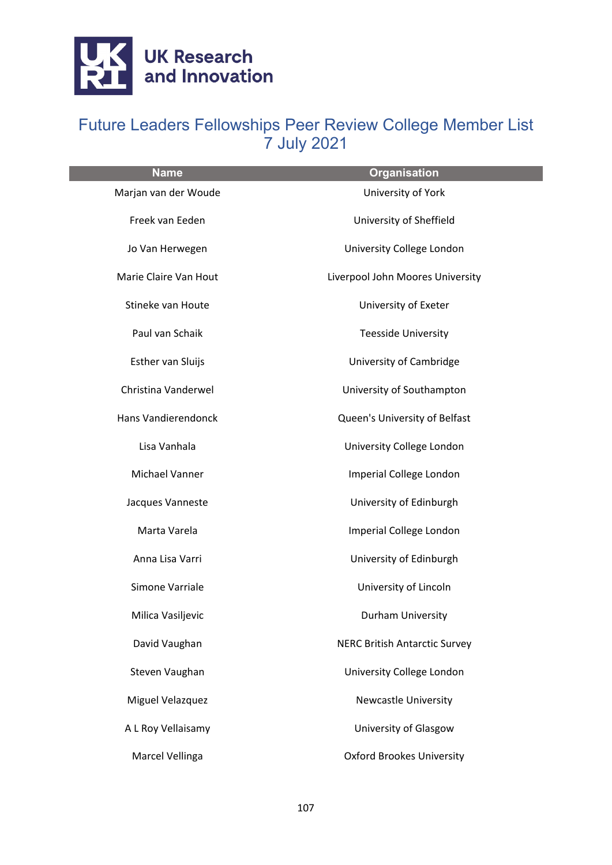

| <b>Name</b>           | <b>Organisation</b>                  |
|-----------------------|--------------------------------------|
| Marjan van der Woude  | University of York                   |
| Freek van Eeden       | University of Sheffield              |
| Jo Van Herwegen       | University College London            |
| Marie Claire Van Hout | Liverpool John Moores University     |
| Stineke van Houte     | University of Exeter                 |
| Paul van Schaik       | <b>Teesside University</b>           |
| Esther van Sluijs     | University of Cambridge              |
| Christina Vanderwel   | University of Southampton            |
| Hans Vandierendonck   | Queen's University of Belfast        |
| Lisa Vanhala          | University College London            |
| Michael Vanner        | Imperial College London              |
| Jacques Vanneste      | University of Edinburgh              |
| Marta Varela          | Imperial College London              |
| Anna Lisa Varri       | University of Edinburgh              |
| Simone Varriale       | University of Lincoln                |
| Milica Vasiljevic     | Durham University                    |
| David Vaughan         | <b>NERC British Antarctic Survey</b> |
| Steven Vaughan        | University College London            |
| Miguel Velazquez      | <b>Newcastle University</b>          |
| A L Roy Vellaisamy    | University of Glasgow                |
| Marcel Vellinga       | <b>Oxford Brookes University</b>     |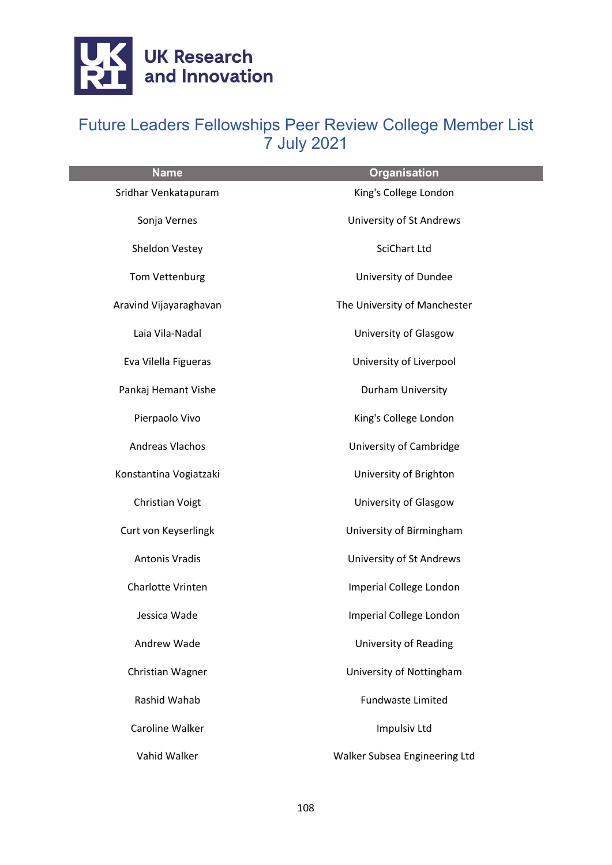

| <b>Name</b>            | <b>Organisation</b>           |
|------------------------|-------------------------------|
| Sridhar Venkatapuram   | King's College London         |
| Sonja Vernes           | University of St Andrews      |
| Sheldon Vestey         | <b>SciChart Ltd</b>           |
| Tom Vettenburg         | University of Dundee          |
| Aravind Vijayaraghavan | The University of Manchester  |
| Laia Vila-Nadal        | University of Glasgow         |
| Eva Vilella Figueras   | University of Liverpool       |
| Pankaj Hemant Vishe    | Durham University             |
| Pierpaolo Vivo         | King's College London         |
| Andreas Vlachos        | University of Cambridge       |
| Konstantina Vogiatzaki | University of Brighton        |
| Christian Voigt        | University of Glasgow         |
| Curt von Keyserlingk   | University of Birmingham      |
| <b>Antonis Vradis</b>  | University of St Andrews      |
| Charlotte Vrinten      | Imperial College London       |
| Jessica Wade           | Imperial College London       |
| Andrew Wade            | University of Reading         |
| Christian Wagner       | University of Nottingham      |
| Rashid Wahab           | <b>Fundwaste Limited</b>      |
| Caroline Walker        | <b>Impulsiv Ltd</b>           |
| Vahid Walker           | Walker Subsea Engineering Ltd |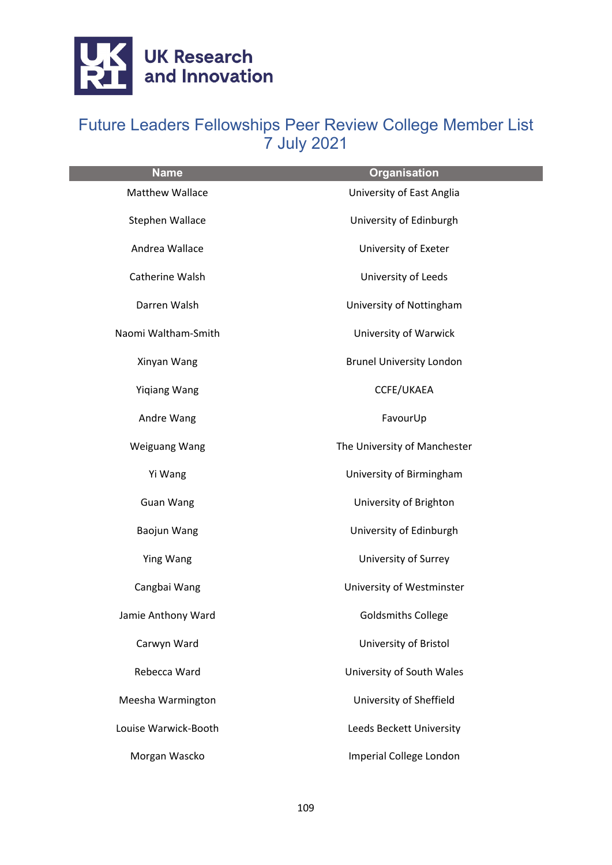

| <b>Name</b>            | <b>Organisation</b>             |
|------------------------|---------------------------------|
| <b>Matthew Wallace</b> | University of East Anglia       |
| Stephen Wallace        | University of Edinburgh         |
| Andrea Wallace         | University of Exeter            |
| Catherine Walsh        | University of Leeds             |
| Darren Walsh           | University of Nottingham        |
| Naomi Waltham-Smith    | University of Warwick           |
| Xinyan Wang            | <b>Brunel University London</b> |
| <b>Yigiang Wang</b>    | CCFE/UKAEA                      |
| Andre Wang             | FavourUp                        |
| <b>Weiguang Wang</b>   | The University of Manchester    |
| Yi Wang                | University of Birmingham        |
| Guan Wang              | University of Brighton          |
| Baojun Wang            | University of Edinburgh         |
| Ying Wang              | University of Surrey            |
| Cangbai Wang           | University of Westminster       |
| Jamie Anthony Ward     | <b>Goldsmiths College</b>       |
| Carwyn Ward            | University of Bristol           |
| Rebecca Ward           | University of South Wales       |
| Meesha Warmington      | University of Sheffield         |
| Louise Warwick-Booth   | Leeds Beckett University        |
| Morgan Wascko          | Imperial College London         |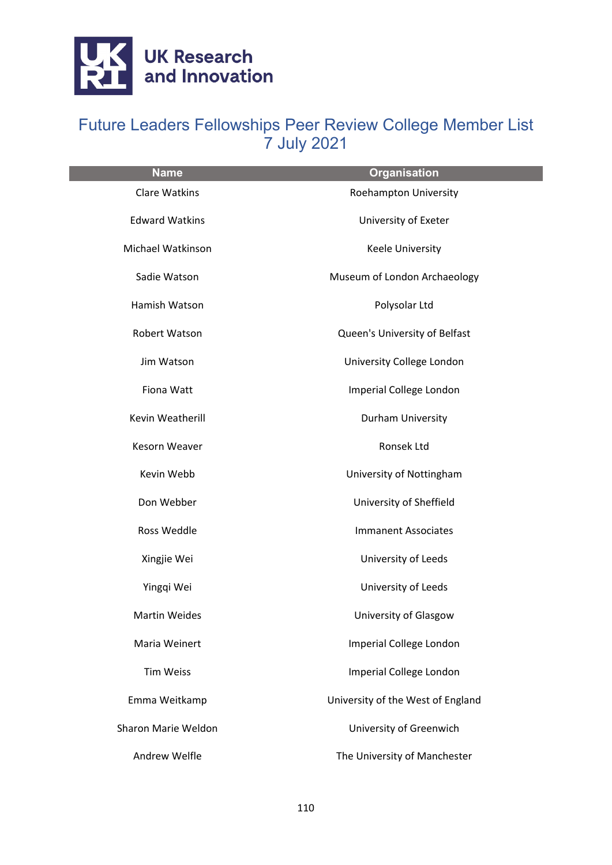

| <b>Name</b>           | <b>Organisation</b>               |
|-----------------------|-----------------------------------|
| <b>Clare Watkins</b>  | Roehampton University             |
| <b>Edward Watkins</b> | University of Exeter              |
| Michael Watkinson     | Keele University                  |
| Sadie Watson          | Museum of London Archaeology      |
| Hamish Watson         | Polysolar Ltd                     |
| Robert Watson         | Queen's University of Belfast     |
| Jim Watson            | University College London         |
| Fiona Watt            | Imperial College London           |
| Kevin Weatherill      | Durham University                 |
| Kesorn Weaver         | Ronsek Ltd                        |
| Kevin Webb            | University of Nottingham          |
| Don Webber            | University of Sheffield           |
| Ross Weddle           | <b>Immanent Associates</b>        |
| Xingjie Wei           | University of Leeds               |
| Yingqi Wei            | University of Leeds               |
| <b>Martin Weides</b>  | University of Glasgow             |
| Maria Weinert         | Imperial College London           |
| <b>Tim Weiss</b>      | Imperial College London           |
| Emma Weitkamp         | University of the West of England |
| Sharon Marie Weldon   | University of Greenwich           |
| Andrew Welfle         | The University of Manchester      |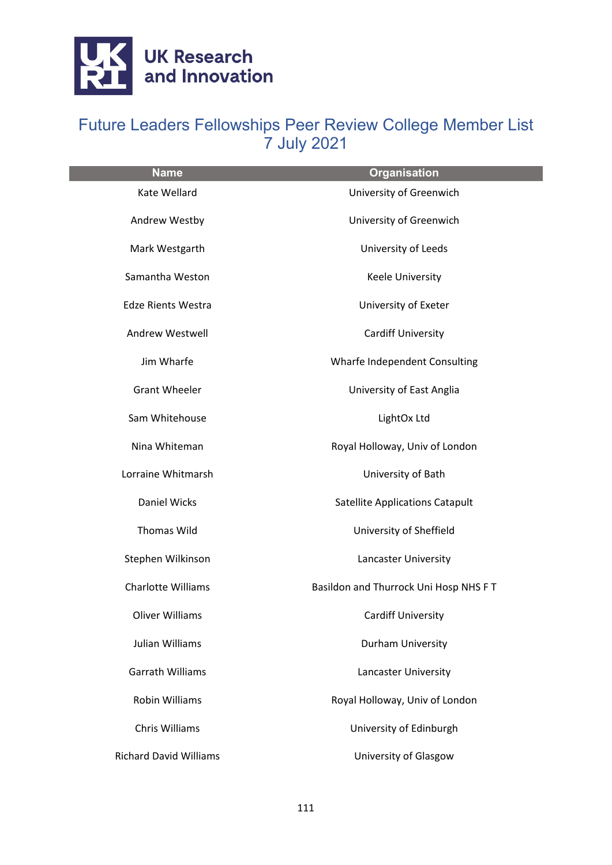

| <b>Name</b>                   | <b>Organisation</b>                    |
|-------------------------------|----------------------------------------|
| <b>Kate Wellard</b>           | University of Greenwich                |
| Andrew Westby                 | University of Greenwich                |
| Mark Westgarth                | University of Leeds                    |
| Samantha Weston               | <b>Keele University</b>                |
| <b>Edze Rients Westra</b>     | University of Exeter                   |
| Andrew Westwell               | <b>Cardiff University</b>              |
| Jim Wharfe                    | Wharfe Independent Consulting          |
| <b>Grant Wheeler</b>          | University of East Anglia              |
| Sam Whitehouse                | LightOx Ltd                            |
| Nina Whiteman                 | Royal Holloway, Univ of London         |
| Lorraine Whitmarsh            | University of Bath                     |
| <b>Daniel Wicks</b>           | <b>Satellite Applications Catapult</b> |
| <b>Thomas Wild</b>            | University of Sheffield                |
| Stephen Wilkinson             | Lancaster University                   |
| <b>Charlotte Williams</b>     | Basildon and Thurrock Uni Hosp NHS FT  |
| <b>Oliver Williams</b>        | <b>Cardiff University</b>              |
| Julian Williams               | Durham University                      |
| <b>Garrath Williams</b>       | Lancaster University                   |
| <b>Robin Williams</b>         | Royal Holloway, Univ of London         |
| Chris Williams                | University of Edinburgh                |
| <b>Richard David Williams</b> | University of Glasgow                  |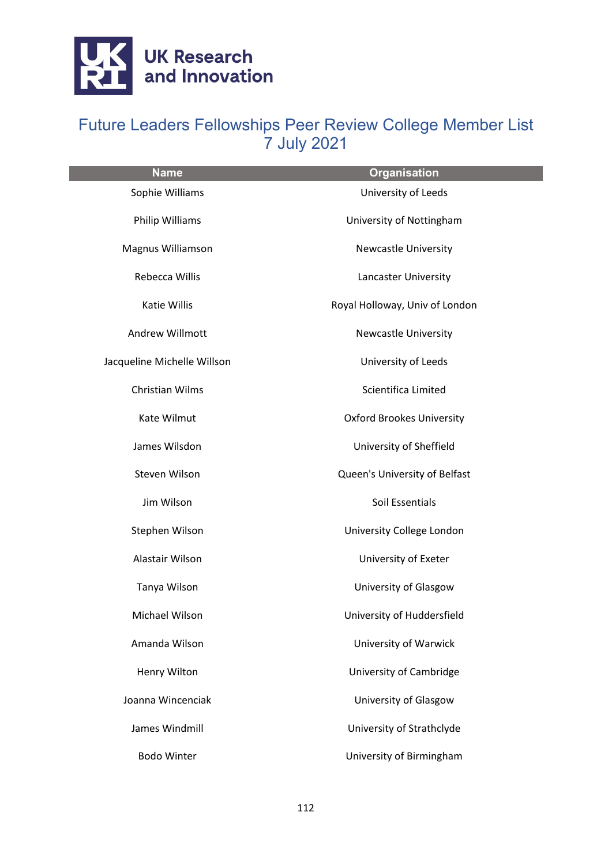

| <b>Name</b>                 | <b>Organisation</b>              |
|-----------------------------|----------------------------------|
| Sophie Williams             | University of Leeds              |
| Philip Williams             | University of Nottingham         |
| Magnus Williamson           | <b>Newcastle University</b>      |
| Rebecca Willis              | Lancaster University             |
| Katie Willis                | Royal Holloway, Univ of London   |
| Andrew Willmott             | <b>Newcastle University</b>      |
| Jacqueline Michelle Willson | University of Leeds              |
| <b>Christian Wilms</b>      | Scientifica Limited              |
| Kate Wilmut                 | <b>Oxford Brookes University</b> |
| James Wilsdon               | University of Sheffield          |
| Steven Wilson               | Queen's University of Belfast    |
| Jim Wilson                  | Soil Essentials                  |
| Stephen Wilson              | University College London        |
| Alastair Wilson             | University of Exeter             |
| Tanya Wilson                | University of Glasgow            |
| Michael Wilson              | University of Huddersfield       |
| Amanda Wilson               | University of Warwick            |
| Henry Wilton                | University of Cambridge          |
| Joanna Wincenciak           | University of Glasgow            |
| James Windmill              | University of Strathclyde        |
| <b>Bodo Winter</b>          | University of Birmingham         |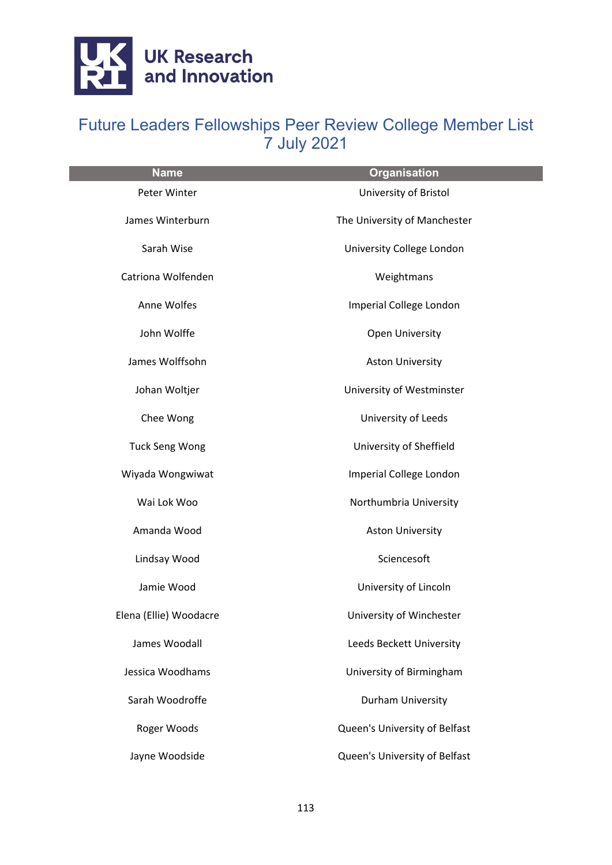

| <b>Name</b>            | <b>Organisation</b>           |
|------------------------|-------------------------------|
| Peter Winter           | University of Bristol         |
| James Winterburn       | The University of Manchester  |
| Sarah Wise             | University College London     |
| Catriona Wolfenden     | Weightmans                    |
| Anne Wolfes            | Imperial College London       |
| John Wolffe            | Open University               |
| James Wolffsohn        | <b>Aston University</b>       |
| Johan Woltjer          | University of Westminster     |
| Chee Wong              | University of Leeds           |
| <b>Tuck Seng Wong</b>  | University of Sheffield       |
| Wiyada Wongwiwat       | Imperial College London       |
| Wai Lok Woo            | Northumbria University        |
| Amanda Wood            | <b>Aston University</b>       |
| Lindsay Wood           | Sciencesoft                   |
| Jamie Wood             | University of Lincoln         |
| Elena (Ellie) Woodacre | University of Winchester      |
| James Woodall          | Leeds Beckett University      |
| Jessica Woodhams       | University of Birmingham      |
| Sarah Woodroffe        | Durham University             |
| Roger Woods            | Queen's University of Belfast |
| Jayne Woodside         | Queen's University of Belfast |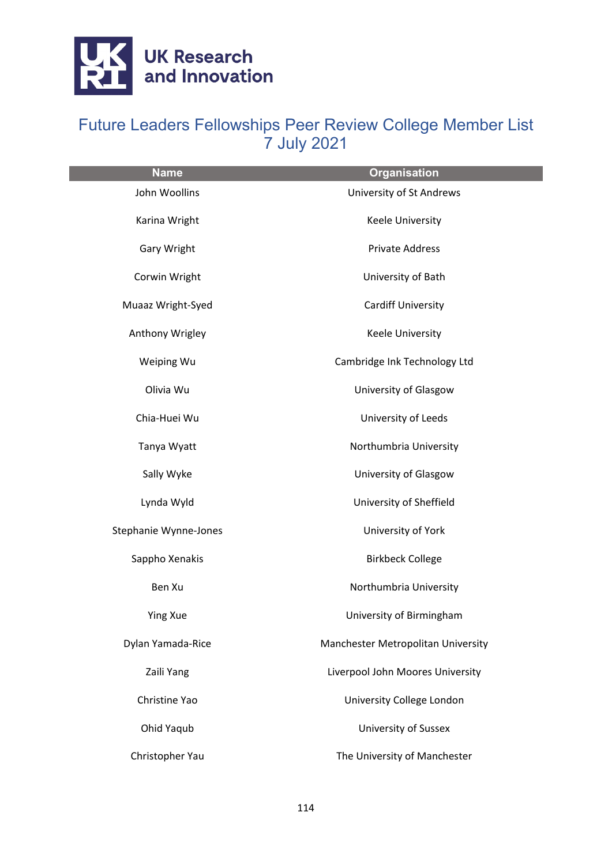

| <b>Name</b>           | <b>Organisation</b>                |
|-----------------------|------------------------------------|
| John Woollins         | University of St Andrews           |
| Karina Wright         | Keele University                   |
| Gary Wright           | <b>Private Address</b>             |
| Corwin Wright         | University of Bath                 |
| Muaaz Wright-Syed     | <b>Cardiff University</b>          |
| Anthony Wrigley       | Keele University                   |
| Weiping Wu            | Cambridge Ink Technology Ltd       |
| Olivia Wu             | University of Glasgow              |
| Chia-Huei Wu          | University of Leeds                |
| Tanya Wyatt           | Northumbria University             |
| Sally Wyke            | University of Glasgow              |
| Lynda Wyld            | University of Sheffield            |
| Stephanie Wynne-Jones | University of York                 |
| Sappho Xenakis        | <b>Birkbeck College</b>            |
| Ben Xu                | Northumbria University             |
| <b>Ying Xue</b>       | University of Birmingham           |
| Dylan Yamada-Rice     | Manchester Metropolitan University |
| Zaili Yang            | Liverpool John Moores University   |
| Christine Yao         | University College London          |
| Ohid Yaqub            | <b>University of Sussex</b>        |
| Christopher Yau       | The University of Manchester       |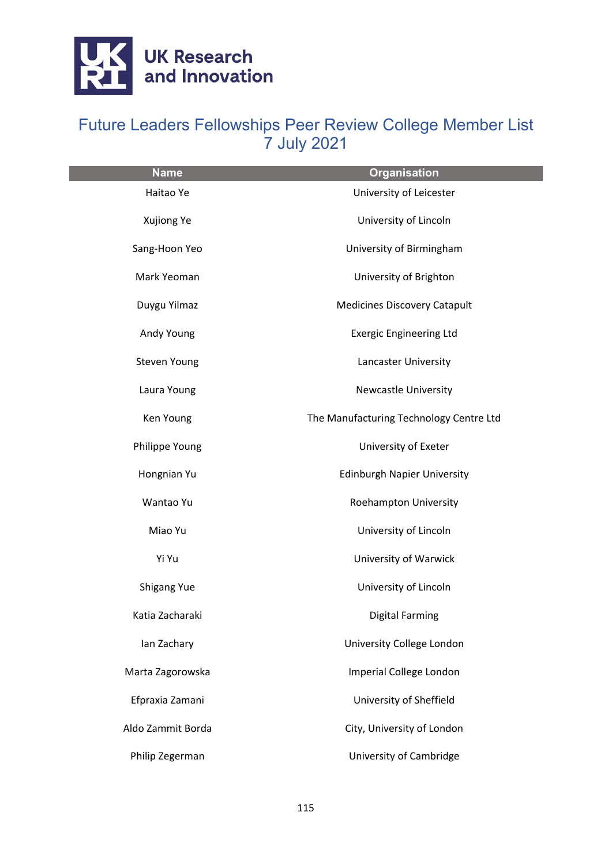

| <b>Name</b>        | <b>Organisation</b>                     |
|--------------------|-----------------------------------------|
| Haitao Ye          | University of Leicester                 |
| Xujiong Ye         | University of Lincoln                   |
| Sang-Hoon Yeo      | University of Birmingham                |
| Mark Yeoman        | University of Brighton                  |
| Duygu Yilmaz       | <b>Medicines Discovery Catapult</b>     |
| Andy Young         | <b>Exergic Engineering Ltd</b>          |
| Steven Young       | Lancaster University                    |
| Laura Young        | <b>Newcastle University</b>             |
| Ken Young          | The Manufacturing Technology Centre Ltd |
| Philippe Young     | University of Exeter                    |
| Hongnian Yu        | <b>Edinburgh Napier University</b>      |
| Wantao Yu          | Roehampton University                   |
| Miao Yu            | University of Lincoln                   |
| Yi Yu              | University of Warwick                   |
| <b>Shigang Yue</b> | University of Lincoln                   |
| Katia Zacharaki    | <b>Digital Farming</b>                  |
| lan Zachary        | University College London               |
| Marta Zagorowska   | Imperial College London                 |
| Efpraxia Zamani    | University of Sheffield                 |
| Aldo Zammit Borda  | City, University of London              |
| Philip Zegerman    | University of Cambridge                 |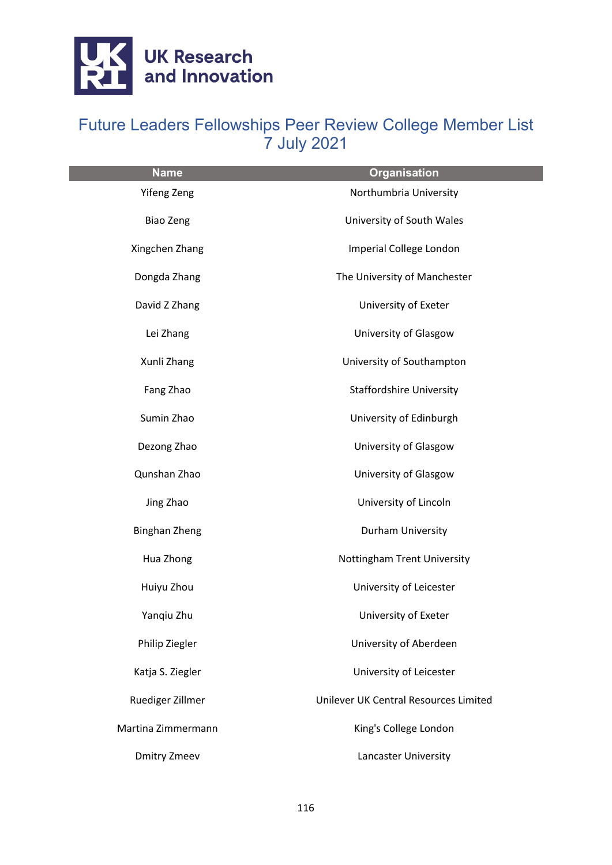

| <b>Name</b>          | <b>Organisation</b>                   |
|----------------------|---------------------------------------|
| Yifeng Zeng          | Northumbria University                |
| <b>Biao Zeng</b>     | University of South Wales             |
| Xingchen Zhang       | Imperial College London               |
| Dongda Zhang         | The University of Manchester          |
| David Z Zhang        | University of Exeter                  |
| Lei Zhang            | University of Glasgow                 |
| Xunli Zhang          | University of Southampton             |
| Fang Zhao            | <b>Staffordshire University</b>       |
| Sumin Zhao           | University of Edinburgh               |
| Dezong Zhao          | University of Glasgow                 |
| Qunshan Zhao         | University of Glasgow                 |
| Jing Zhao            | University of Lincoln                 |
| <b>Binghan Zheng</b> | Durham University                     |
| Hua Zhong            | Nottingham Trent University           |
| Huiyu Zhou           | University of Leicester               |
| Yangiu Zhu           | University of Exeter                  |
| Philip Ziegler       | University of Aberdeen                |
| Katja S. Ziegler     | University of Leicester               |
| Ruediger Zillmer     | Unilever UK Central Resources Limited |
| Martina Zimmermann   | King's College London                 |
| <b>Dmitry Zmeev</b>  | Lancaster University                  |